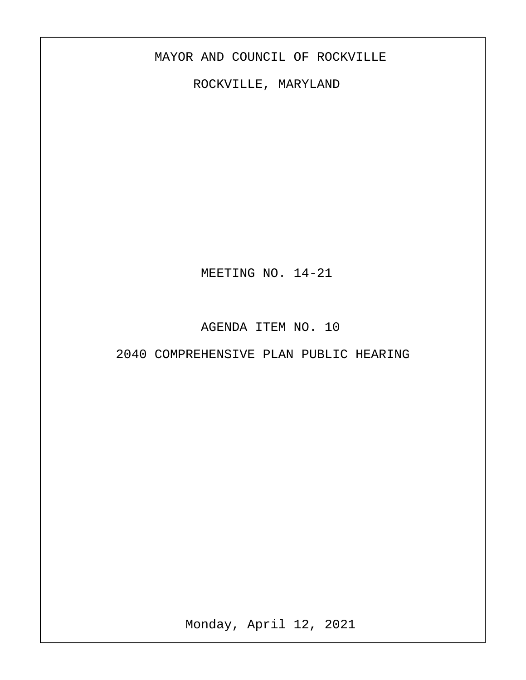## MAYOR AND COUNCIL OF ROCKVILLE

ROCKVILLE, MARYLAND

MEETING NO. 14-21

AGENDA ITEM NO. 10

2040 COMPREHENSIVE PLAN PUBLIC HEARING

Monday, April 12, 2021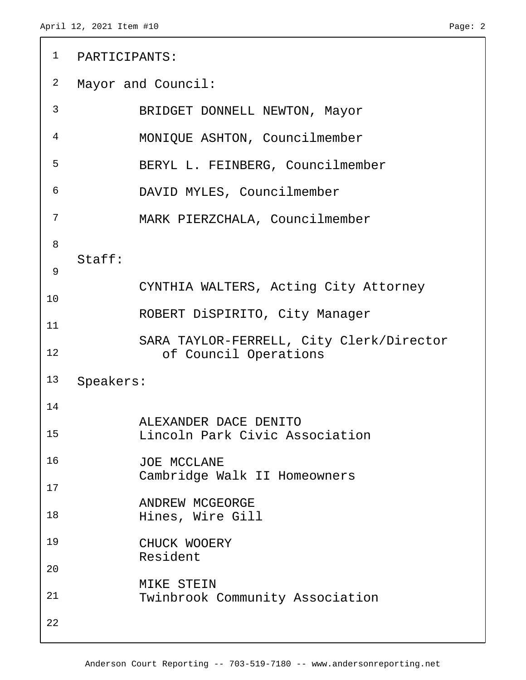```
 1 PARTICIPANTS:
 2 Mayor and Council:
 3 BRIDGET DONNELL NEWTON, Mayor
 4 MONIQUE ASHTON, Councilmember
 5 BERYL L. FEINBERG, Councilmember
 6 DAVID MYLES, Councilmember
 7 MARK PIERZCHALA, Councilmember
 8
   Staff:
 9
           CYNTHIA WALTERS, Acting City Attorney
10
           ROBERT DiSPIRITO, City Manager
11
           SARA TAYLOR-FERRELL, City Clerk/Director
12 of Council Operations
13 Speakers:
14
           ALEXANDER DACE DENITO
15 Lincoln Park Civic Association
16 JOE MCCLANE
           Cambridge Walk II Homeowners
17
           ANDREW MCGEORGE
18 Hines, Wire Gill
19 CHUCK WOOERY
           Resident
20
           MIKE STEIN
21 Twinbrook Community Association
22
```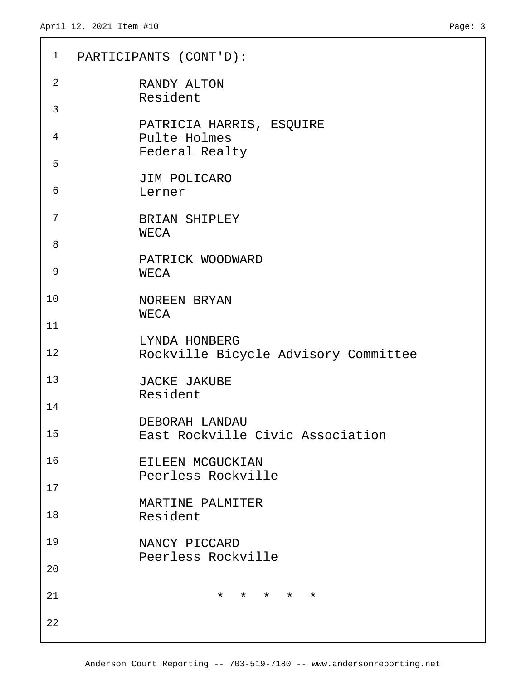```
 1 PARTICIPANTS (CONT'D):
 2 RANDY ALTON
           Resident
 3
           PATRICIA HARRIS, ESQUIRE
 4 Pulte Holmes
           Federal Realty
 5
           JIM POLICARO
 6 Lerner
 7 BRIAN SHIPLEY
           WECA
 8
           PATRICK WOODWARD
 9 WECA
10 NOREEN BRYAN
           WECA
11
           LYNDA HONBERG
12 Rockville Bicycle Advisory Committee
13 JACKE JAKUBE
           Resident
14
           DEBORAH LANDAU
15 East Rockville Civic Association
16 EILEEN MCGUCKIAN
           Peerless Rockville
17
           MARTINE PALMITER
18 Resident
19 NANCY PICCARD
           Peerless Rockville
20
21 \star \star \star \star \star22
```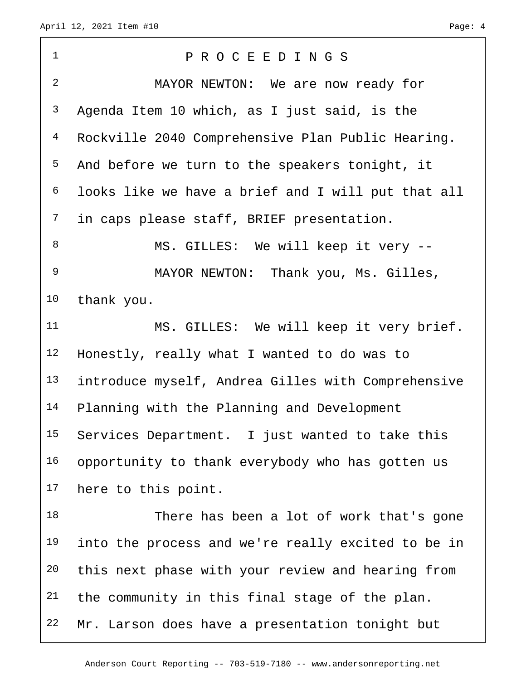| $\mathbf 1$    | PROCEEDINGS                                        |
|----------------|----------------------------------------------------|
| $\overline{a}$ | MAYOR NEWTON: We are now ready for                 |
| $\mathsf{3}$   | Agenda Item 10 which, as I just said, is the       |
| $\overline{4}$ | Rockville 2040 Comprehensive Plan Public Hearing.  |
| 5              | And before we turn to the speakers tonight, it     |
| 6              | looks like we have a brief and I will put that all |
| 7              | in caps please staff, BRIEF presentation.          |
| 8              | MS. GILLES: We will keep it very --                |
| 9              | MAYOR NEWTON: Thank you, Ms. Gilles,               |
| 10             | thank you.                                         |
| 11             | MS. GILLES: We will keep it very brief.            |
| 12             | Honestly, really what I wanted to do was to        |
| 13             | introduce myself, Andrea Gilles with Comprehensive |
| 14             | Planning with the Planning and Development         |
| 15             | Services Department. I just wanted to take this    |
| 16             | opportunity to thank everybody who has gotten us   |
| 17             | here to this point.                                |
| 18             | There has been a lot of work that's gone           |
| 19             | into the process and we're really excited to be in |
| 20             | this next phase with your review and hearing from  |
| 21             | the community in this final stage of the plan.     |
| 22             | Mr. Larson does have a presentation tonight but    |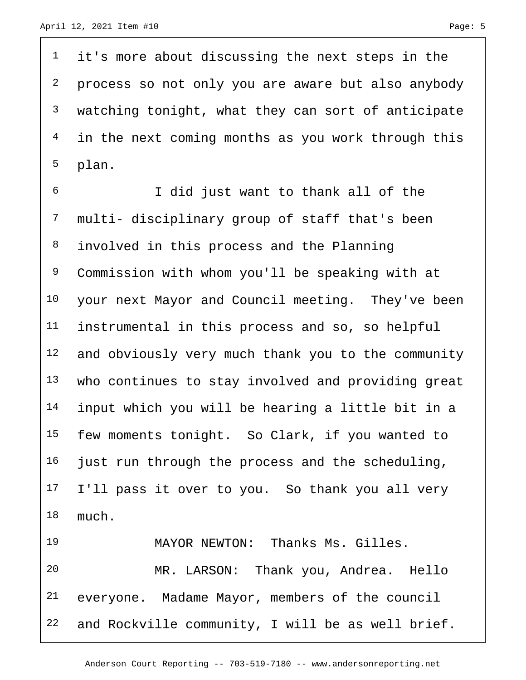it's more about discussing the next steps in the <sup>2</sup> process so not only you are aware but also anybody watching tonight, what they can sort of anticipate in the next coming months as you work through this plan.

 I did just want to thank all of the multi- disciplinary group of staff that's been involved in this process and the Planning Commission with whom you'll be speaking with at 10 your next Mayor and Council meeting. They've been instrumental in this process and so, so helpful 12 and obviously very much thank you to the community who continues to stay involved and providing great input which you will be hearing a little bit in a few moments tonight. So Clark, if you wanted to just run through the process and the scheduling, I'll pass it over to you. So thank you all very much.

 MAYOR NEWTON: Thanks Ms. Gilles. MR. LARSON: Thank you, Andrea. Hello everyone. Madame Mayor, members of the council and Rockville community, I will be as well brief.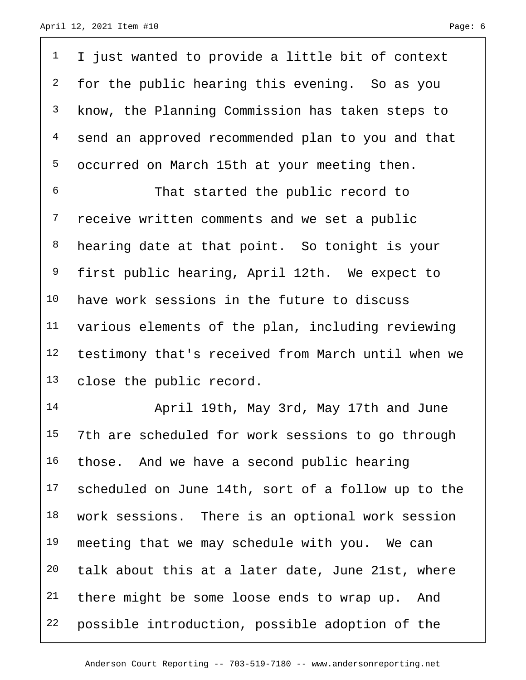<sup>1</sup> I just wanted to provide a little bit of context <sup>2</sup> for the public hearing this evening. So as you know, the Planning Commission has taken steps to send an approved recommended plan to you and that occurred on March 15th at your meeting then. That started the public record to 7 receive written comments and we set a public 8 hearing date at that point. So tonight is your first public hearing, April 12th. We expect to

 have work sessions in the future to discuss various elements of the plan, including reviewing testimony that's received from March until when we close the public record.

 April 19th, May 3rd, May 17th and June 7th are scheduled for work sessions to go through those. And we have a second public hearing scheduled on June 14th, sort of a follow up to the work sessions. There is an optional work session 19 meeting that we may schedule with you. We can talk about this at a later date, June 21st, where <sup>21</sup> there might be some loose ends to wrap up. And possible introduction, possible adoption of the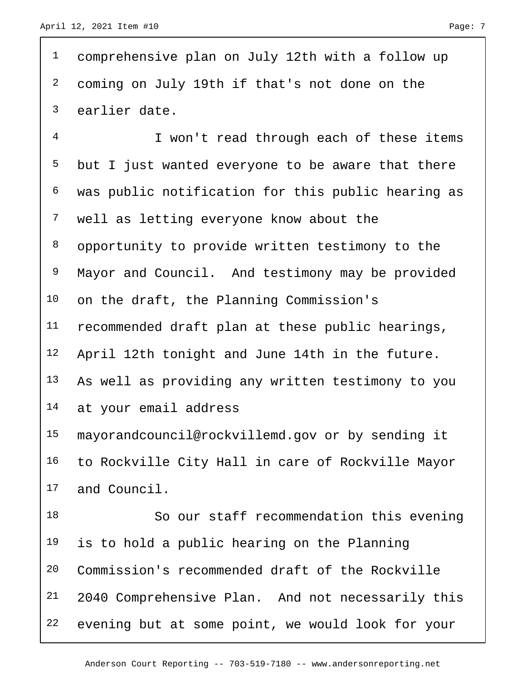comprehensive plan on July 12th with a follow up coming on July 19th if that's not done on the earlier date.

 I won't read through each of these items but I just wanted everyone to be aware that there was public notification for this public hearing as well as letting everyone know about the 8 opportunity to provide written testimony to the Mayor and Council. And testimony may be provided on the draft, the Planning Commission's recommended draft plan at these public hearings, April 12th tonight and June 14th in the future. As well as providing any written testimony to you at your email address mayorandcouncil@rockvillemd.gov or by sending it to Rockville City Hall in care of Rockville Mayor

```
17 and Council.
```
 So our staff recommendation this evening is to hold a public hearing on the Planning Commission's recommended draft of the Rockville 2040 Comprehensive Plan. And not necessarily this evening but at some point, we would look for your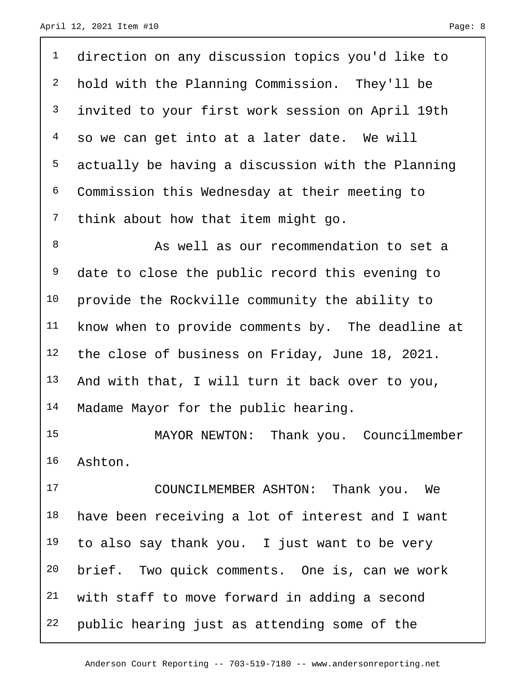direction on any discussion topics you'd like to hold with the Planning Commission. They'll be invited to your first work session on April 19th so we can get into at a later date. We will actually be having a discussion with the Planning Commission this Wednesday at their meeting to think about how that item might go.

8 As well as our recommendation to set a <sup>9</sup> date to close the public record this evening to provide the Rockville community the ability to 11 know when to provide comments by. The deadline at the close of business on Friday, June 18, 2021. And with that, I will turn it back over to you, Madame Mayor for the public hearing.

 MAYOR NEWTON: Thank you. Councilmember Ashton.

 COUNCILMEMBER ASHTON: Thank you. We have been receiving a lot of interest and I want to also say thank you. I just want to be very brief. Two quick comments. One is, can we work with staff to move forward in adding a second public hearing just as attending some of the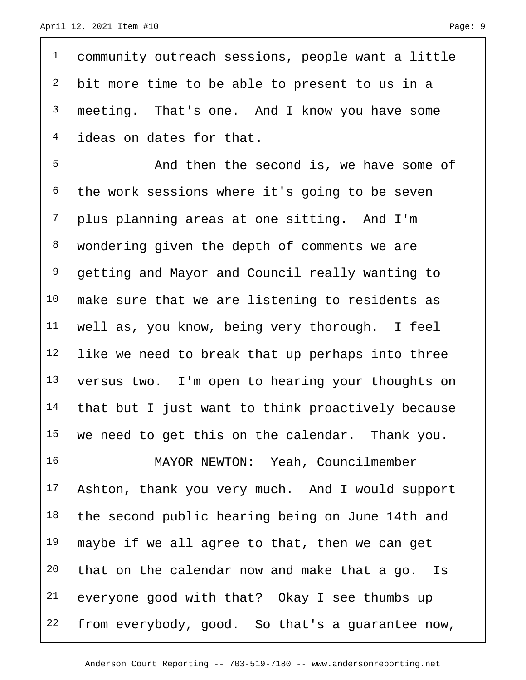community outreach sessions, people want a little bit more time to be able to present to us in a meeting. That's one. And I know you have some ideas on dates for that.

5 And then the second is, we have some of the work sessions where it's going to be seven plus planning areas at one sitting. And I'm wondering given the depth of comments we are 9 getting and Mayor and Council really wanting to make sure that we are listening to residents as well as, you know, being very thorough. I feel like we need to break that up perhaps into three versus two. I'm open to hearing your thoughts on that but I just want to think proactively because 15 we need to get this on the calendar. Thank you.

 MAYOR NEWTON: Yeah, Councilmember Ashton, thank you very much. And I would support 18 the second public hearing being on June 14th and 19 maybe if we all agree to that, then we can get 20 that on the calendar now and make that a go. Is everyone good with that? Okay I see thumbs up from everybody, good. So that's a guarantee now,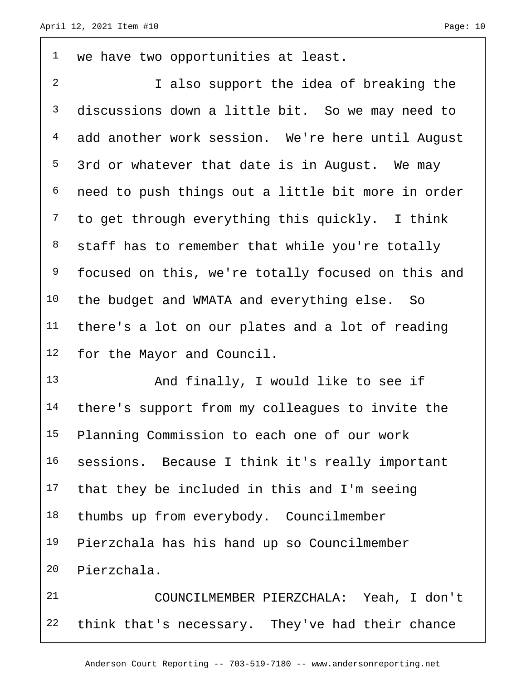we have two opportunities at least.

 I also support the idea of breaking the discussions down a little bit. So we may need to add another work session. We're here until August 5 3rd or whatever that date is in August. We may need to push things out a little bit more in order to get through everything this quickly. I think 8 staff has to remember that while you're totally <sup>9</sup> focused on this, we're totally focused on this and the budget and WMATA and everything else. So there's a lot on our plates and a lot of reading for the Mayor and Council.

 And finally, I would like to see if there's support from my colleagues to invite the Planning Commission to each one of our work sessions. Because I think it's really important that they be included in this and I'm seeing 18 thumbs up from everybody. Councilmember Pierzchala has his hand up so Councilmember Pierzchala.

 COUNCILMEMBER PIERZCHALA: Yeah, I don't think that's necessary. They've had their chance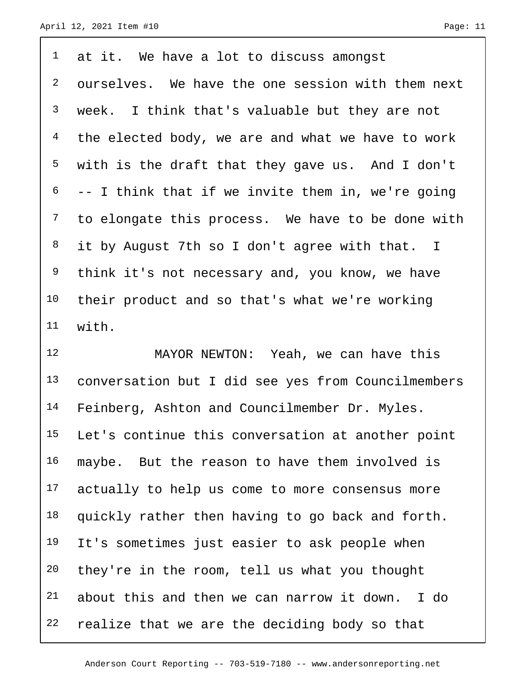$1$  at it. We have a lot to discuss amongst 2 ourselves. We have the one session with them next 3 week. I think that's valuable but they are not <sup>4</sup> the elected body, we are and what we have to work 5 with is the draft that they gave us. And I don't  $6$  -- I think that if we invite them in, we're going <sup>7</sup> to elongate this process. We have to be done with 8 it by August 7th so I don't agree with that. I <sup>9</sup> think it's not necessary and, you know, we have 10 their product and so that's what we're working 11 with.

12 MAYOR NEWTON: Yeah, we can have this 13 conversation but I did see yes from Councilmembers 14 Feinberg, Ashton and Councilmember Dr. Myles. 15 Let's continue this conversation at another point 16 maybe. But the reason to have them involved is 17 actually to help us come to more consensus more 18 quickly rather then having to go back and forth. 19 It's sometimes just easier to ask people when 20 they're in the room, tell us what you thought 21 about this and then we can narrow it down. I do 22 realize that we are the deciding body so that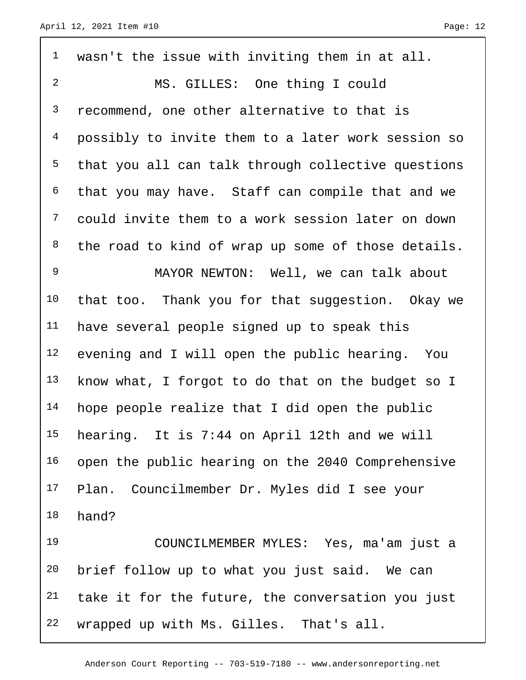| $\mathbf{1}$   | wasn't the issue with inviting them in at all.     |
|----------------|----------------------------------------------------|
| $\overline{a}$ | MS. GILLES: One thing I could                      |
| $\mathsf{3}$   | recommend, one other alternative to that is        |
| $\overline{4}$ | possibly to invite them to a later work session so |
| 5              | that you all can talk through collective questions |
| 6              | that you may have. Staff can compile that and we   |
| 7              | could invite them to a work session later on down  |
| 8              | the road to kind of wrap up some of those details. |
| $\mathsf 9$    | MAYOR NEWTON: Well, we can talk about              |
| 10             | that too. Thank you for that suggestion. Okay we   |
| 11             | have several people signed up to speak this        |
| 12             | evening and I will open the public hearing. You    |
| 13             | know what, I forgot to do that on the budget so I  |
| 14             | hope people realize that I did open the public     |
| 15             | hearing. It is 7:44 on April 12th and we will      |
| 16             | open the public hearing on the 2040 Comprehensive  |
| 17             | Plan. Councilmember Dr. Myles did I see your       |
| 18             | hand?                                              |
| 19             | COUNCILMEMBER MYLES: Yes, ma'am just a             |
| 20             | brief follow up to what you just said. We can      |
| 21             | take it for the future, the conversation you just  |
| 22             | wrapped up with Ms. Gilles. That's all.            |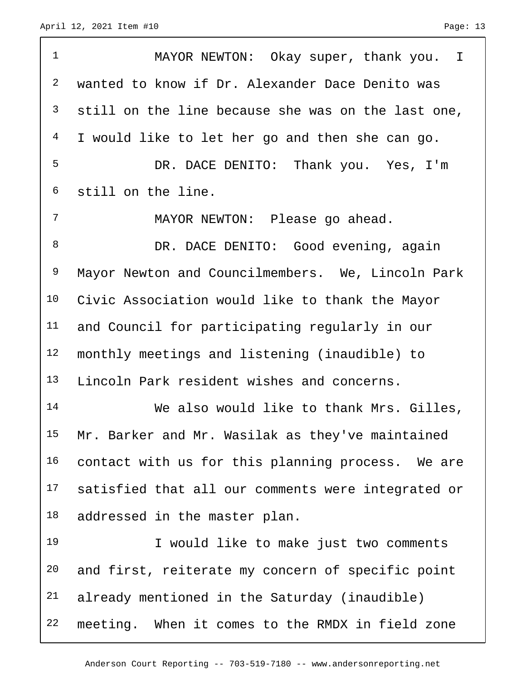ſ

| $\mathbf 1$    | MAYOR NEWTON: Okay super, thank you. I             |
|----------------|----------------------------------------------------|
| $\overline{2}$ | wanted to know if Dr. Alexander Dace Denito was    |
| 3              | still on the line because she was on the last one, |
| 4              | I would like to let her go and then she can go.    |
| 5              | DR. DACE DENITO: Thank you. Yes, I'm               |
| 6              | still on the line.                                 |
| 7              | MAYOR NEWTON: Please go ahead.                     |
| 8              | DR. DACE DENITO: Good evening, again               |
| 9              | Mayor Newton and Councilmembers. We, Lincoln Park  |
| 10             | Civic Association would like to thank the Mayor    |
| 11             | and Council for participating regularly in our     |
| 12             | monthly meetings and listening (inaudible) to      |
| 13             | Lincoln Park resident wishes and concerns.         |
| 14             | We also would like to thank Mrs. Gilles,           |
| 15             | Mr. Barker and Mr. Wasilak as they've maintained   |
| 16             | contact with us for this planning process. We are  |
| 17             | satisfied that all our comments were integrated or |
| 18             | addressed in the master plan.                      |
| 19             | I would like to make just two comments             |
| 20             | and first, reiterate my concern of specific point  |
| 21             | already mentioned in the Saturday (inaudible)      |
| 22             | meeting. When it comes to the RMDX in field zone   |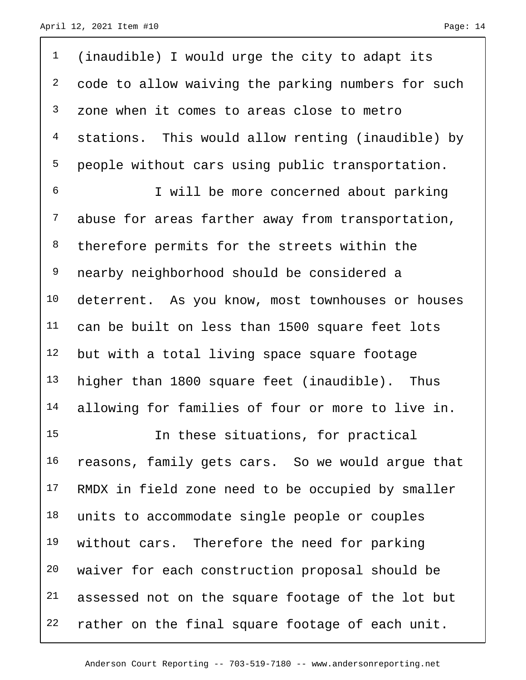| $\mathbf{1}$   | (inaudible) I would urge the city to adapt its     |
|----------------|----------------------------------------------------|
| $\overline{a}$ | code to allow waiving the parking numbers for such |
| $\mathsf{3}$   | zone when it comes to areas close to metro         |
| $\overline{4}$ | stations. This would allow renting (inaudible) by  |
| 5              | people without cars using public transportation.   |
| $\epsilon$     | I will be more concerned about parking             |
| $7\phantom{.}$ | abuse for areas farther away from transportation,  |
| 8              | therefore permits for the streets within the       |
| 9              | nearby neighborhood should be considered a         |
| 10             | deterrent. As you know, most townhouses or houses  |
| 11             | can be built on less than 1500 square feet lots    |
| 12             | but with a total living space square footage       |
| 13             | higher than 1800 square feet (inaudible). Thus     |
| 14             | allowing for families of four or more to live in.  |
| 15             | In these situations, for practical                 |
| 16             | reasons, family gets cars. So we would argue that  |
| 17             | RMDX in field zone need to be occupied by smaller  |
| 18             | units to accommodate single people or couples      |
| 19             | without cars. Therefore the need for parking       |
| 20             | waiver for each construction proposal should be    |
| 21             | assessed not on the square footage of the lot but  |
| 22             | rather on the final square footage of each unit.   |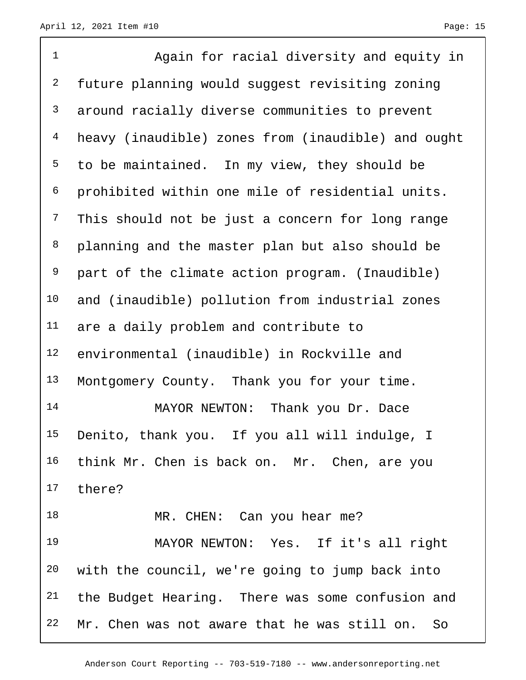| $\mathbf 1$    | Again for racial diversity and equity in           |
|----------------|----------------------------------------------------|
| $\mathbf{2}$   | future planning would suggest revisiting zoning    |
| $\mathsf{3}$   | around racially diverse communities to prevent     |
| $\overline{4}$ | heavy (inaudible) zones from (inaudible) and ought |
| 5              | to be maintained. In my view, they should be       |
| 6              | prohibited within one mile of residential units.   |
| $7\phantom{.}$ | This should not be just a concern for long range   |
| $\,8\,$        | planning and the master plan but also should be    |
| 9              | part of the climate action program. (Inaudible)    |
| 10             | and (inaudible) pollution from industrial zones    |
| 11             | are a daily problem and contribute to              |
| 12             | environmental (inaudible) in Rockville and         |
| 13             | Montgomery County. Thank you for your time.        |
| 14             | MAYOR NEWTON: Thank you Dr. Dace                   |
| 15             | Denito, thank you. If you all will indulge, I      |
| 16             | think Mr. Chen is back on. Mr. Chen, are you       |
| 17             | there?                                             |
| 18             | MR. CHEN: Can you hear me?                         |
| 19             | MAYOR NEWTON: Yes. If it's all right               |
| 20             | with the council, we're going to jump back into    |
| 21             | the Budget Hearing. There was some confusion and   |
| 22             | Mr. Chen was not aware that he was still on. So    |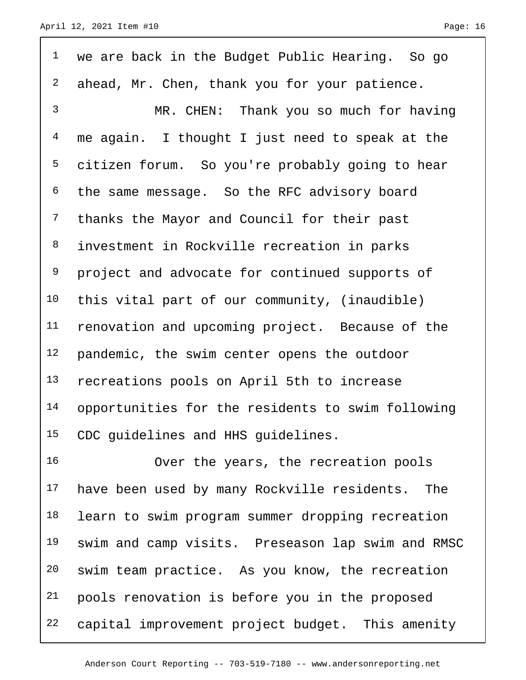| $\mathbf 1$    | we are back in the Budget Public Hearing. So go   |
|----------------|---------------------------------------------------|
| $\overline{a}$ | ahead, Mr. Chen, thank you for your patience.     |
| $\mathfrak{Z}$ | MR. CHEN: Thank you so much for having            |
| $\overline{4}$ | me again. I thought I just need to speak at the   |
| 5              | citizen forum. So you're probably going to hear   |
| 6              | the same message. So the RFC advisory board       |
| $\overline{7}$ | thanks the Mayor and Council for their past       |
| 8              | investment in Rockville recreation in parks       |
| 9              | project and advocate for continued supports of    |
| 10             | this vital part of our community, (inaudible)     |
| 11             | renovation and upcoming project. Because of the   |
| 12             | pandemic, the swim center opens the outdoor       |
| 13             | recreations pools on April 5th to increase        |
| 14             | opportunities for the residents to swim following |
| 15             | CDC guidelines and HHS guidelines.                |

 Over the years, the recreation pools 17 have been used by many Rockville residents. The 18 learn to swim program summer dropping recreation swim and camp visits. Preseason lap swim and RMSC swim team practice. As you know, the recreation pools renovation is before you in the proposed capital improvement project budget. This amenity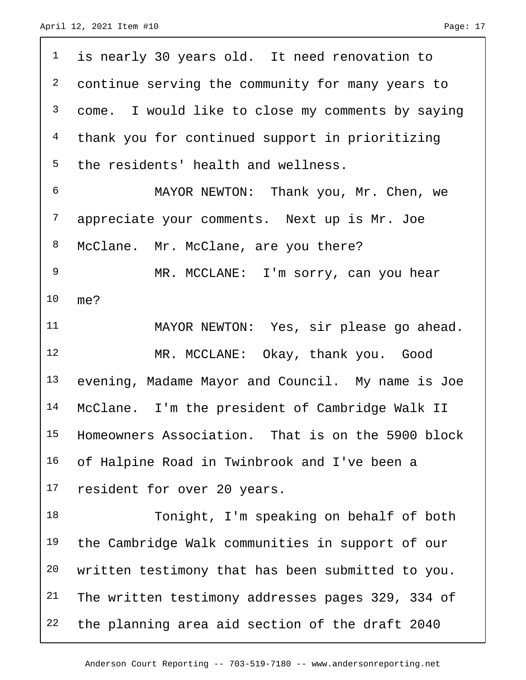| $\mathbf 1$    | is nearly 30 years old. It need renovation to     |
|----------------|---------------------------------------------------|
| $\overline{a}$ | continue serving the community for many years to  |
| 3              | come. I would like to close my comments by saying |
| $\overline{4}$ | thank you for continued support in prioritizing   |
| 5              | the residents' health and wellness.               |
| 6              | MAYOR NEWTON: Thank you, Mr. Chen, we             |
| 7              | appreciate your comments. Next up is Mr. Joe      |
| 8              | McClane. Mr. McClane, are you there?              |
| $\mathsf 9$    | MR. MCCLANE: I'm sorry, can you hear              |
| 10             | me?                                               |
| 11             | MAYOR NEWTON: Yes, sir please go ahead.           |
| 12             | MR. MCCLANE: Okay, thank you. Good                |
| 13             | evening, Madame Mayor and Council. My name is Joe |
| 14             | McClane. I'm the president of Cambridge Walk II   |
| 15             | Homeowners Association. That is on the 5900 block |
| 16             | of Halpine Road in Twinbrook and I've been a      |
| 17             | resident for over 20 years.                       |
| 18             | Tonight, I'm speaking on behalf of both           |
| 19             | the Cambridge Walk communities in support of our  |
| 20             | written testimony that has been submitted to you. |
| 21             | The written testimony addresses pages 329, 334 of |
| 22             | the planning area aid section of the draft 2040   |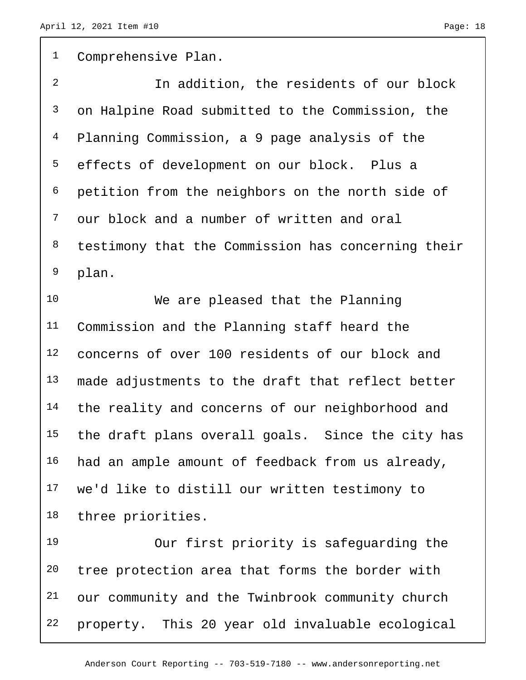Comprehensive Plan. In addition, the residents of our block on Halpine Road submitted to the Commission, the Planning Commission, a 9 page analysis of the effects of development on our block. Plus a petition from the neighbors on the north side of our block and a number of written and oral testimony that the Commission has concerning their plan. We are pleased that the Planning Commission and the Planning staff heard the concerns of over 100 residents of our block and 13 made adjustments to the draft that reflect better 14 the reality and concerns of our neighborhood and the draft plans overall goals. Since the city has 16 had an ample amount of feedback from us already, we'd like to distill our written testimony to three priorities. Our first priority is safeguarding the

 tree protection area that forms the border with our community and the Twinbrook community church property. This 20 year old invaluable ecological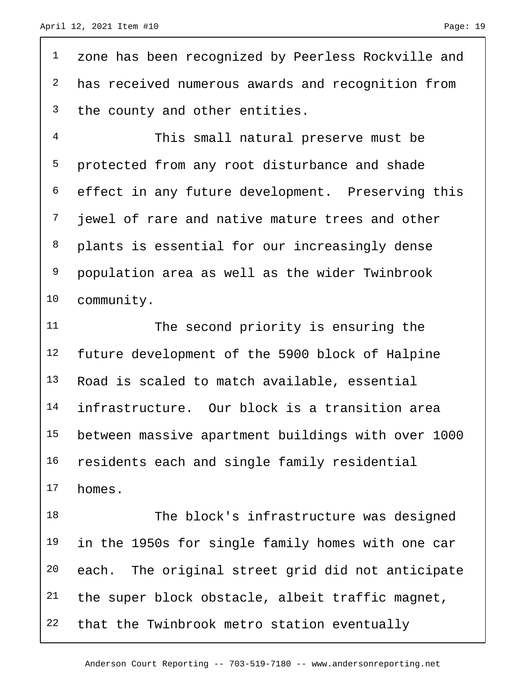<sup>1</sup> zone has been recognized by Peerless Rockville and has received numerous awards and recognition from <sup>3</sup> the county and other entities.

 This small natural preserve must be protected from any root disturbance and shade effect in any future development. Preserving this <sup>7</sup> jewel of rare and native mature trees and other plants is essential for our increasingly dense population area as well as the wider Twinbrook community.

 The second priority is ensuring the future development of the 5900 block of Halpine Road is scaled to match available, essential infrastructure. Our block is a transition area between massive apartment buildings with over 1000 residents each and single family residential homes.

18 The block's infrastructure was designed 19 in the 1950s for single family homes with one car each. The original street grid did not anticipate the super block obstacle, albeit traffic magnet, that the Twinbrook metro station eventually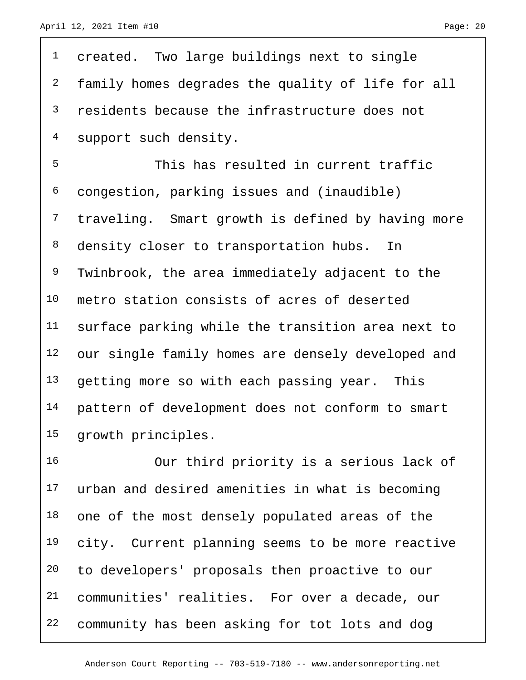| $\mathbf 1$    | created. Two large buildings next to single       |
|----------------|---------------------------------------------------|
| $\overline{a}$ | family homes degrades the quality of life for all |
| 3              | residents because the infrastructure does not     |
| 4              | support such density.                             |
| 5              | This has resulted in current traffic              |
| 6              | congestion, parking issues and (inaudible)        |
| 7              | traveling. Smart growth is defined by having more |
| 8              | density closer to transportation hubs.<br>In      |
| 9              | Twinbrook, the area immediately adjacent to the   |
| 10             | metro station consists of acres of deserted       |
| 11             | surface parking while the transition area next to |
| 12             | our single family homes are densely developed and |
| 13             | getting more so with each passing year. This      |
| 14             | pattern of development does not conform to smart  |
| 15             | growth principles.                                |
| 16             | Our third priority is a serious lack of           |
| 17             | urban and desired amenities in what is becoming   |

18 one of the most densely populated areas of the 19 city. Current planning seems to be more reactive to developers' proposals then proactive to our communities' realities. For over a decade, our community has been asking for tot lots and dog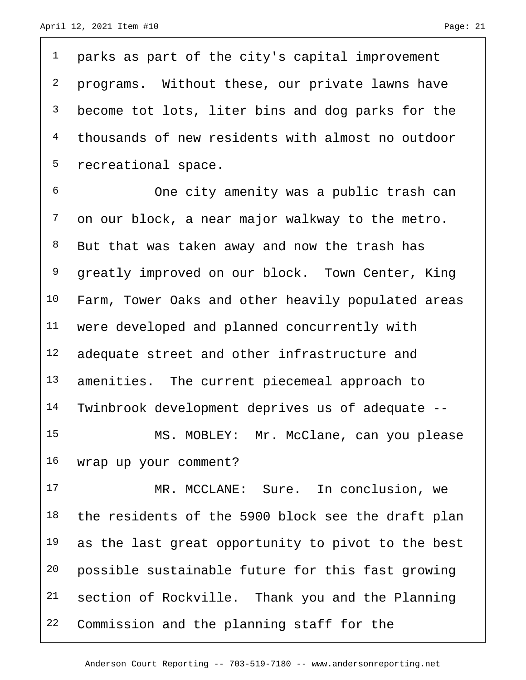<sup>1</sup> parks as part of the city's capital improvement <sup>2</sup> programs. Without these, our private lawns have 3 become tot lots, liter bins and dog parks for the 4 thousands of new residents with almost no outdoor 5 recreational space.

 One city amenity was a public trash can on our block, a near major walkway to the metro. 8 But that was taken away and now the trash has <sup>9</sup> greatly improved on our block. Town Center, King Farm, Tower Oaks and other heavily populated areas were developed and planned concurrently with 12 adequate street and other infrastructure and 13 amenities. The current piecemeal approach to Twinbrook development deprives us of adequate -- MS. MOBLEY: Mr. McClane, can you please wrap up your comment?

17 MR. MCCLANE: Sure. In conclusion, we 18 the residents of the 5900 block see the draft plan as the last great opportunity to pivot to the best possible sustainable future for this fast growing section of Rockville. Thank you and the Planning Commission and the planning staff for the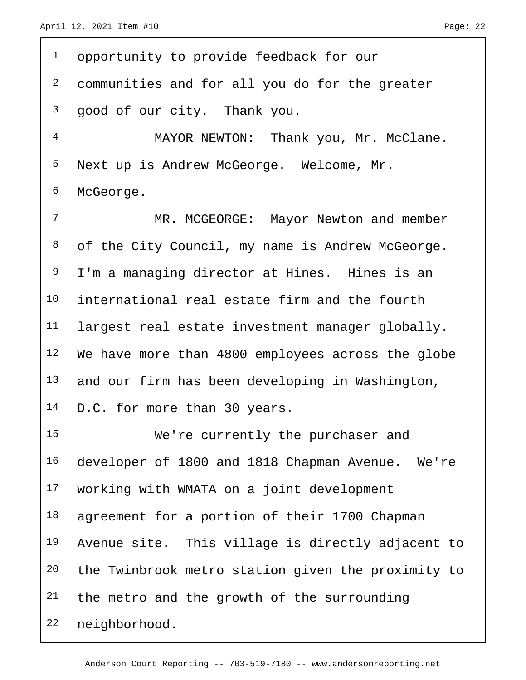$\Gamma$ 

| $\mathbf 1$    | opportunity to provide feedback for our            |
|----------------|----------------------------------------------------|
| $\overline{a}$ | communities and for all you do for the greater     |
| 3              | good of our city. Thank you.                       |
| $\overline{4}$ | MAYOR NEWTON: Thank you, Mr. McClane.              |
| 5              | Next up is Andrew McGeorge. Welcome, Mr.           |
| 6              | McGeorge.                                          |
| 7              | MR. MCGEORGE: Mayor Newton and member              |
| 8              | of the City Council, my name is Andrew McGeorge.   |
| 9              | I'm a managing director at Hines. Hines is an      |
| 10             | international real estate firm and the fourth      |
| 11             | largest real estate investment manager globally.   |
| 12             | We have more than 4800 employees across the globe  |
| 13             | and our firm has been developing in Washington,    |
| 14             | D.C. for more than 30 years.                       |
| 15             | We're currently the purchaser and                  |
| 16             | developer of 1800 and 1818 Chapman Avenue. We're   |
| 17             | working with WMATA on a joint development          |
| 18             | agreement for a portion of their 1700 Chapman      |
| 19             | Avenue site. This village is directly adjacent to  |
| 20             | the Twinbrook metro station given the proximity to |
| 21             | the metro and the growth of the surrounding        |
| 22             | neighborhood.                                      |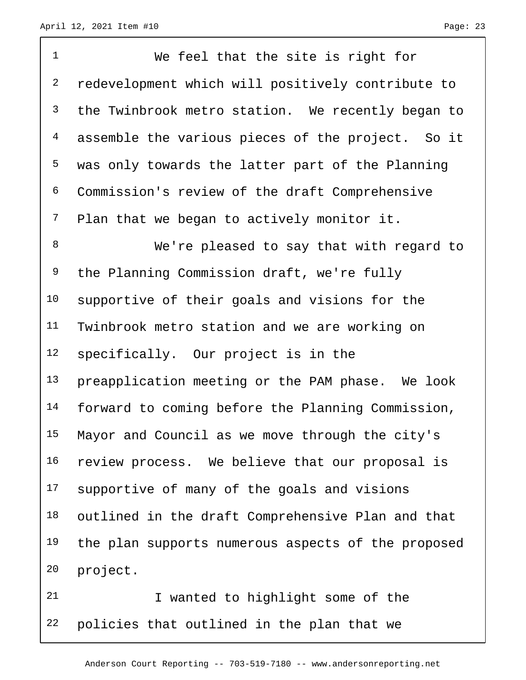We feel that the site is right for redevelopment which will positively contribute to <sup>3</sup> the Twinbrook metro station. We recently began to assemble the various pieces of the project. So it was only towards the latter part of the Planning Commission's review of the draft Comprehensive 7 Plan that we began to actively monitor it. 8 We're pleased to say that with regard to the Planning Commission draft, we're fully supportive of their goals and visions for the Twinbrook metro station and we are working on specifically. Our project is in the preapplication meeting or the PAM phase. We look forward to coming before the Planning Commission, Mayor and Council as we move through the city's review process. We believe that our proposal is supportive of many of the goals and visions outlined in the draft Comprehensive Plan and that 19 the plan supports numerous aspects of the proposed project.

 I wanted to highlight some of the policies that outlined in the plan that we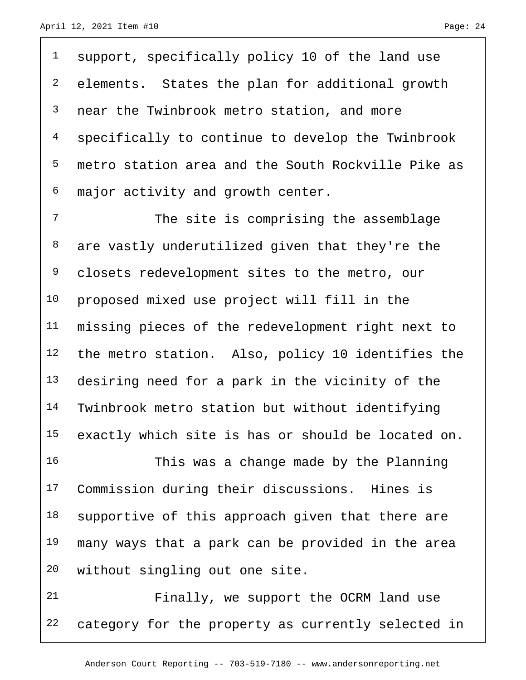1 support, specifically policy 10 of the land use elements. States the plan for additional growth near the Twinbrook metro station, and more specifically to continue to develop the Twinbrook metro station area and the South Rockville Pike as major activity and growth center.

7 The site is comprising the assemblage 8 are vastly underutilized given that they're the 9 closets redevelopment sites to the metro, our proposed mixed use project will fill in the missing pieces of the redevelopment right next to the metro station. Also, policy 10 identifies the desiring need for a park in the vicinity of the Twinbrook metro station but without identifying exactly which site is has or should be located on.

 This was a change made by the Planning Commission during their discussions. Hines is 18 supportive of this approach given that there are many ways that a park can be provided in the area without singling out one site.

 Finally, we support the OCRM land use category for the property as currently selected in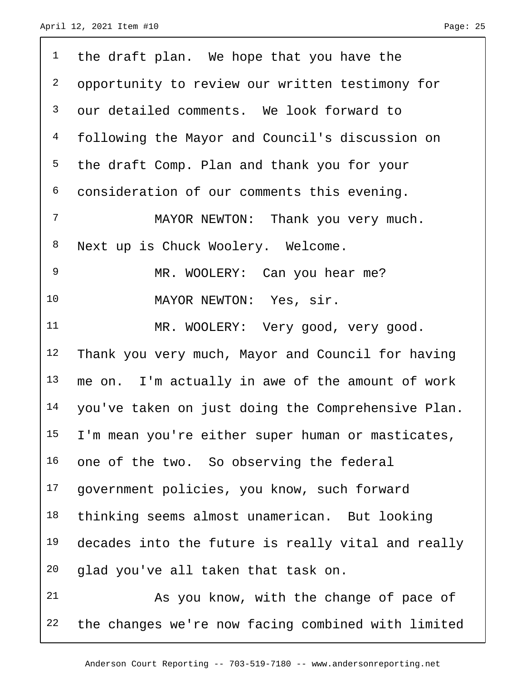| $\mathbf 1$    | the draft plan. We hope that you have the          |
|----------------|----------------------------------------------------|
| $\overline{a}$ | opportunity to review our written testimony for    |
| 3              | our detailed comments. We look forward to          |
| $\overline{4}$ | following the Mayor and Council's discussion on    |
| 5              | the draft Comp. Plan and thank you for your        |
| 6              | consideration of our comments this evening.        |
| 7              | MAYOR NEWTON: Thank you very much.                 |
| 8              | Next up is Chuck Woolery. Welcome.                 |
| 9              | MR. WOOLERY: Can you hear me?                      |
| 10             | MAYOR NEWTON: Yes, sir.                            |
| 11             | MR. WOOLERY: Very good, very good.                 |
| 12             | Thank you very much, Mayor and Council for having  |
| 13             | me on. I'm actually in awe of the amount of work   |
| 14             | you've taken on just doing the Comprehensive Plan. |
| 15             | I'm mean you're either super human or masticates,  |
| 16             | one of the two. So observing the federal           |
| 17             | government policies, you know, such forward        |
| 18             | thinking seems almost unamerican. But looking      |
| 19             | decades into the future is really vital and really |
| 20             | glad you've all taken that task on.                |
| 21             | As you know, with the change of pace of            |
| 22             | the changes we're now facing combined with limited |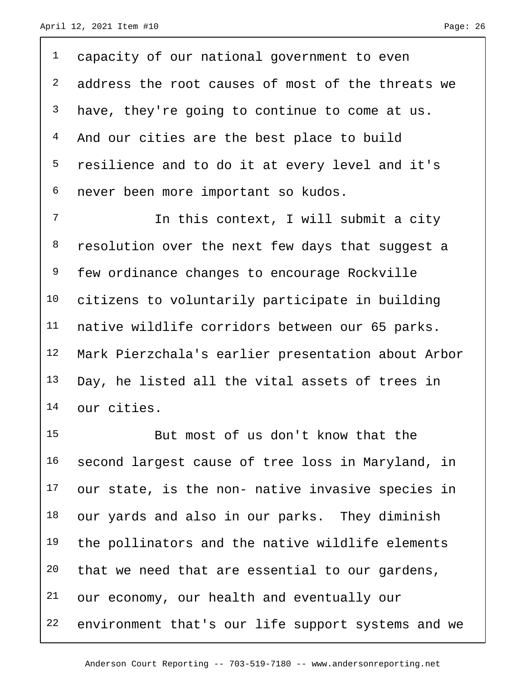<sup>1</sup> capacity of our national government to even <sup>2</sup> address the root causes of most of the threats we <sup>3</sup> have, they're going to continue to come at us. 4 And our cities are the best place to build 5 resilience and to do it at every level and it's 6 never been more important so kudos.

7 11 In this context, I will submit a city 8 resolution over the next few days that suggest a few ordinance changes to encourage Rockville citizens to voluntarily participate in building native wildlife corridors between our 65 parks. Mark Pierzchala's earlier presentation about Arbor 13 Day, he listed all the vital assets of trees in our cities.

 But most of us don't know that the second largest cause of tree loss in Maryland, in our state, is the non- native invasive species in 18 our yards and also in our parks. They diminish the pollinators and the native wildlife elements that we need that are essential to our gardens, our economy, our health and eventually our environment that's our life support systems and we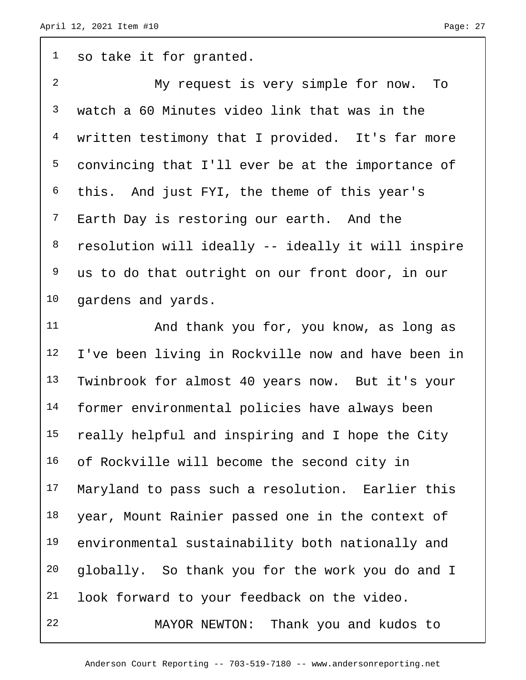<sup>1</sup> so take it for granted. My request is very simple for now. To watch a 60 Minutes video link that was in the written testimony that I provided. It's far more convincing that I'll ever be at the importance of this. And just FYI, the theme of this year's <sup>7</sup> Earth Day is restoring our earth. And the resolution will ideally -- ideally it will inspire us to do that outright on our front door, in our gardens and yards. And thank you for, you know, as long as

 I've been living in Rockville now and have been in Twinbrook for almost 40 years now. But it's your former environmental policies have always been really helpful and inspiring and I hope the City of Rockville will become the second city in Maryland to pass such a resolution. Earlier this year, Mount Rainier passed one in the context of environmental sustainability both nationally and globally. So thank you for the work you do and I look forward to your feedback on the video. MAYOR NEWTON: Thank you and kudos to

Anderson Court Reporting -- 703-519-7180 -- www.andersonreporting.net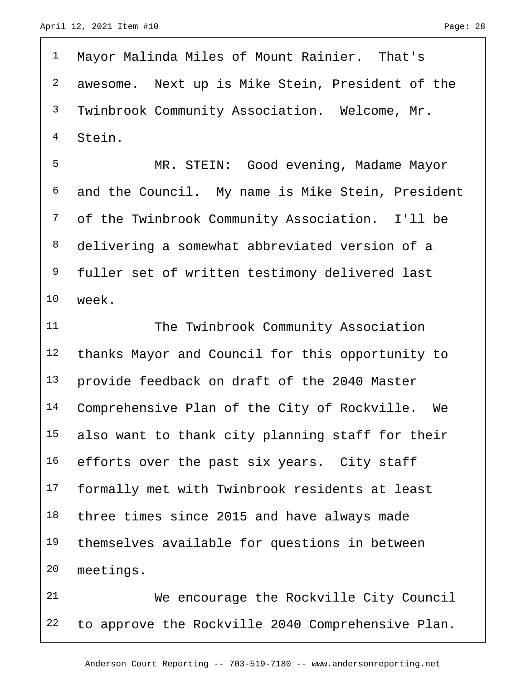Mayor Malinda Miles of Mount Rainier. That's awesome. Next up is Mike Stein, President of the Twinbrook Community Association. Welcome, Mr. Stein.

 MR. STEIN: Good evening, Madame Mayor and the Council. My name is Mike Stein, President of the Twinbrook Community Association. I'll be delivering a somewhat abbreviated version of a fuller set of written testimony delivered last week.

11 The Twinbrook Community Association thanks Mayor and Council for this opportunity to provide feedback on draft of the 2040 Master Comprehensive Plan of the City of Rockville. We also want to thank city planning staff for their 16 efforts over the past six years. City staff formally met with Twinbrook residents at least three times since 2015 and have always made themselves available for questions in between meetings.

 We encourage the Rockville City Council to approve the Rockville 2040 Comprehensive Plan.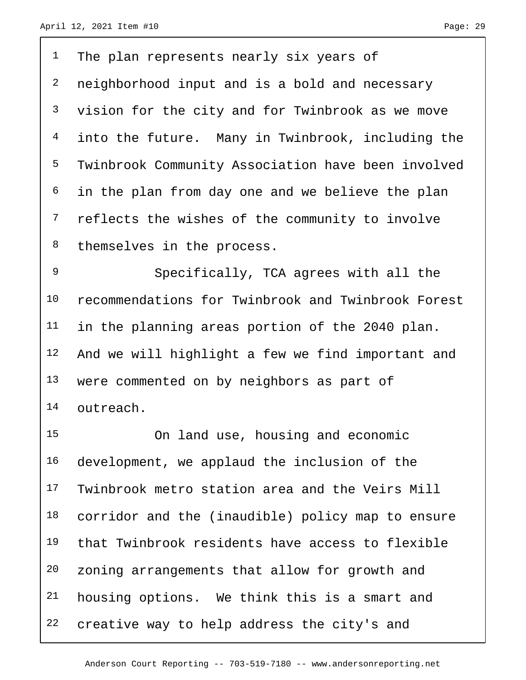The plan represents nearly six years of 2 neighborhood input and is a bold and necessary vision for the city and for Twinbrook as we move into the future. Many in Twinbrook, including the Twinbrook Community Association have been involved <sup>6</sup> in the plan from day one and we believe the plan <sup>7</sup> reflects the wishes of the community to involve 8 themselves in the process.

 Specifically, TCA agrees with all the recommendations for Twinbrook and Twinbrook Forest 11 in the planning areas portion of the 2040 plan. And we will highlight a few we find important and 13 were commented on by neighbors as part of outreach.

 On land use, housing and economic development, we applaud the inclusion of the Twinbrook metro station area and the Veirs Mill corridor and the (inaudible) policy map to ensure that Twinbrook residents have access to flexible zoning arrangements that allow for growth and housing options. We think this is a smart and creative way to help address the city's and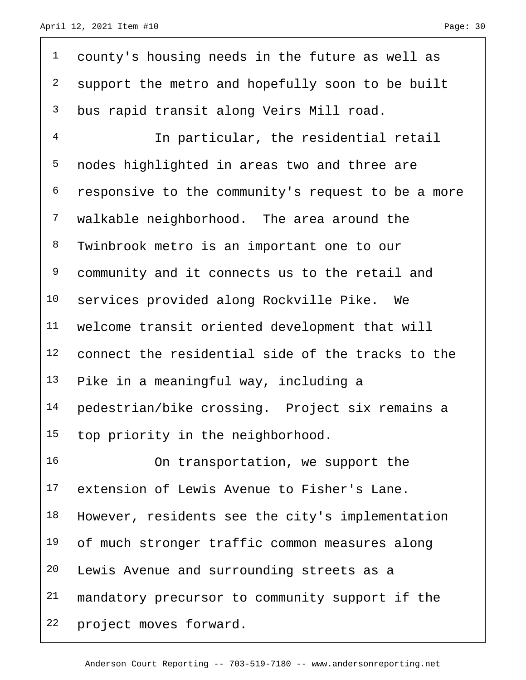county's housing needs in the future as well as <sup>2</sup> support the metro and hopefully soon to be built bus rapid transit along Veirs Mill road. In particular, the residential retail nodes highlighted in areas two and three are responsive to the community's request to be a more walkable neighborhood. The area around the Twinbrook metro is an important one to our community and it connects us to the retail and services provided along Rockville Pike. We welcome transit oriented development that will connect the residential side of the tracks to the Pike in a meaningful way, including a pedestrian/bike crossing. Project six remains a 15 top priority in the neighborhood. On transportation, we support the

 extension of Lewis Avenue to Fisher's Lane. However, residents see the city's implementation 19 of much stronger traffic common measures along Lewis Avenue and surrounding streets as a 21 mandatory precursor to community support if the project moves forward.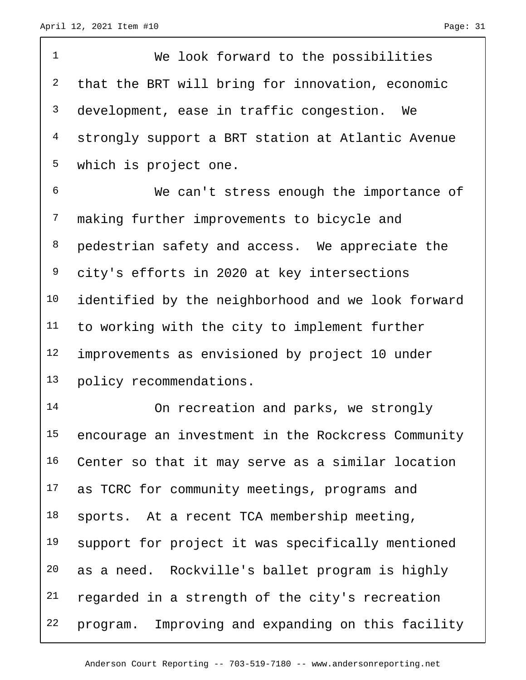| $\mathbf 1$    | We look forward to the possibilities               |
|----------------|----------------------------------------------------|
| $\overline{c}$ | that the BRT will bring for innovation, economic   |
| $\mathsf{3}$   | development, ease in traffic congestion. We        |
| 4              | strongly support a BRT station at Atlantic Avenue  |
| 5              | which is project one.                              |
| 6              | We can't stress enough the importance of           |
| 7              | making further improvements to bicycle and         |
| 8              | pedestrian safety and access. We appreciate the    |
| 9              | city's efforts in 2020 at key intersections        |
| 10             | identified by the neighborhood and we look forward |
| 11             | to working with the city to implement further      |
| 12             | improvements as envisioned by project 10 under     |
| 13             | policy recommendations.                            |
| 14             | On recreation and parks, we strongly               |
| 15             | encourage an investment in the Rockcress Community |
| 16             | Center so that it may serve as a similar location  |
| 17             | as TCRC for community meetings, programs and       |
| 18             | sports. At a recent TCA membership meeting,        |
| 19             | support for project it was specifically mentioned  |
| 20             | as a need. Rockville's ballet program is highly    |
| 21             | regarded in a strength of the city's recreation    |
| 22             | program. Improving and expanding on this facility  |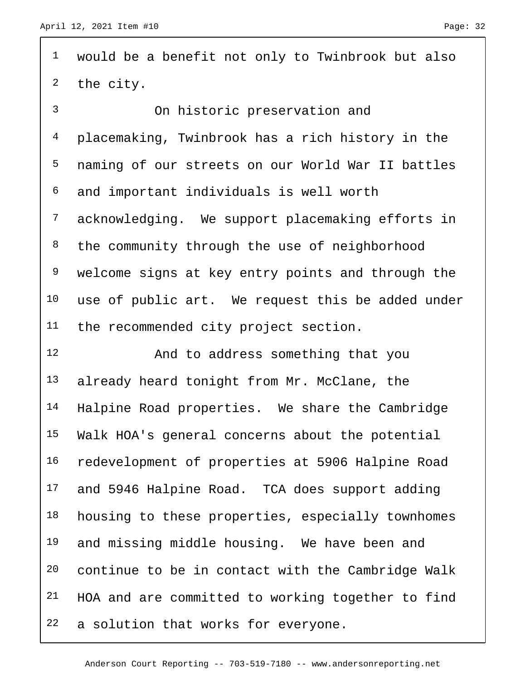| $\mathbf{1}$   | would be a benefit not only to Twinbrook but also |
|----------------|---------------------------------------------------|
| 2              | the city.                                         |
| $\mathfrak{Z}$ | On historic preservation and                      |
| 4              | placemaking, Twinbrook has a rich history in the  |
| 5              | naming of our streets on our World War II battles |
| 6              | and important individuals is well worth           |
| 7              | acknowledging. We support placemaking efforts in  |
| 8              | the community through the use of neighborhood     |
| 9              | welcome signs at key entry points and through the |
| 10             | use of public art. We request this be added under |
| 11             | the recommended city project section.             |
|                |                                                   |
| 12             | And to address something that you                 |
| 13             | already heard tonight from Mr. McClane, the       |
| 14             | Halpine Road properties. We share the Cambridge   |
| 15             | Walk HOA's general concerns about the potential   |
| 16             | redevelopment of properties at 5906 Halpine Road  |
| 17             | and 5946 Halpine Road. TCA does support adding    |
| 18             | housing to these properties, especially townhomes |
| 19             | and missing middle housing. We have been and      |
| 20             | continue to be in contact with the Cambridge Walk |
| 21             | HOA and are committed to working together to find |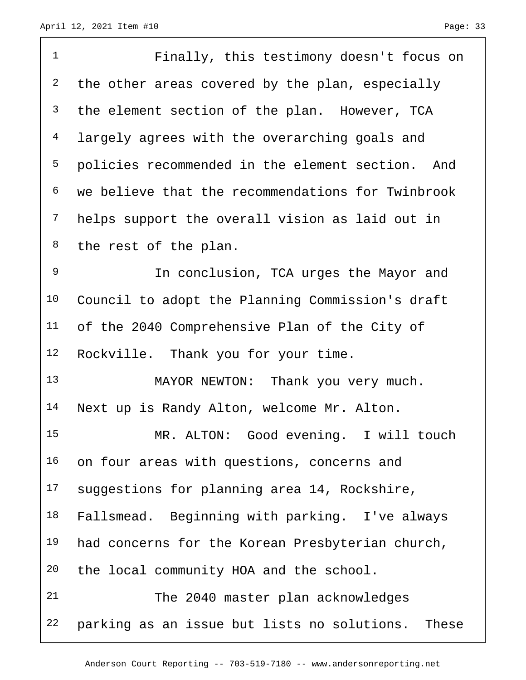| $\mathbf 1$    | Finally, this testimony doesn't focus on          |
|----------------|---------------------------------------------------|
| 2              | the other areas covered by the plan, especially   |
| $\mathsf{3}$   | the element section of the plan. However, TCA     |
| $\overline{4}$ | largely agrees with the overarching goals and     |
| 5              | policies recommended in the element section. And  |
| 6              | we believe that the recommendations for Twinbrook |
| $\overline{7}$ | helps support the overall vision as laid out in   |
| 8              | the rest of the plan.                             |
| $\mathsf 9$    | In conclusion, TCA urges the Mayor and            |
| 10             | Council to adopt the Planning Commission's draft  |
| 11             | of the 2040 Comprehensive Plan of the City of     |
| 12             | Rockville. Thank you for your time.               |
| 13             | MAYOR NEWTON: Thank you very much.                |
| 14             | Next up is Randy Alton, welcome Mr. Alton.        |
| 15             | MR. ALTON: Good evening. I will touch             |
| 16             | on four areas with questions, concerns and        |
| 17             | suggestions for planning area 14, Rockshire,      |
| 18             | Fallsmead. Beginning with parking. I've always    |
| 19             | had concerns for the Korean Presbyterian church,  |
| 20             | the local community HOA and the school.           |
| 21             | The 2040 master plan acknowledges                 |
| 22             | parking as an issue but lists no solutions. These |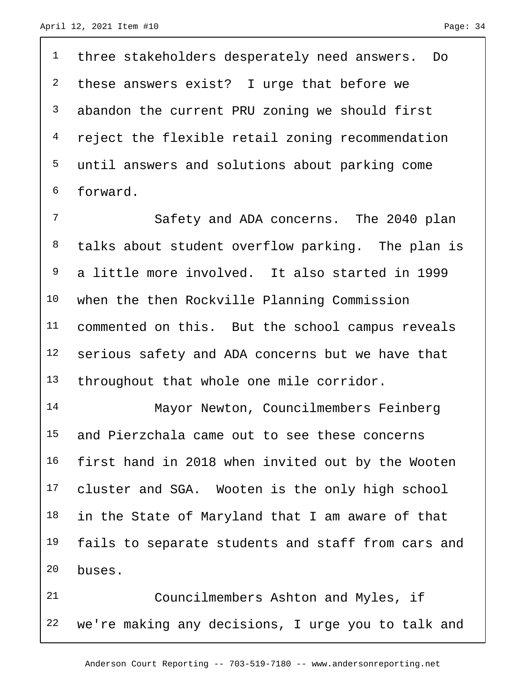<sup>1</sup> three stakeholders desperately need answers. Do <sup>2</sup> these answers exist? I urge that before we abandon the current PRU zoning we should first reject the flexible retail zoning recommendation until answers and solutions about parking come forward.

 Safety and ADA concerns. The 2040 plan talks about student overflow parking. The plan is a little more involved. It also started in 1999 when the then Rockville Planning Commission commented on this. But the school campus reveals serious safety and ADA concerns but we have that 13 throughout that whole one mile corridor.

 Mayor Newton, Councilmembers Feinberg and Pierzchala came out to see these concerns first hand in 2018 when invited out by the Wooten 17 cluster and SGA. Wooten is the only high school in the State of Maryland that I am aware of that 19 fails to separate students and staff from cars and buses.

 Councilmembers Ashton and Myles, if we're making any decisions, I urge you to talk and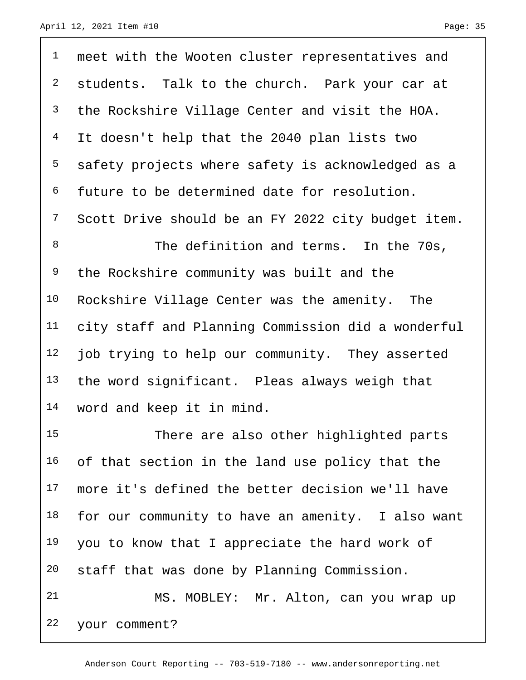<sup>1</sup> meet with the Wooten cluster representatives and <sup>2</sup> students. Talk to the church. Park your car at the Rockshire Village Center and visit the HOA. It doesn't help that the 2040 plan lists two safety projects where safety is acknowledged as a future to be determined date for resolution. Scott Drive should be an FY 2022 city budget item. 8 The definition and terms. In the 70s, <sup>9</sup> the Rockshire community was built and the Rockshire Village Center was the amenity. The city staff and Planning Commission did a wonderful 12 job trying to help our community. They asserted the word significant. Pleas always weigh that word and keep it in mind. There are also other highlighted parts

16 of that section in the land use policy that the more it's defined the better decision we'll have 18 for our community to have an amenity. I also want you to know that I appreciate the hard work of staff that was done by Planning Commission.

 MS. MOBLEY: Mr. Alton, can you wrap up your comment?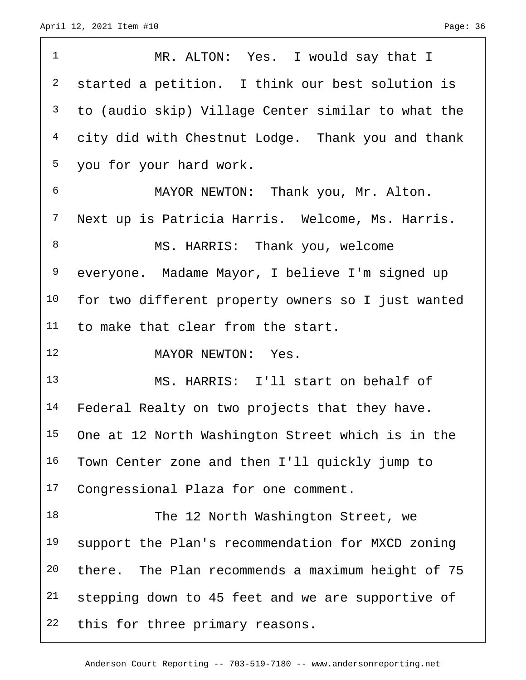$\sqrt{ }$ 

| $\mathbf{1}$    | MR. ALTON: Yes. I would say that I                 |
|-----------------|----------------------------------------------------|
| $\overline{a}$  | started a petition. I think our best solution is   |
| 3               | to (audio skip) Village Center similar to what the |
| $4\overline{ }$ | city did with Chestnut Lodge. Thank you and thank  |
| 5               | you for your hard work.                            |
| 6               | MAYOR NEWTON: Thank you, Mr. Alton.                |
| $7\phantom{.}$  | Next up is Patricia Harris. Welcome, Ms. Harris.   |
| 8               | MS. HARRIS: Thank you, welcome                     |
| 9               | everyone. Madame Mayor, I believe I'm signed up    |
| 10              | for two different property owners so I just wanted |
| 11              | to make that clear from the start.                 |
| 12              | MAYOR NEWTON: Yes.                                 |
| 13              | MS. HARRIS: I'll start on behalf of                |
| 14              | Federal Realty on two projects that they have.     |
| 15              | One at 12 North Washington Street which is in the  |
| 16              | Town Center zone and then I'll quickly jump to     |
| 17              | Congressional Plaza for one comment.               |
| 18              | The 12 North Washington Street, we                 |
| 19              | support the Plan's recommendation for MXCD zoning  |
| 20              | there. The Plan recommends a maximum height of 75  |
| 21              |                                                    |
|                 | stepping down to 45 feet and we are supportive of  |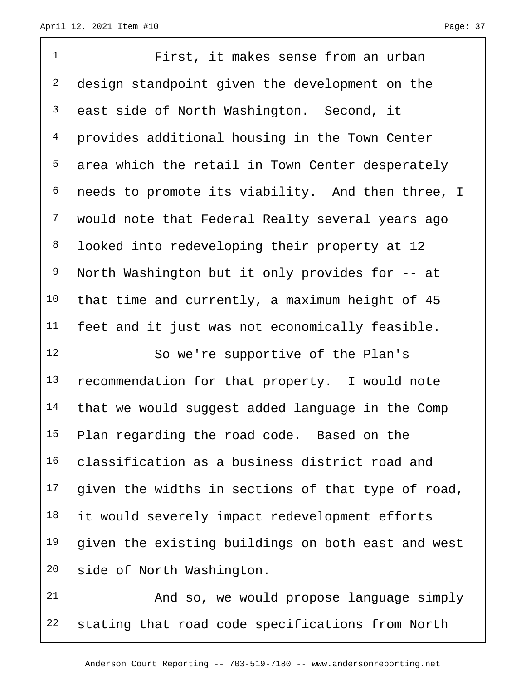| $\mathbf 1$    | First, it makes sense from an urban                |
|----------------|----------------------------------------------------|
| $\overline{a}$ | design standpoint given the development on the     |
| 3              | east side of North Washington. Second, it          |
| $\overline{4}$ | provides additional housing in the Town Center     |
| 5              | area which the retail in Town Center desperately   |
| 6              | needs to promote its viability. And then three, I  |
| 7              | would note that Federal Realty several years ago   |
| 8              | looked into redeveloping their property at 12      |
| 9              | North Washington but it only provides for -- at    |
| 10             | that time and currently, a maximum height of 45    |
| 11             | feet and it just was not economically feasible.    |
| 12             | So we're supportive of the Plan's                  |
| 13             | recommendation for that property. I would note     |
| 14             | that we would suggest added language in the Comp   |
| 15             | Plan regarding the road code. Based on the         |
| 16             | classification as a business district road and     |
| 17             | given the widths in sections of that type of road, |
| 18             | it would severely impact redevelopment efforts     |
| 19             | given the existing buildings on both east and west |
| 20             | side of North Washington.                          |
| 2.1            | and so we would propose language simply            |

 And so, we would propose language simply stating that road code specifications from North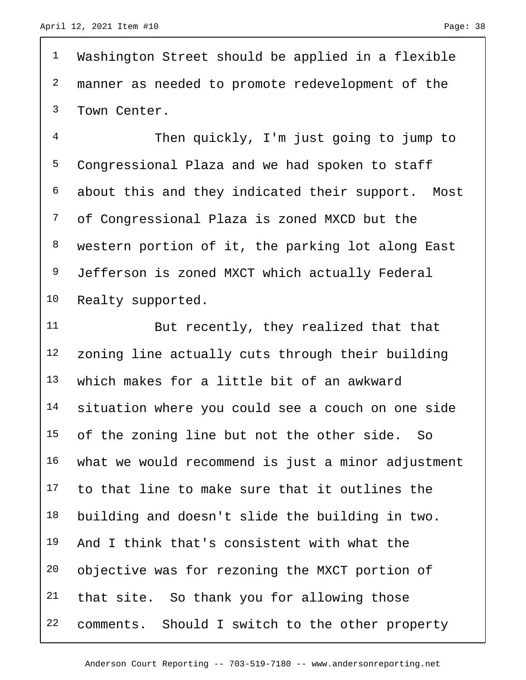Washington Street should be applied in a flexible manner as needed to promote redevelopment of the Town Center.

 Then quickly, I'm just going to jump to Congressional Plaza and we had spoken to staff about this and they indicated their support. Most of Congressional Plaza is zoned MXCD but the western portion of it, the parking lot along East Jefferson is zoned MXCT which actually Federal Realty supported.

 But recently, they realized that that zoning line actually cuts through their building which makes for a little bit of an awkward situation where you could see a couch on one side 15 of the zoning line but not the other side. So what we would recommend is just a minor adjustment to that line to make sure that it outlines the building and doesn't slide the building in two. And I think that's consistent with what the objective was for rezoning the MXCT portion of that site. So thank you for allowing those 22 comments. Should I switch to the other property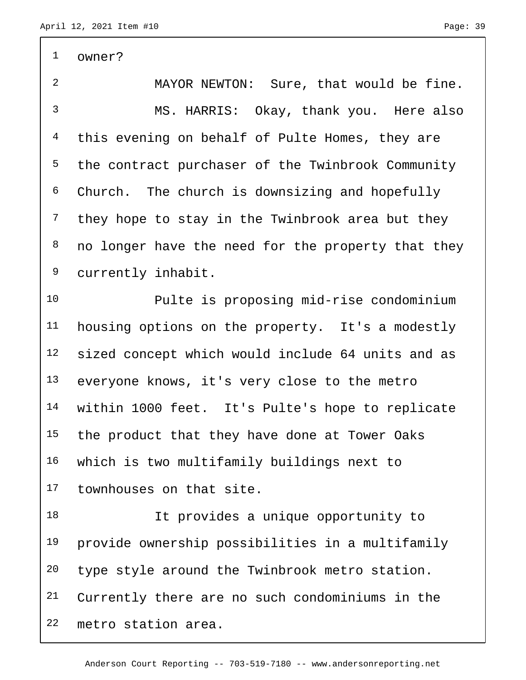owner? MAYOR NEWTON: Sure, that would be fine. MS. HARRIS: Okay, thank you. Here also 4 this evening on behalf of Pulte Homes, they are the contract purchaser of the Twinbrook Community Church. The church is downsizing and hopefully <sup>7</sup> they hope to stay in the Twinbrook area but they no longer have the need for the property that they currently inhabit. Pulte is proposing mid-rise condominium housing options on the property. It's a modestly sized concept which would include 64 units and as everyone knows, it's very close to the metro within 1000 feet. It's Pulte's hope to replicate 15 the product that they have done at Tower Oaks which is two multifamily buildings next to townhouses on that site. It provides a unique opportunity to provide ownership possibilities in a multifamily type style around the Twinbrook metro station. Currently there are no such condominiums in the

metro station area.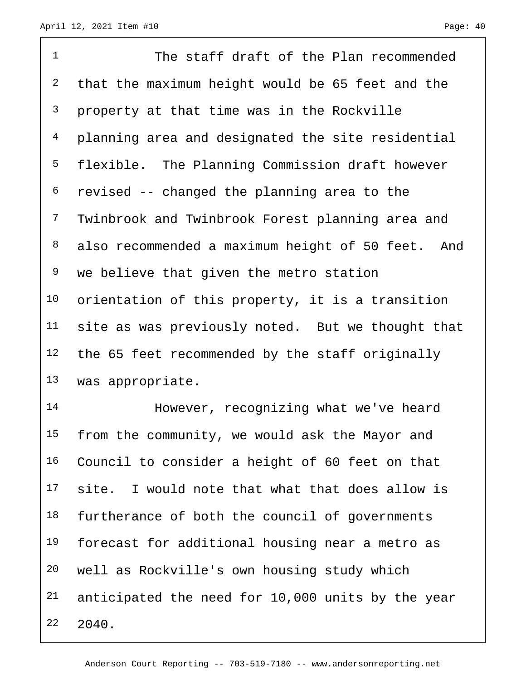1 The staff draft of the Plan recommended that the maximum height would be 65 feet and the property at that time was in the Rockville planning area and designated the site residential flexible. The Planning Commission draft however revised -- changed the planning area to the Twinbrook and Twinbrook Forest planning area and also recommended a maximum height of 50 feet. And <sup>9</sup> we believe that given the metro station orientation of this property, it is a transition site as was previously noted. But we thought that 12 the 65 feet recommended by the staff originally was appropriate.

 However, recognizing what we've heard 15 from the community, we would ask the Mayor and Council to consider a height of 60 feet on that site. I would note that what that does allow is 18 furtherance of both the council of governments 19 forecast for additional housing near a metro as well as Rockville's own housing study which anticipated the need for 10,000 units by the year 2040.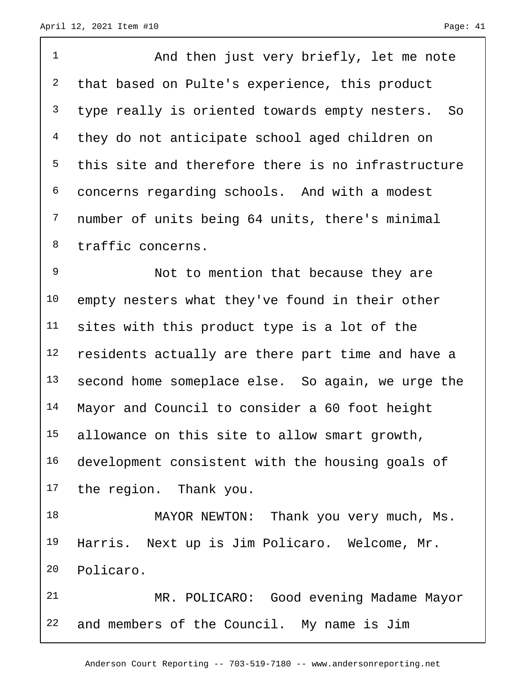1 And then just very briefly, let me note 2 that based on Pulte's experience, this product <sup>3</sup> type really is oriented towards empty nesters. So 4 they do not anticipate school aged children on this site and therefore there is no infrastructure concerns regarding schools. And with a modest number of units being 64 units, there's minimal traffic concerns. Not to mention that because they are 10 empty nesters what they've found in their other sites with this product type is a lot of the

 residents actually are there part time and have a second home someplace else. So again, we urge the Mayor and Council to consider a 60 foot height allowance on this site to allow smart growth, development consistent with the housing goals of the region. Thank you.

18 MAYOR NEWTON: Thank you very much, Ms. Harris. Next up is Jim Policaro. Welcome, Mr. Policaro.

 MR. POLICARO: Good evening Madame Mayor and members of the Council. My name is Jim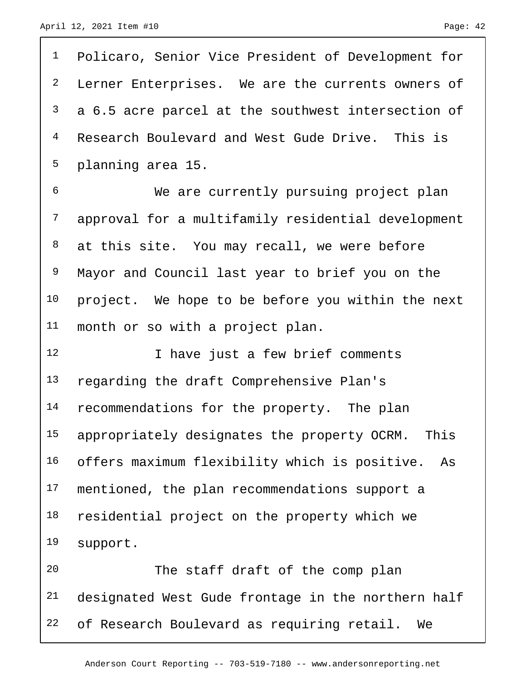| $\mathbf 1$    | Policaro, Senior Vice President of Development for  |
|----------------|-----------------------------------------------------|
| $\overline{a}$ | Lerner Enterprises. We are the currents owners of   |
| 3              | a 6.5 acre parcel at the southwest intersection of  |
| $\overline{4}$ | Research Boulevard and West Gude Drive. This is     |
| 5              | planning area 15.                                   |
| 6              | We are currently pursuing project plan              |
| $\overline{7}$ | approval for a multifamily residential development  |
| 8              | at this site. You may recall, we were before        |
| 9              | Mayor and Council last year to brief you on the     |
| 10             | project. We hope to be before you within the next   |
| 11             | month or so with a project plan.                    |
| 12             | I have just a few brief comments                    |
| 13             | regarding the draft Comprehensive Plan's            |
| 14             | recommendations for the property. The plan          |
| 15             | appropriately designates the property OCRM. This    |
| 16             |                                                     |
|                | offers maximum flexibility which is positive.<br>As |
| 17             | mentioned, the plan recommendations support a       |
| 18             | residential project on the property which we        |
| 19             | support.                                            |
| 20             | The staff draft of the comp plan                    |
| 21             | designated West Gude frontage in the northern half  |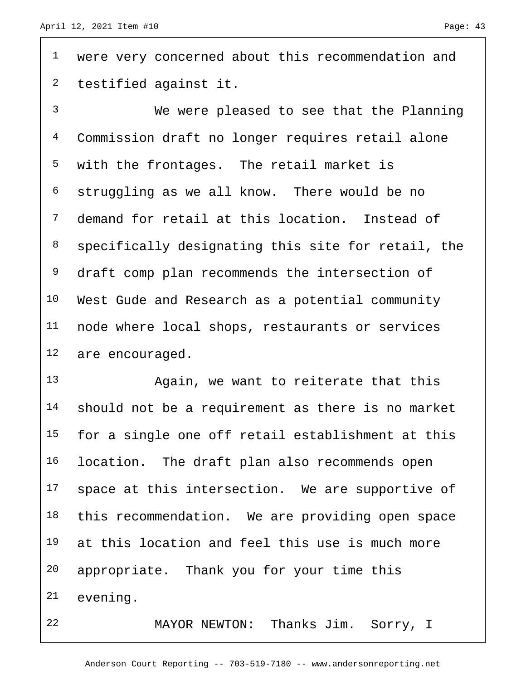<sup>1</sup> were very concerned about this recommendation and testified against it.

 We were pleased to see that the Planning Commission draft no longer requires retail alone with the frontages. The retail market is struggling as we all know. There would be no demand for retail at this location. Instead of specifically designating this site for retail, the 9 draft comp plan recommends the intersection of West Gude and Research as a potential community node where local shops, restaurants or services are encouraged.

 Again, we want to reiterate that this should not be a requirement as there is no market for a single one off retail establishment at this location. The draft plan also recommends open 17 space at this intersection. We are supportive of 18 this recommendation. We are providing open space at this location and feel this use is much more appropriate. Thank you for your time this evening.

MAYOR NEWTON: Thanks Jim. Sorry, I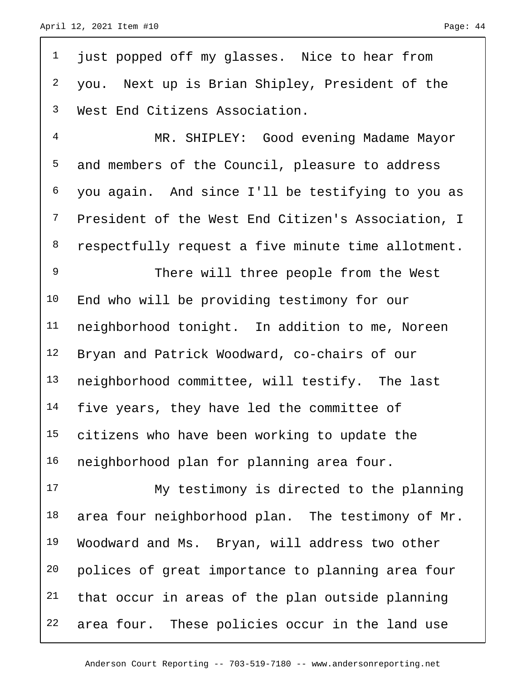just popped off my glasses. Nice to hear from you. Next up is Brian Shipley, President of the West End Citizens Association.

 MR. SHIPLEY: Good evening Madame Mayor and members of the Council, pleasure to address you again. And since I'll be testifying to you as President of the West End Citizen's Association, I 8 respectfully request a five minute time allotment.

9 There will three people from the West End who will be providing testimony for our neighborhood tonight. In addition to me, Noreen Bryan and Patrick Woodward, co-chairs of our neighborhood committee, will testify. The last 14 five years, they have led the committee of citizens who have been working to update the neighborhood plan for planning area four.

 My testimony is directed to the planning 18 area four neighborhood plan. The testimony of Mr. 19 Woodward and Ms. Bryan, will address two other polices of great importance to planning area four that occur in areas of the plan outside planning 22 area four. These policies occur in the land use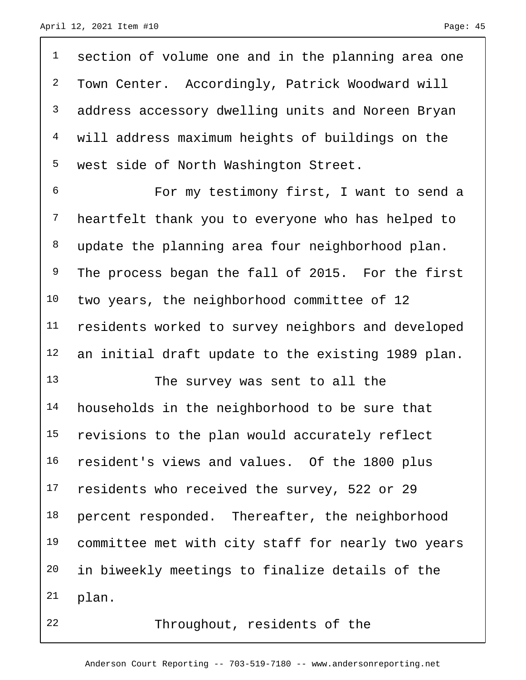| $\mathbf 1$    | section of volume one and in the planning area one |
|----------------|----------------------------------------------------|
| $\overline{a}$ | Town Center. Accordingly, Patrick Woodward will    |
| 3              | address accessory dwelling units and Noreen Bryan  |
| $\overline{4}$ | will address maximum heights of buildings on the   |
| 5              | west side of North Washington Street.              |
| 6              | For my testimony first, I want to send a           |
| $\overline{7}$ | heartfelt thank you to everyone who has helped to  |
| 8              | update the planning area four neighborhood plan.   |
| 9              | The process began the fall of 2015. For the first  |
| 10             | two years, the neighborhood committee of 12        |
| 11             | residents worked to survey neighbors and developed |
| 12             | an initial draft update to the existing 1989 plan. |
| 13             | The survey was sent to all the                     |
| 14             | households in the neighborhood to be sure that     |
| 15             | revisions to the plan would accurately reflect     |
| 16             | resident's views and values. Of the 1800 plus      |
| 17             | residents who received the survey, 522 or 29       |
| 18             | percent responded. Thereafter, the neighborhood    |
| 19             | committee met with city staff for nearly two years |
| 20             | in biweekly meetings to finalize details of the    |
| 21             | plan.                                              |
| 22             | Throughout, residents of the                       |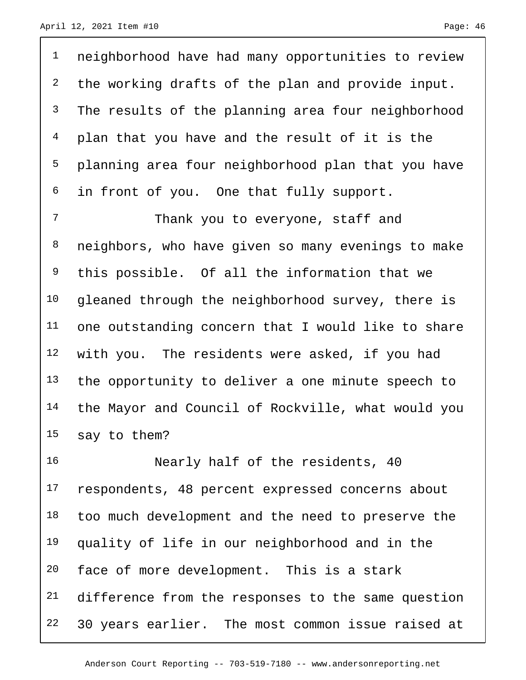1 neighborhood have had many opportunities to review <sup>2</sup> the working drafts of the plan and provide input. <sup>3</sup> The results of the planning area four neighborhood 4 plan that you have and the result of it is the 5 planning area four neighborhood plan that you have <sup>6</sup> in front of you. One that fully support.

7 Thank you to everyone, staff and neighbors, who have given so many evenings to make this possible. Of all the information that we 10 gleaned through the neighborhood survey, there is one outstanding concern that I would like to share with you. The residents were asked, if you had 13 the opportunity to deliver a one minute speech to the Mayor and Council of Rockville, what would you say to them?

16 Nearly half of the residents, 40 17 respondents, 48 percent expressed concerns about 18 too much development and the need to preserve the 19 quality of life in our neighborhood and in the 20 face of more development. This is a stark 21 difference from the responses to the same question 22 30 years earlier. The most common issue raised at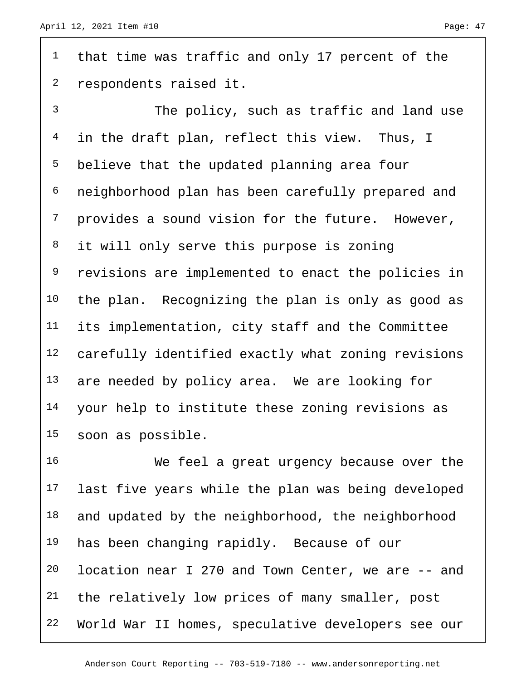<sup>1</sup> that time was traffic and only 17 percent of the respondents raised it.

 The policy, such as traffic and land use 4 in the draft plan, reflect this view. Thus, I believe that the updated planning area four neighborhood plan has been carefully prepared and provides a sound vision for the future. However, 8 it will only serve this purpose is zoning revisions are implemented to enact the policies in the plan. Recognizing the plan is only as good as its implementation, city staff and the Committee carefully identified exactly what zoning revisions 13 are needed by policy area. We are looking for your help to institute these zoning revisions as soon as possible.

 We feel a great urgency because over the last five years while the plan was being developed 18 and updated by the neighborhood, the neighborhood 19 has been changing rapidly. Because of our location near I 270 and Town Center, we are -- and 21 the relatively low prices of many smaller, post World War II homes, speculative developers see our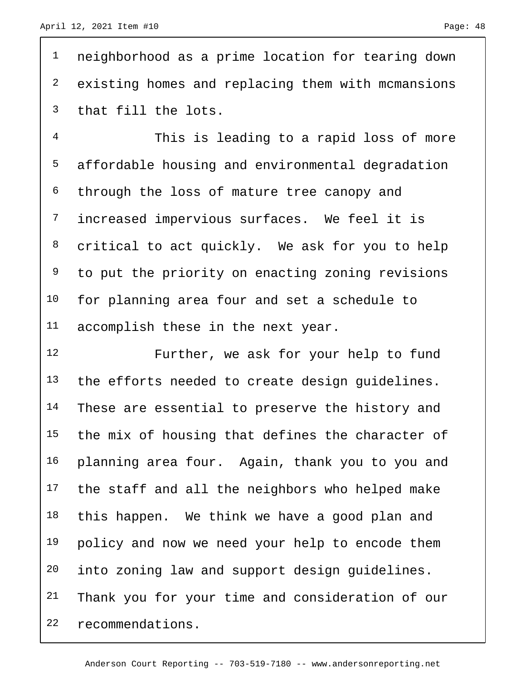<sup>1</sup> neighborhood as a prime location for tearing down 2 existing homes and replacing them with mcmansions 3 that fill the lots.

 This is leading to a rapid loss of more affordable housing and environmental degradation through the loss of mature tree canopy and increased impervious surfaces. We feel it is critical to act quickly. We ask for you to help <sup>9</sup> to put the priority on enacting zoning revisions for planning area four and set a schedule to accomplish these in the next year.

12 Further, we ask for your help to fund 13 the efforts needed to create design quidelines. 14 These are essential to preserve the history and 15 the mix of housing that defines the character of 16 planning area four. Again, thank you to you and 17 the staff and all the neighbors who helped make 18 this happen. We think we have a good plan and 19 policy and now we need your help to encode them 20 into zoning law and support design guidelines. 21 Thank you for your time and consideration of our 22 recommendations.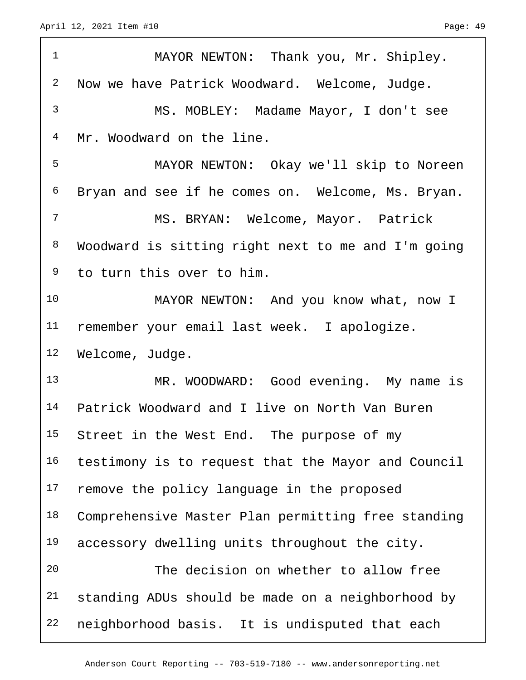| $\mathbf{1}$   | MAYOR NEWTON: Thank you, Mr. Shipley.              |
|----------------|----------------------------------------------------|
| $\overline{a}$ | Now we have Patrick Woodward. Welcome, Judge.      |
| 3              | MS. MOBLEY: Madame Mayor, I don't see              |
| 4              | Mr. Woodward on the line.                          |
| 5              | MAYOR NEWTON: Okay we'll skip to Noreen            |
| 6              | Bryan and see if he comes on. Welcome, Ms. Bryan.  |
| 7              | MS. BRYAN: Welcome, Mayor. Patrick                 |
| 8              | Woodward is sitting right next to me and I'm going |
| 9              | to turn this over to him.                          |
| 10             | MAYOR NEWTON: And you know what, now I             |
| 11             | remember your email last week. I apologize.        |
| 12             | Welcome, Judge.                                    |
| 13             | MR. WOODWARD: Good evening. My name is             |
| 14             | Patrick Woodward and I live on North Van Buren     |
| 15             | Street in the West End. The purpose of my          |
| 16             | testimony is to request that the Mayor and Council |
| 17             | remove the policy language in the proposed         |
| 18             | Comprehensive Master Plan permitting free standing |
| 19             | accessory dwelling units throughout the city.      |
| 20             | The decision on whether to allow free              |
| 21             | standing ADUs should be made on a neighborhood by  |
| 22             | neighborhood basis. It is undisputed that each     |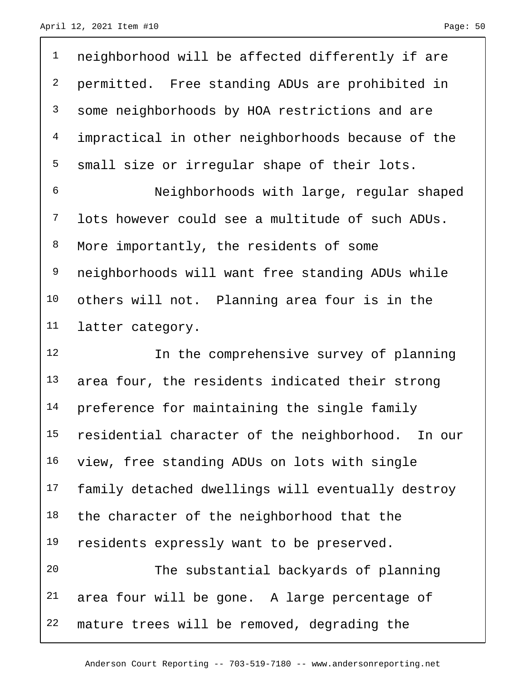| $\mathbf{1}$            | neighborhood will be affected differently if are  |
|-------------------------|---------------------------------------------------|
| $\overline{\mathbf{c}}$ | permitted. Free standing ADUs are prohibited in   |
| 3                       | some neighborhoods by HOA restrictions and are    |
| $\overline{4}$          | impractical in other neighborhoods because of the |
| 5                       | small size or irregular shape of their lots.      |
| 6                       | Neighborhoods with large, regular shaped          |
| $7\phantom{.}$          | lots however could see a multitude of such ADUs.  |
| 8                       | More importantly, the residents of some           |
| 9                       | neighborhoods will want free standing ADUs while  |
| 10                      | others will not. Planning area four is in the     |
| 11                      | latter category.                                  |
|                         |                                                   |
| 12                      | In the comprehensive survey of planning           |
| 13                      | area four, the residents indicated their strong   |
| 14                      | preference for maintaining the single family      |
| 15                      | residential character of the neighborhood. In our |
| 16                      | view, free standing ADUs on lots with single      |
| 17                      | family detached dwellings will eventually destroy |
| 18                      | the character of the neighborhood that the        |
| 19                      | residents expressly want to be preserved.         |
| 20                      | The substantial backyards of planning             |
| 21                      | area four will be gone. A large percentage of     |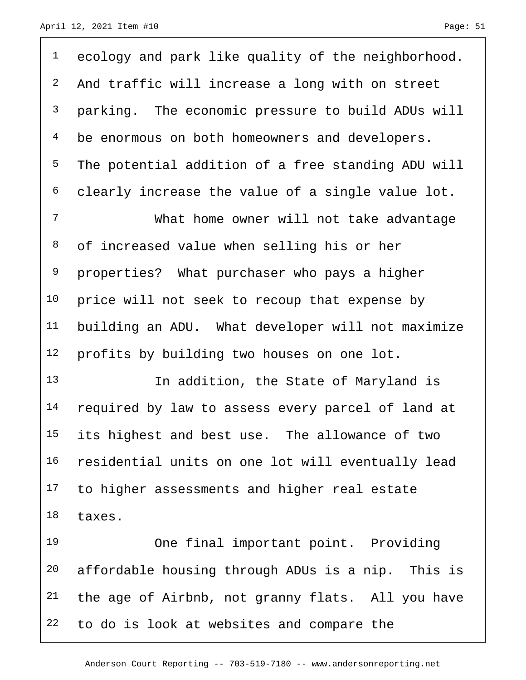<sup>1</sup> ecology and park like quality of the neighborhood. And traffic will increase a long with on street parking. The economic pressure to build ADUs will <sup>4</sup> be enormous on both homeowners and developers. The potential addition of a free standing ADU will clearly increase the value of a single value lot. What home owner will not take advantage of increased value when selling his or her properties? What purchaser who pays a higher 10 price will not seek to recoup that expense by building an ADU. What developer will not maximize profits by building two houses on one lot. 13 13 In addition, the State of Maryland is 14 required by law to assess every parcel of land at its highest and best use. The allowance of two residential units on one lot will eventually lead to higher assessments and higher real estate taxes. One final important point. Providing

 affordable housing through ADUs is a nip. This is the age of Airbnb, not granny flats. All you have to do is look at websites and compare the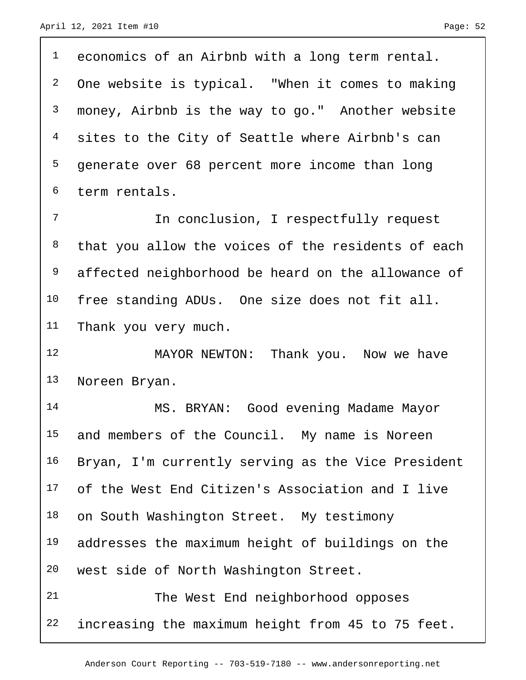<sup>1</sup> economics of an Airbnb with a long term rental. One website is typical. "When it comes to making money, Airbnb is the way to go." Another website 4 sites to the City of Seattle where Airbnb's can generate over 68 percent more income than long term rentals. 7 11 In conclusion, I respectfully request 8 that you allow the voices of the residents of each

 affected neighborhood be heard on the allowance of 10 free standing ADUs. One size does not fit all. Thank you very much.

 MAYOR NEWTON: Thank you. Now we have Noreen Bryan.

 MS. BRYAN: Good evening Madame Mayor 15 and members of the Council. My name is Noreen Bryan, I'm currently serving as the Vice President of the West End Citizen's Association and I live 18 on South Washington Street. My testimony addresses the maximum height of buildings on the west side of North Washington Street. The West End neighborhood opposes

increasing the maximum height from 45 to 75 feet.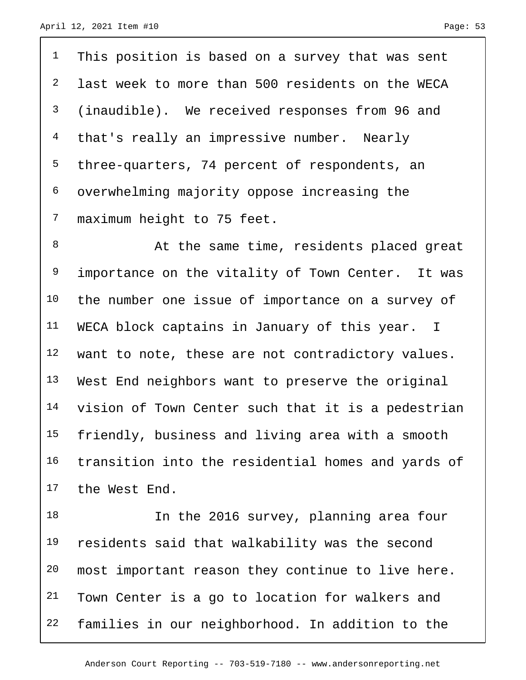This position is based on a survey that was sent last week to more than 500 residents on the WECA (inaudible). We received responses from 96 and 4 that's really an impressive number. Nearly three-quarters, 74 percent of respondents, an overwhelming majority oppose increasing the maximum height to 75 feet.

8 At the same time, residents placed great <sup>9</sup> importance on the vitality of Town Center. It was the number one issue of importance on a survey of 11 WECA block captains in January of this year. I want to note, these are not contradictory values. West End neighbors want to preserve the original vision of Town Center such that it is a pedestrian friendly, business and living area with a smooth transition into the residential homes and yards of the West End.

18 In the 2016 survey, planning area four residents said that walkability was the second most important reason they continue to live here. 21 Town Center is a go to location for walkers and families in our neighborhood. In addition to the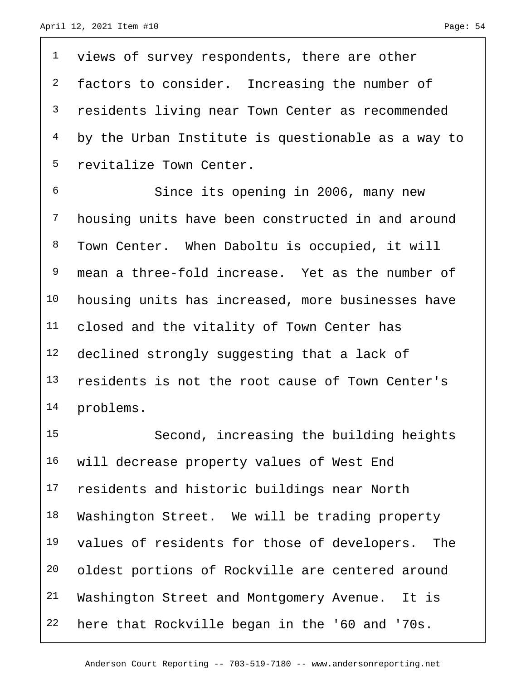views of survey respondents, there are other <sup>2</sup> factors to consider. Increasing the number of residents living near Town Center as recommended by the Urban Institute is questionable as a way to revitalize Town Center.

 Since its opening in 2006, many new housing units have been constructed in and around Town Center. When Daboltu is occupied, it will mean a three-fold increase. Yet as the number of housing units has increased, more businesses have closed and the vitality of Town Center has declined strongly suggesting that a lack of residents is not the root cause of Town Center's problems.

 Second, increasing the building heights will decrease property values of West End 17 residents and historic buildings near North 18 Washington Street. We will be trading property values of residents for those of developers. The oldest portions of Rockville are centered around Washington Street and Montgomery Avenue. It is here that Rockville began in the '60 and '70s.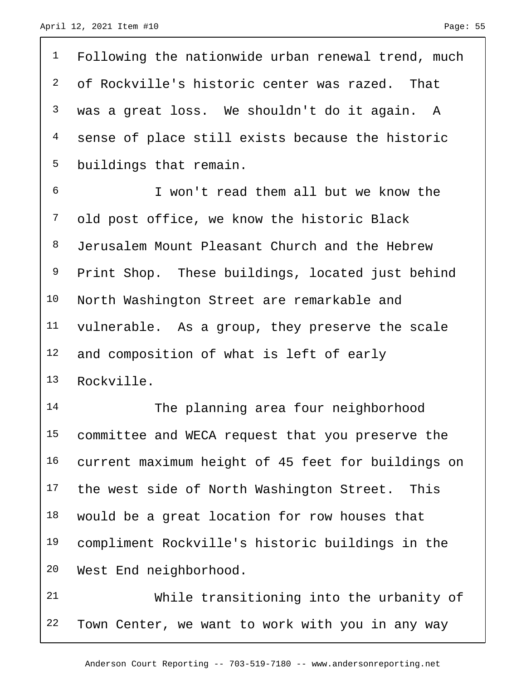<sup>1</sup> Following the nationwide urban renewal trend, much of Rockville's historic center was razed. That was a great loss. We shouldn't do it again. A sense of place still exists because the historic buildings that remain. I won't read them all but we know the old post office, we know the historic Black Jerusalem Mount Pleasant Church and the Hebrew Print Shop. These buildings, located just behind North Washington Street are remarkable and vulnerable. As a group, they preserve the scale 12 and composition of what is left of early Rockville.

 The planning area four neighborhood committee and WECA request that you preserve the current maximum height of 45 feet for buildings on 17 the west side of North Washington Street. This would be a great location for row houses that compliment Rockville's historic buildings in the West End neighborhood.

 While transitioning into the urbanity of Town Center, we want to work with you in any way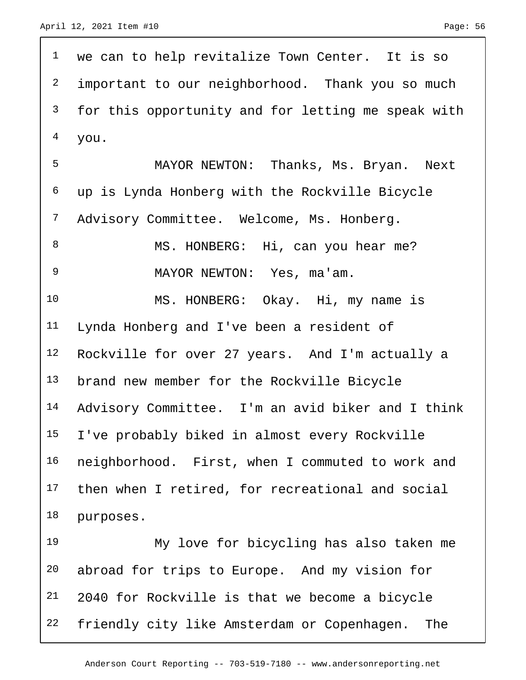<sup>1</sup> we can to help revitalize Town Center. It is so <sup>2</sup> important to our neighborhood. Thank you so much for this opportunity and for letting me speak with you. MAYOR NEWTON: Thanks, Ms. Bryan. Next up is Lynda Honberg with the Rockville Bicycle 7 Advisory Committee. Welcome, Ms. Honberg. 8 MS. HONBERG: Hi, can you hear me? MAYOR NEWTON: Yes, ma'am. MS. HONBERG: Okay. Hi, my name is Lynda Honberg and I've been a resident of Rockville for over 27 years. And I'm actually a brand new member for the Rockville Bicycle Advisory Committee. I'm an avid biker and I think I've probably biked in almost every Rockville neighborhood. First, when I commuted to work and then when I retired, for recreational and social purposes. My love for bicycling has also taken me abroad for trips to Europe. And my vision for

 2040 for Rockville is that we become a bicycle friendly city like Amsterdam or Copenhagen. The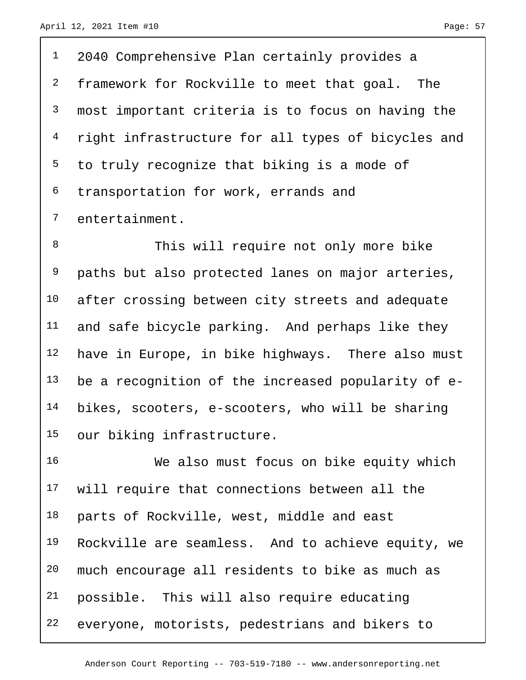2040 Comprehensive Plan certainly provides a <sup>2</sup> framework for Rockville to meet that goal. The most important criteria is to focus on having the right infrastructure for all types of bicycles and to truly recognize that biking is a mode of transportation for work, errands and entertainment.

8 This will require not only more bike paths but also protected lanes on major arteries, 10 after crossing between city streets and adequate 11 and safe bicycle parking. And perhaps like they have in Europe, in bike highways. There also must be a recognition of the increased popularity of e- bikes, scooters, e-scooters, who will be sharing our biking infrastructure.

 We also must focus on bike equity which will require that connections between all the parts of Rockville, west, middle and east Rockville are seamless. And to achieve equity, we much encourage all residents to bike as much as possible. This will also require educating everyone, motorists, pedestrians and bikers to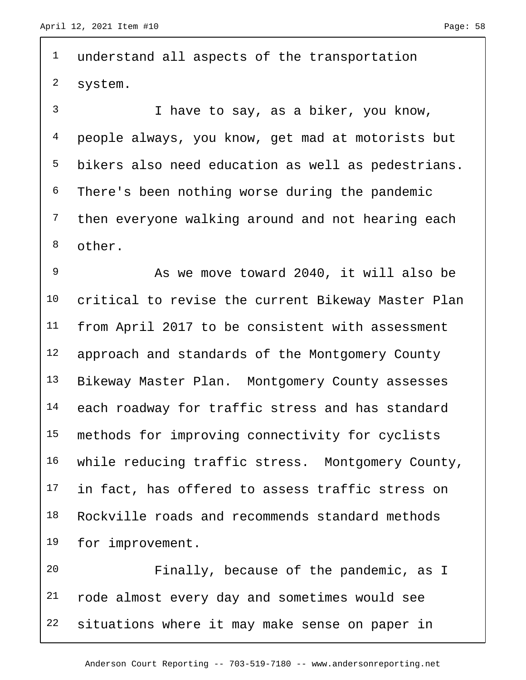<sup>1</sup> understand all aspects of the transportation system. I have to say, as a biker, you know, people always, you know, get mad at motorists but bikers also need education as well as pedestrians. There's been nothing worse during the pandemic then everyone walking around and not hearing each other. As we move toward 2040, it will also be critical to revise the current Bikeway Master Plan from April 2017 to be consistent with assessment 12 approach and standards of the Montgomery County 13 Bikeway Master Plan. Montgomery County assesses each roadway for traffic stress and has standard methods for improving connectivity for cyclists while reducing traffic stress. Montgomery County, 17 in fact, has offered to assess traffic stress on Rockville roads and recommends standard methods for improvement. Finally, because of the pandemic, as I rode almost every day and sometimes would see

situations where it may make sense on paper in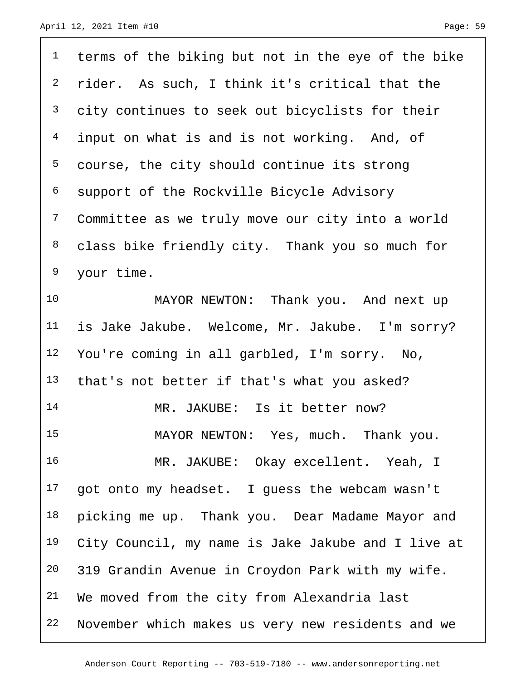| $\mathbf 1$    | terms of the biking but not in the eye of the bike |
|----------------|----------------------------------------------------|
| $\overline{c}$ | rider. As such, I think it's critical that the     |
| 3              | city continues to seek out bicyclists for their    |
| $\overline{4}$ | input on what is and is not working. And, of       |
| 5              | course, the city should continue its strong        |
| 6              | support of the Rockville Bicycle Advisory          |
| $\overline{7}$ | Committee as we truly move our city into a world   |
| 8              | class bike friendly city. Thank you so much for    |
| 9              | your time.                                         |
| 10             | MAYOR NEWTON: Thank you. And next up               |
| 11             | is Jake Jakube. Welcome, Mr. Jakube. I'm sorry?    |
| 12             | You're coming in all garbled, I'm sorry. No,       |
| 13             | that's not better if that's what you asked?        |
| 14             | MR. JAKUBE: Is it better now?                      |
| 15             | MAYOR NEWTON: Yes, much. Thank you.                |
| 16             | MR. JAKUBE: Okay excellent. Yeah, I                |
| 17             | got onto my headset. I guess the webcam wasn't     |
| 18             | picking me up. Thank you. Dear Madame Mayor and    |
| 19             | City Council, my name is Jake Jakube and I live at |
| 20             | 319 Grandin Avenue in Croydon Park with my wife.   |
| 21             | We moved from the city from Alexandria last        |
| 22             | November which makes us very new residents and we  |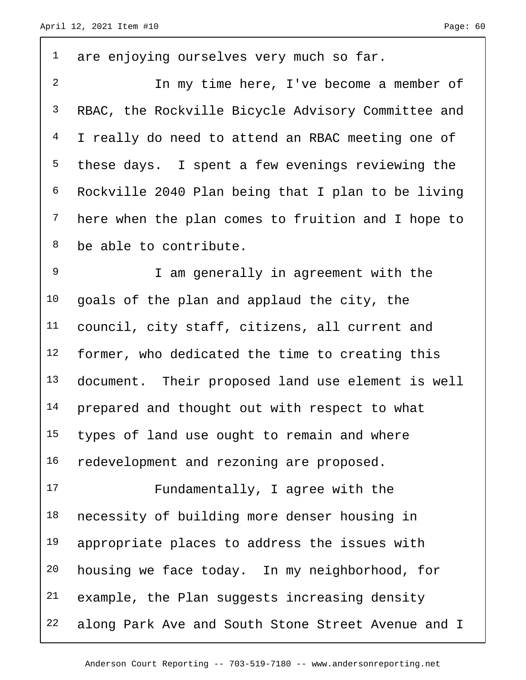| $\mathbf{1}$   | are enjoying ourselves very much so far.           |
|----------------|----------------------------------------------------|
| $\overline{2}$ | In my time here, I've become a member of           |
| $\mathbf{3}$   | RBAC, the Rockville Bicycle Advisory Committee and |
| $\overline{4}$ | I really do need to attend an RBAC meeting one of  |
| 5              | these days. I spent a few evenings reviewing the   |
| 6              | Rockville 2040 Plan being that I plan to be living |
| $7\phantom{.}$ | here when the plan comes to fruition and I hope to |
| 8              | be able to contribute.                             |
| 9              | I am generally in agreement with the               |
| 10             | goals of the plan and applaud the city, the        |
| 11             | council, city staff, citizens, all current and     |
| 12             | former, who dedicated the time to creating this    |
| 13             | document. Their proposed land use element is well  |
| 14             | prepared and thought out with respect to what      |
| 15             | types of land use ought to remain and where        |
| 16             | redevelopment and rezoning are proposed.           |
| 17             | Fundamentally, I agree with the                    |
| 18             | necessity of building more denser housing in       |
| 19             | appropriate places to address the issues with      |
| 20             | housing we face today. In my neighborhood, for     |
| 21             | example, the Plan suggests increasing density      |
| 22             | along Park Ave and South Stone Street Avenue and I |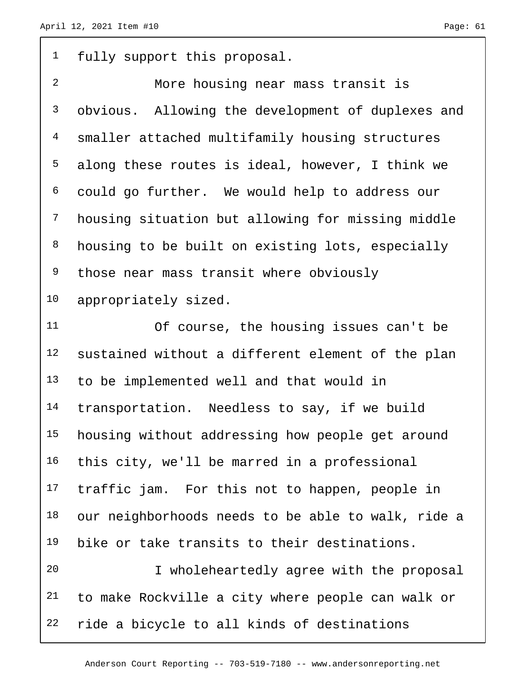<sup>1</sup> fully support this proposal.

 More housing near mass transit is obvious. Allowing the development of duplexes and smaller attached multifamily housing structures along these routes is ideal, however, I think we could go further. We would help to address our housing situation but allowing for missing middle housing to be built on existing lots, especially <sup>9</sup> those near mass transit where obviously appropriately sized.

 Of course, the housing issues can't be sustained without a different element of the plan to be implemented well and that would in 14 transportation. Needless to say, if we build housing without addressing how people get around this city, we'll be marred in a professional 17 traffic jam. For this not to happen, people in our neighborhoods needs to be able to walk, ride a bike or take transits to their destinations. I wholeheartedly agree with the proposal

 to make Rockville a city where people can walk or ride a bicycle to all kinds of destinations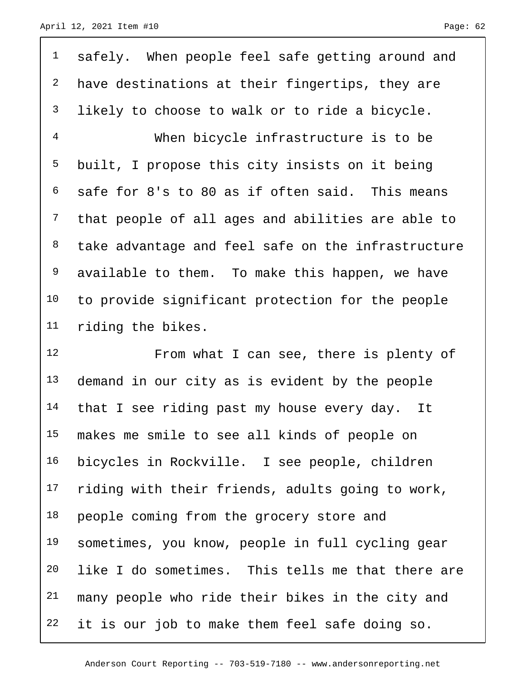safely. When people feel safe getting around and 2 have destinations at their fingertips, they are <sup>3</sup> likely to choose to walk or to ride a bicycle. When bicycle infrastructure is to be built, I propose this city insists on it being safe for 8's to 80 as if often said. This means that people of all ages and abilities are able to take advantage and feel safe on the infrastructure available to them. To make this happen, we have to provide significant protection for the people riding the bikes.

 From what I can see, there is plenty of 13 demand in our city as is evident by the people 14 that I see riding past my house every day. It makes me smile to see all kinds of people on bicycles in Rockville. I see people, children riding with their friends, adults going to work, 18 people coming from the grocery store and sometimes, you know, people in full cycling gear like I do sometimes. This tells me that there are many people who ride their bikes in the city and 22 it is our job to make them feel safe doing so.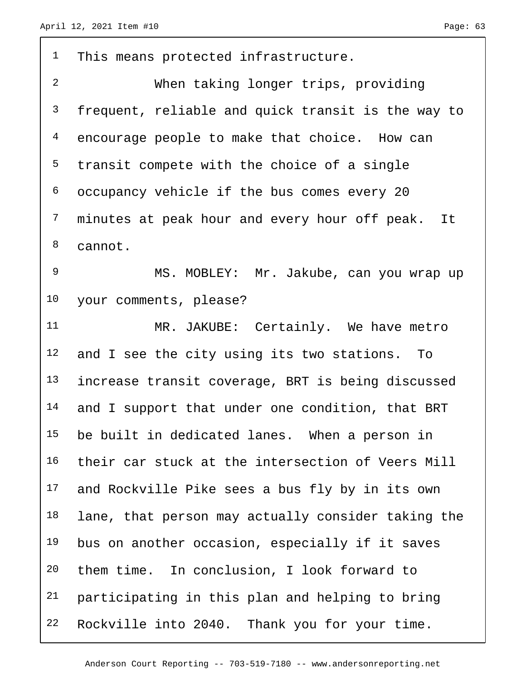| $\mathbf{1}$   | This means protected infrastructure.               |
|----------------|----------------------------------------------------|
| $\overline{a}$ | When taking longer trips, providing                |
| 3              | frequent, reliable and quick transit is the way to |
| 4              | encourage people to make that choice. How can      |
| 5              | transit compete with the choice of a single        |
| 6              | occupancy vehicle if the bus comes every 20        |
| $7\phantom{.}$ | minutes at peak hour and every hour off peak. It   |
| 8              | cannot.                                            |
| 9              | MS. MOBLEY: Mr. Jakube, can you wrap up            |
| 10             | your comments, please?                             |
| 11             | MR. JAKUBE: Certainly. We have metro               |
| 12             | and I see the city using its two stations. To      |
| 13             | increase transit coverage, BRT is being discussed  |
| 14             | and I support that under one condition, that BRT   |
| 15             | be built in dedicated lanes. When a person in      |
| 16             | their car stuck at the intersection of Veers Mill  |
| 17             | and Rockville Pike sees a bus fly by in its own    |
| 18             | lane, that person may actually consider taking the |
| 19             | bus on another occasion, especially if it saves    |
| 20             | them time. In conclusion, I look forward to        |
| 21             | participating in this plan and helping to bring    |
| 22             | Rockville into 2040. Thank you for your time.      |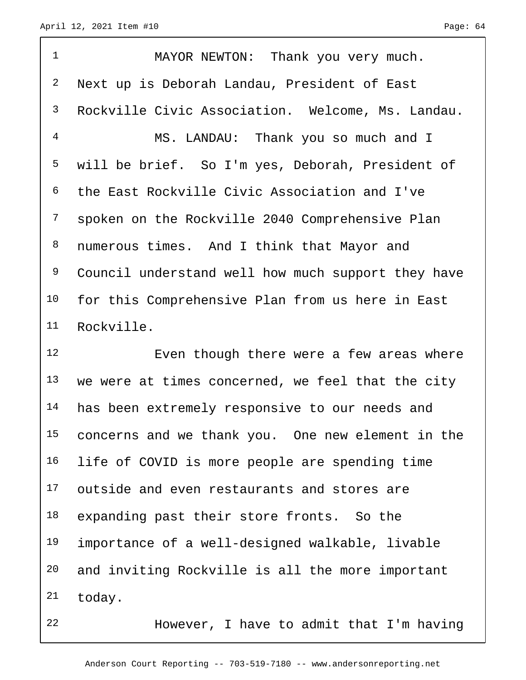1 MAYOR NEWTON: Thank you very much. Next up is Deborah Landau, President of East Rockville Civic Association. Welcome, Ms. Landau. MS. LANDAU: Thank you so much and I will be brief. So I'm yes, Deborah, President of the East Rockville Civic Association and I've spoken on the Rockville 2040 Comprehensive Plan numerous times. And I think that Mayor and Council understand well how much support they have for this Comprehensive Plan from us here in East Rockville.

12 Even though there were a few areas where we were at times concerned, we feel that the city 14 has been extremely responsive to our needs and concerns and we thank you. One new element in the 16 life of COVID is more people are spending time outside and even restaurants and stores are 18 expanding past their store fronts. So the importance of a well-designed walkable, livable and inviting Rockville is all the more important today.

However, I have to admit that I'm having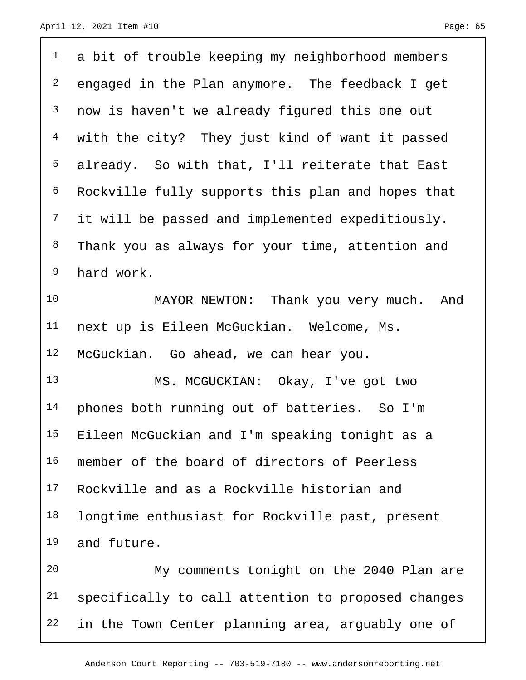| $\mathbf{1}$   | a bit of trouble keeping my neighborhood members   |
|----------------|----------------------------------------------------|
| $\overline{a}$ | engaged in the Plan anymore. The feedback I get    |
| $\mathsf{3}$   | now is haven't we already figured this one out     |
| $\overline{4}$ | with the city? They just kind of want it passed    |
| 5              | already. So with that, I'll reiterate that East    |
| 6              | Rockville fully supports this plan and hopes that  |
| 7              | it will be passed and implemented expeditiously.   |
| 8              | Thank you as always for your time, attention and   |
| 9              | hard work.                                         |
| 10             | MAYOR NEWTON: Thank you very much. And             |
| 11             | next up is Eileen McGuckian. Welcome, Ms.          |
| 12             | McGuckian. Go ahead, we can hear you.              |
| 13             | MS. MCGUCKIAN: Okay, I've got two                  |
| 14             | phones both running out of batteries. So I'm       |
| 15             | Eileen McGuckian and I'm speaking tonight as a     |
| 16             | member of the board of directors of Peerless       |
| 17             | Rockville and as a Rockville historian and         |
| 18             | longtime enthusiast for Rockville past, present    |
| 19             | and future.                                        |
| 20             | My comments tonight on the 2040 Plan are           |
| 21             | specifically to call attention to proposed changes |
| 22             | in the Town Center planning area, arguably one of  |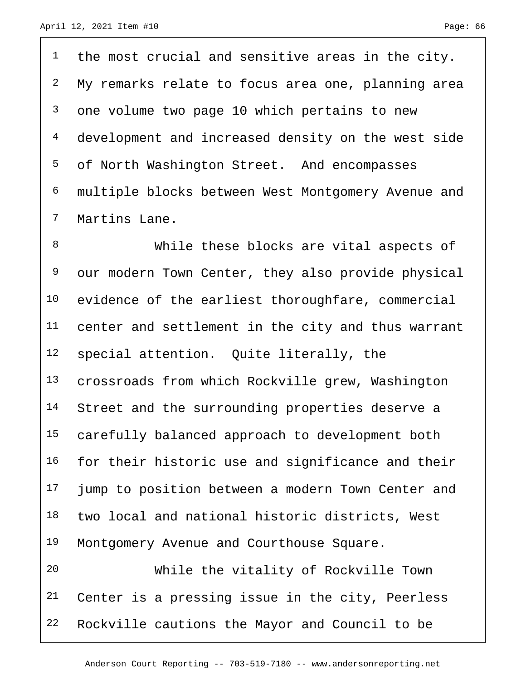the most crucial and sensitive areas in the city. My remarks relate to focus area one, planning area one volume two page 10 which pertains to new development and increased density on the west side of North Washington Street. And encompasses multiple blocks between West Montgomery Avenue and Martins Lane.

 While these blocks are vital aspects of our modern Town Center, they also provide physical evidence of the earliest thoroughfare, commercial center and settlement in the city and thus warrant special attention. Quite literally, the crossroads from which Rockville grew, Washington 14 Street and the surrounding properties deserve a carefully balanced approach to development both for their historic use and significance and their 17 jump to position between a modern Town Center and two local and national historic districts, West 19 Montgomery Avenue and Courthouse Square.

 While the vitality of Rockville Town Center is a pressing issue in the city, Peerless Rockville cautions the Mayor and Council to be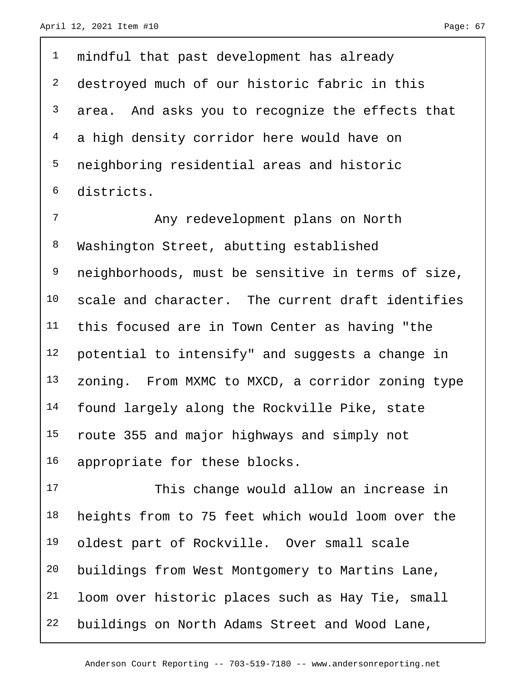<sup>1</sup> mindful that past development has already destroyed much of our historic fabric in this 3 area. And asks you to recognize the effects that a high density corridor here would have on neighboring residential areas and historic districts.

 Any redevelopment plans on North Washington Street, abutting established neighborhoods, must be sensitive in terms of size, scale and character. The current draft identifies this focused are in Town Center as having "the potential to intensify" and suggests a change in zoning. From MXMC to MXCD, a corridor zoning type found largely along the Rockville Pike, state route 355 and major highways and simply not appropriate for these blocks.

 This change would allow an increase in heights from to 75 feet which would loom over the oldest part of Rockville. Over small scale buildings from West Montgomery to Martins Lane, loom over historic places such as Hay Tie, small buildings on North Adams Street and Wood Lane,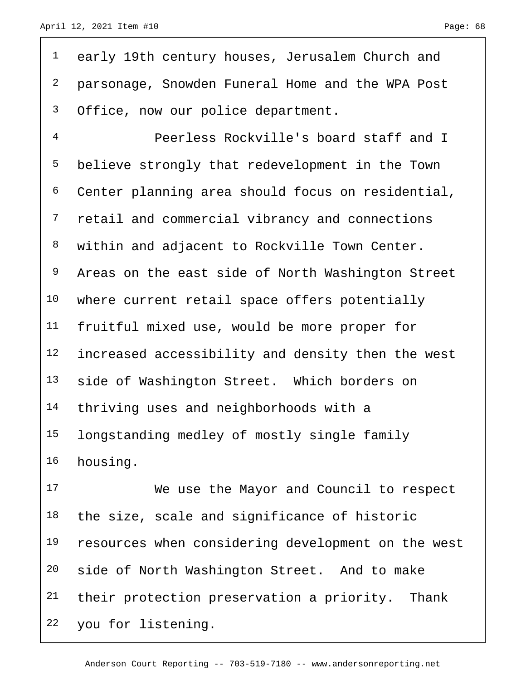| $\mathbf 1$    | early 19th century houses, Jerusalem Church and   |
|----------------|---------------------------------------------------|
| $\overline{c}$ | parsonage, Snowden Funeral Home and the WPA Post  |
| $\mathsf{3}$   | Office, now our police department.                |
| $\overline{4}$ | Peerless Rockville's board staff and I            |
| 5              | believe strongly that redevelopment in the Town   |
| 6              | Center planning area should focus on residential, |
| $\overline{7}$ | retail and commercial vibrancy and connections    |
| 8              | within and adjacent to Rockville Town Center.     |
| 9              | Areas on the east side of North Washington Street |
| 10             | where current retail space offers potentially     |
| 11             | fruitful mixed use, would be more proper for      |
| 12             | increased accessibility and density then the west |
| 13             | side of Washington Street. Which borders on       |
| 14             | thriving uses and neighborhoods with a            |
| 15             | longstanding medley of mostly single family       |
| 16             | housing.                                          |

 We use the Mayor and Council to respect the size, scale and significance of historic resources when considering development on the west side of North Washington Street. And to make their protection preservation a priority. Thank you for listening.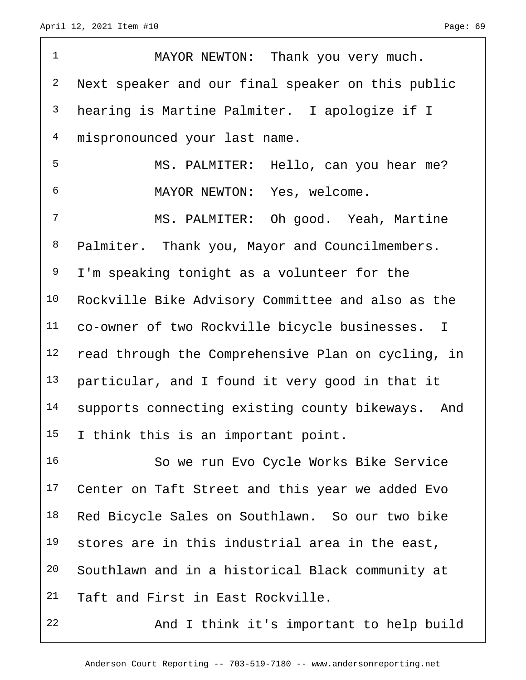| $\mathbf 1$     | MAYOR NEWTON: Thank you very much.                   |
|-----------------|------------------------------------------------------|
| $\overline{a}$  | Next speaker and our final speaker on this public    |
| $\mathsf{3}$    | hearing is Martine Palmiter. I apologize if I        |
| $\overline{4}$  | mispronounced your last name.                        |
| 5               | MS. PALMITER: Hello, can you hear me?                |
| 6               | MAYOR NEWTON: Yes, welcome.                          |
| 7               | MS. PALMITER: Oh good. Yeah, Martine                 |
| 8               | Palmiter. Thank you, Mayor and Councilmembers.       |
| 9               | I'm speaking tonight as a volunteer for the          |
| 10              | Rockville Bike Advisory Committee and also as the    |
| 11              | co-owner of two Rockville bicycle businesses. I      |
| 12              | read through the Comprehensive Plan on cycling, in   |
| 13              | particular, and I found it very good in that it      |
| 14              | supports connecting existing county bikeways.<br>And |
| 15 <sub>1</sub> | I think this is an important point.                  |
| 16              | So we run Evo Cycle Works Bike Service               |
| 17              | Center on Taft Street and this year we added Evo     |
| 18              | Red Bicycle Sales on Southlawn. So our two bike      |
| 19              | stores are in this industrial area in the east,      |
| 20              | Southlawn and in a historical Black community at     |
| 21              | Taft and First in East Rockville.                    |

And I think it's important to help build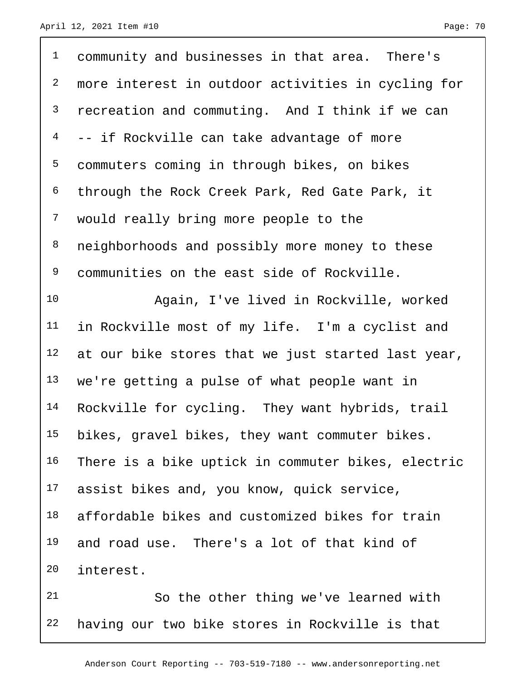| $\mathbf 1$    | community and businesses in that area. There's     |
|----------------|----------------------------------------------------|
| $\sqrt{2}$     | more interest in outdoor activities in cycling for |
| $\mathsf{3}$   | recreation and commuting. And I think if we can    |
| $\overline{4}$ | -- if Rockville can take advantage of more         |
| 5              | commuters coming in through bikes, on bikes        |
| 6              | through the Rock Creek Park, Red Gate Park, it     |
| $\overline{7}$ | would really bring more people to the              |
| $\,8\,$        | neighborhoods and possibly more money to these     |
| 9              | communities on the east side of Rockville.         |
| 10             | Again, I've lived in Rockville, worked             |
| 11             | in Rockville most of my life. I'm a cyclist and    |
| 12             | at our bike stores that we just started last year, |
| 13             | we're getting a pulse of what people want in       |
| 14             | Rockville for cycling. They want hybrids, trail    |
| 15             | bikes, gravel bikes, they want commuter bikes.     |
| 16             | There is a bike uptick in commuter bikes, electric |
| 17             | assist bikes and, you know, quick service,         |
| 18             | affordable bikes and customized bikes for train    |
| 19             | and road use. There's a lot of that kind of        |
| 20             | interest.                                          |
| 21             | So the other thing we've learned with              |
| 22             | having our two bike stores in Rockville is that    |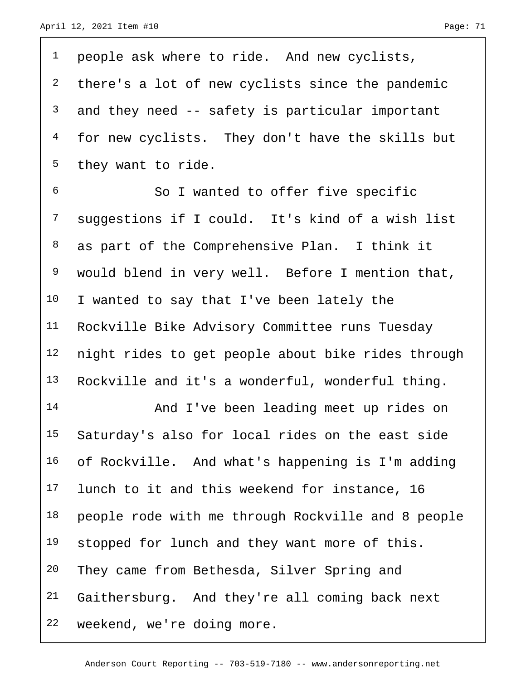| $\mathbf{1}$   | people ask where to ride. And new cyclists,        |
|----------------|----------------------------------------------------|
| $\overline{a}$ | there's a lot of new cyclists since the pandemic   |
| $\mathsf{3}$   | and they need -- safety is particular important    |
| $\overline{4}$ | for new cyclists. They don't have the skills but   |
| 5              | they want to ride.                                 |
| $\epsilon$     | So I wanted to offer five specific                 |
| $\overline{7}$ | suggestions if I could. It's kind of a wish list   |
| 8              | as part of the Comprehensive Plan. I think it      |
| 9              | would blend in very well. Before I mention that,   |
| 10             | I wanted to say that I've been lately the          |
| 11             | Rockville Bike Advisory Committee runs Tuesday     |
| 12             | night rides to get people about bike rides through |
| 13             | Rockville and it's a wonderful, wonderful thing.   |
| 14             | And I've been leading meet up rides on             |
| 15             | Saturday's also for local rides on the east side   |
| 16             | of Rockville. And what's happening is I'm adding   |
| 17             | lunch to it and this weekend for instance, 16      |
| 18             | people rode with me through Rockville and 8 people |
| 19             | stopped for lunch and they want more of this.      |
| 20             | They came from Bethesda, Silver Spring and         |
| 21             | Gaithersburg. And they're all coming back next     |
| 22             | weekend, we're doing more.                         |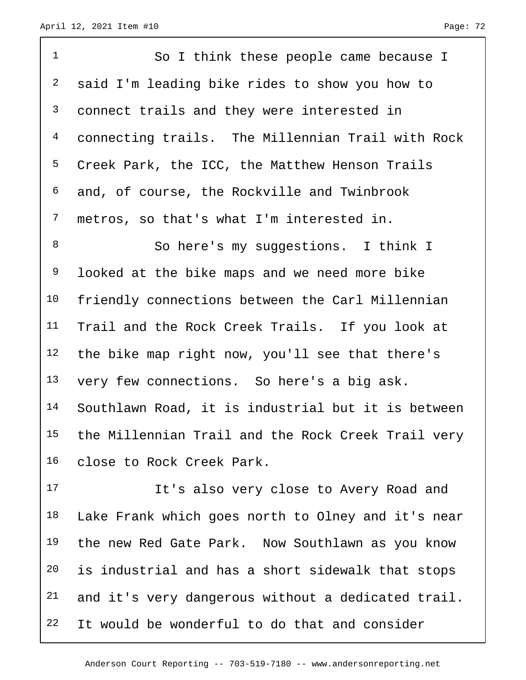| $\mathbf{1}$   | So I think these people came because I             |
|----------------|----------------------------------------------------|
| $\overline{a}$ | said I'm leading bike rides to show you how to     |
| $\mathsf{3}$   | connect trails and they were interested in         |
| $\overline{4}$ | connecting trails. The Millennian Trail with Rock  |
| 5              | Creek Park, the ICC, the Matthew Henson Trails     |
| 6              | and, of course, the Rockville and Twinbrook        |
| $\overline{7}$ | metros, so that's what I'm interested in.          |
| 8              | So here's my suggestions. I think I                |
| 9              | looked at the bike maps and we need more bike      |
| 10             | friendly connections between the Carl Millennian   |
| 11             | Trail and the Rock Creek Trails. If you look at    |
| 12             | the bike map right now, you'll see that there's    |
| 13             | very few connections. So here's a big ask.         |
| 14             | Southlawn Road, it is industrial but it is between |
| 15             | the Millennian Trail and the Rock Creek Trail very |
| 16             | close to Rock Creek Park.                          |

 It's also very close to Avery Road and Lake Frank which goes north to Olney and it's near the new Red Gate Park. Now Southlawn as you know is industrial and has a short sidewalk that stops and it's very dangerous without a dedicated trail. It would be wonderful to do that and consider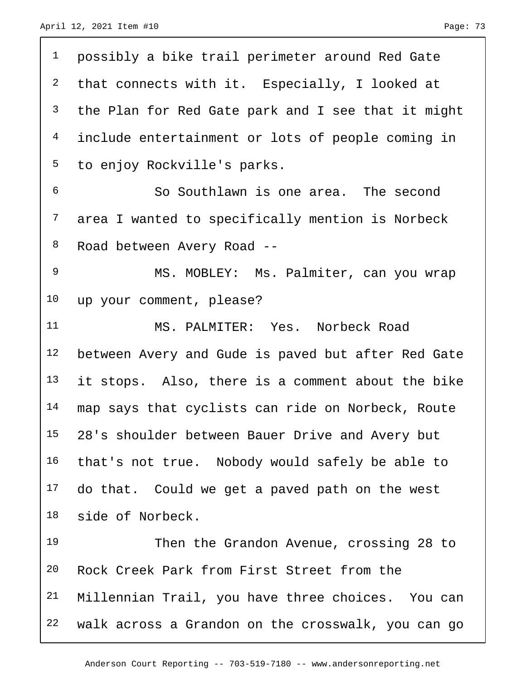| $\mathbf{1}$   | possibly a bike trail perimeter around Red Gate    |
|----------------|----------------------------------------------------|
| $\overline{a}$ | that connects with it. Especially, I looked at     |
| $\mathsf{3}$   | the Plan for Red Gate park and I see that it might |
| $\overline{4}$ | include entertainment or lots of people coming in  |
| 5              | to enjoy Rockville's parks.                        |
| 6              | So Southlawn is one area. The second               |
| $\overline{7}$ | area I wanted to specifically mention is Norbeck   |
| 8              | Road between Avery Road --                         |
| 9              | MS. MOBLEY: Ms. Palmiter, can you wrap             |
| 10             | up your comment, please?                           |
| 11             | MS. PALMITER: Yes. Norbeck Road                    |
| 12             | between Avery and Gude is paved but after Red Gate |
| 13             | it stops. Also, there is a comment about the bike  |
| 14             | map says that cyclists can ride on Norbeck, Route  |
| 15             | 28's shoulder between Bauer Drive and Avery but    |
| 16             | that's not true. Nobody would safely be able to    |
| 17             | do that. Could we get a paved path on the west     |
| 18             | side of Norbeck.                                   |
| 19             | Then the Grandon Avenue, crossing 28 to            |
| 20             | Rock Creek Park from First Street from the         |
| 21             | Millennian Trail, you have three choices. You can  |
| 22             | walk across a Grandon on the crosswalk, you can go |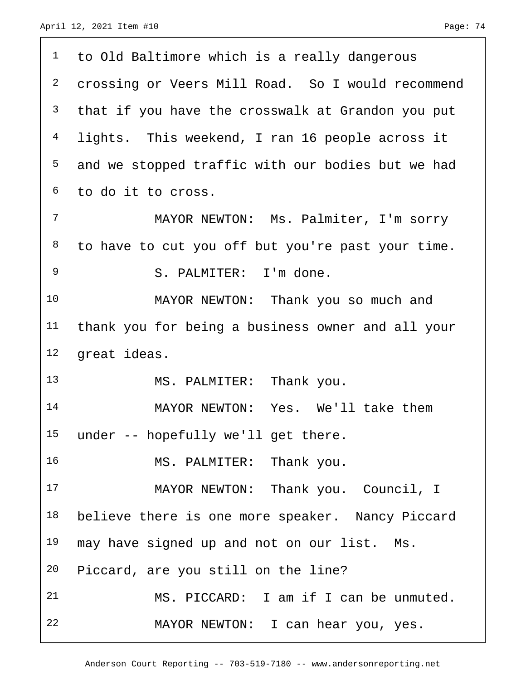| 1               | to Old Baltimore which is a really dangerous      |
|-----------------|---------------------------------------------------|
| $\overline{2}$  | crossing or Veers Mill Road. So I would recommend |
| $\mathsf{3}$    | that if you have the crosswalk at Grandon you put |
| 4               | lights. This weekend, I ran 16 people across it   |
| 5               | and we stopped traffic with our bodies but we had |
| 6               | to do it to cross.                                |
| 7               | MAYOR NEWTON: Ms. Palmiter, I'm sorry             |
| 8               | to have to cut you off but you're past your time. |
| 9               | S. PALMITER: I'm done.                            |
| 10              | MAYOR NEWTON: Thank you so much and               |
| 11              | thank you for being a business owner and all your |
| 12              | great ideas.                                      |
| 13              | MS. PALMITER: Thank you.                          |
| 14              | MAYOR NEWTON: Yes. We'll take them                |
| 15 <sub>2</sub> | under -- hopefully we'll get there.               |
| 16              | MS. PALMITER: Thank you.                          |
| 17              | MAYOR NEWTON: Thank you. Council, I               |
| 18              | believe there is one more speaker. Nancy Piccard  |
| 19              | may have signed up and not on our list. Ms.       |
| 20              | Piccard, are you still on the line?               |
| 21              | MS. PICCARD: I am if I can be unmuted.            |
| 22              | MAYOR NEWTON: I can hear you, yes.                |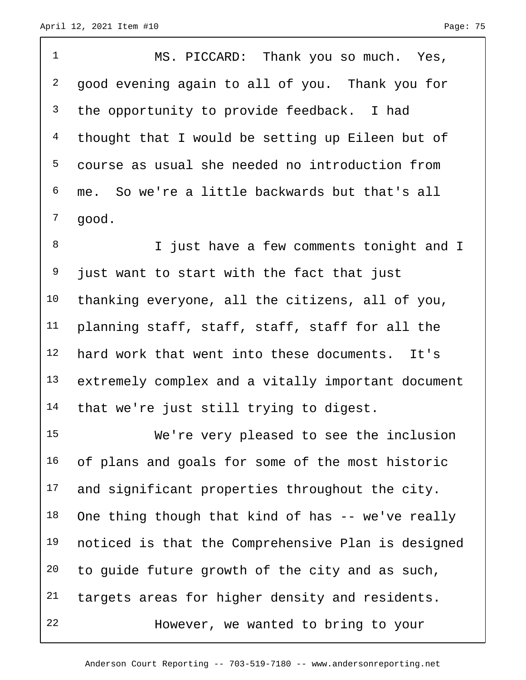1 MS. PICCARD: Thank you so much. Yes, 2 good evening again to all of you. Thank you for <sup>3</sup> the opportunity to provide feedback. I had 4 thought that I would be setting up Eileen but of 5 course as usual she needed no introduction from 6 me. So we're a little backwards but that's all 7 good.

8 I just have a few comments tonight and I <sup>9</sup> just want to start with the fact that just 10 thanking everyone, all the citizens, all of you, 11 planning staff, staff, staff, staff for all the 12 hard work that went into these documents. It's 13 extremely complex and a vitally important document 14 that we're just still trying to digest.

15 We're very pleased to see the inclusion 16 of plans and goals for some of the most historic 17 and significant properties throughout the city. 18 One thing though that kind of has  $-$ - we've really 19 noticed is that the Comprehensive Plan is designed 20 to guide future growth of the city and as such, 21 targets areas for higher density and residents. 22 However, we wanted to bring to your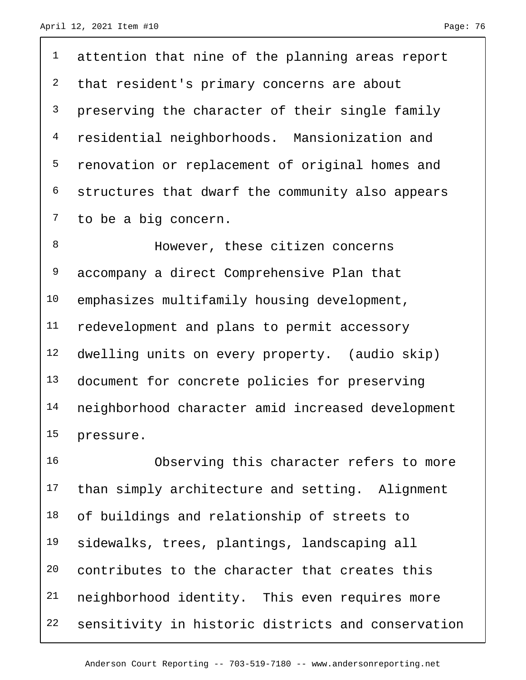attention that nine of the planning areas report <sup>2</sup> that resident's primary concerns are about <sup>3</sup> preserving the character of their single family residential neighborhoods. Mansionization and renovation or replacement of original homes and structures that dwarf the community also appears 7 to be a big concern.

8 However, these citizen concerns 9 accompany a direct Comprehensive Plan that emphasizes multifamily housing development, redevelopment and plans to permit accessory dwelling units on every property. (audio skip) 13 document for concrete policies for preserving neighborhood character amid increased development pressure.

 Observing this character refers to more than simply architecture and setting. Alignment of buildings and relationship of streets to sidewalks, trees, plantings, landscaping all contributes to the character that creates this neighborhood identity. This even requires more sensitivity in historic districts and conservation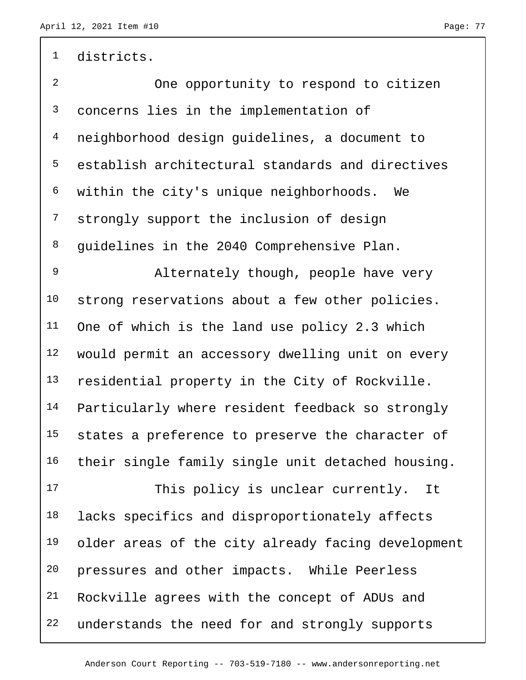1 districts.

 One opportunity to respond to citizen concerns lies in the implementation of neighborhood design guidelines, a document to establish architectural standards and directives within the city's unique neighborhoods. We strongly support the inclusion of design 8 guidelines in the 2040 Comprehensive Plan.

 Alternately though, people have very 10 strong reservations about a few other policies. One of which is the land use policy 2.3 which would permit an accessory dwelling unit on every 13 residential property in the City of Rockville. Particularly where resident feedback so strongly 15 states a preference to preserve the character of their single family single unit detached housing.

17 This policy is unclear currently. It 18 lacks specifics and disproportionately affects 19 older areas of the city already facing development 20 pressures and other impacts. While Peerless 21 Rockville agrees with the concept of ADUs and 22 understands the need for and strongly supports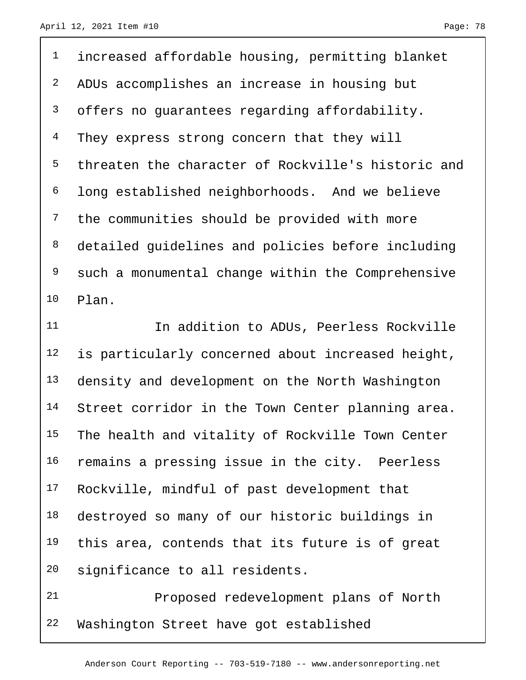<sup>1</sup> increased affordable housing, permitting blanket ADUs accomplishes an increase in housing but offers no guarantees regarding affordability. <sup>4</sup> They express strong concern that they will threaten the character of Rockville's historic and long established neighborhoods. And we believe the communities should be provided with more detailed guidelines and policies before including such a monumental change within the Comprehensive Plan.

11 11 In addition to ADUs, Peerless Rockville 12 is particularly concerned about increased height, 13 density and development on the North Washington 14 Street corridor in the Town Center planning area. The health and vitality of Rockville Town Center remains a pressing issue in the city. Peerless Rockville, mindful of past development that destroyed so many of our historic buildings in 19 this area, contends that its future is of great significance to all residents.

 Proposed redevelopment plans of North Washington Street have got established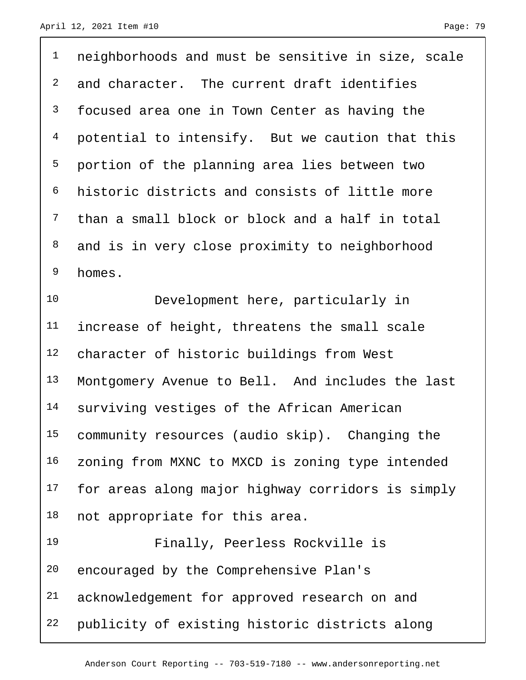| $\mathbf 1$    | neighborhoods and must be sensitive in size, scale |
|----------------|----------------------------------------------------|
| 2              | and character. The current draft identifies        |
| 3              | focused area one in Town Center as having the      |
| $\overline{4}$ | potential to intensify. But we caution that this   |
| 5              | portion of the planning area lies between two      |
| 6              | historic districts and consists of little more     |
| 7              | than a small block or block and a half in total    |
| 8              | and is in very close proximity to neighborhood     |
| 9              | homes.                                             |
| 10             | Development here, particularly in                  |
| 11             | increase of height, threatens the small scale      |
| 12             | character of historic buildings from West          |
| 13             | Montgomery Avenue to Bell. And includes the last   |
| 14             | surviving vestiges of the African American         |
| 15             | community resources (audio skip). Changing the     |
| 16             | zoning from MXNC to MXCD is zoning type intended   |
| 17             | for areas along major highway corridors is simply  |
| 18             | not appropriate for this area.                     |
| 19             | Finally, Peerless Rockville is                     |
| 20             | encouraged by the Comprehensive Plan's             |
| 21             | acknowledgement for approved research on and       |
| 22             | publicity of existing historic districts along     |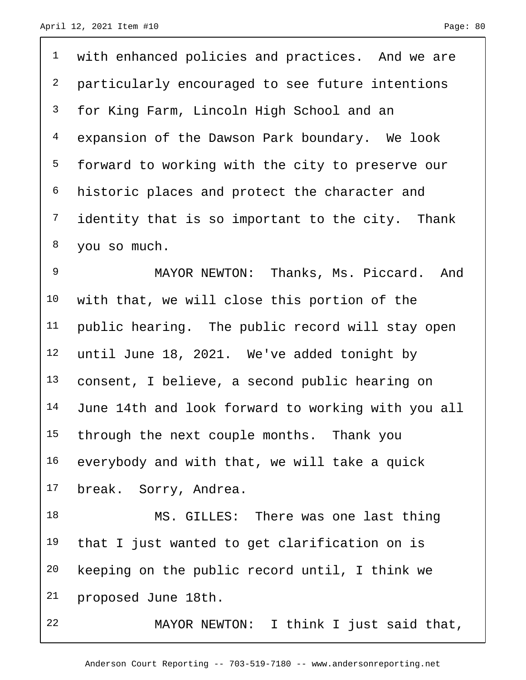with enhanced policies and practices. And we are particularly encouraged to see future intentions for King Farm, Lincoln High School and an expansion of the Dawson Park boundary. We look forward to working with the city to preserve our historic places and protect the character and <sup>7</sup> identity that is so important to the city. Thank you so much.

 MAYOR NEWTON: Thanks, Ms. Piccard. And with that, we will close this portion of the public hearing. The public record will stay open until June 18, 2021. We've added tonight by consent, I believe, a second public hearing on June 14th and look forward to working with you all 15 through the next couple months. Thank you everybody and with that, we will take a quick break. Sorry, Andrea.

 MS. GILLES: There was one last thing that I just wanted to get clarification on is keeping on the public record until, I think we proposed June 18th.

MAYOR NEWTON: I think I just said that,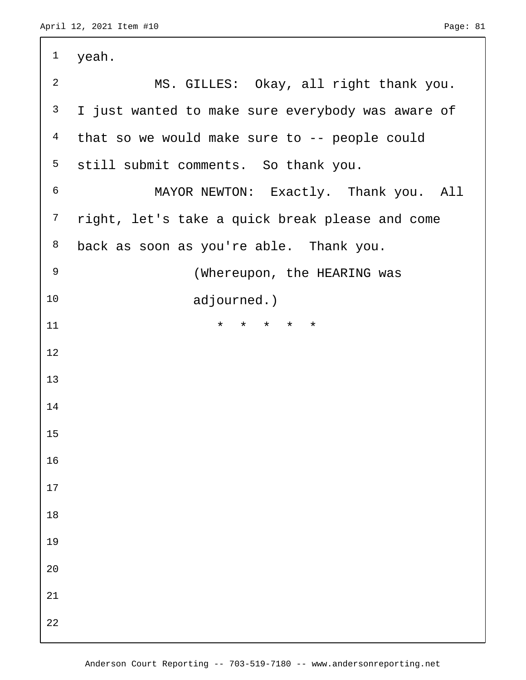| $\mathbf 1$    | yeah.                                             |
|----------------|---------------------------------------------------|
| $\overline{a}$ | MS. GILLES: Okay, all right thank you.            |
| 3              | I just wanted to make sure everybody was aware of |
| $\overline{4}$ | that so we would make sure to -- people could     |
| 5              | still submit comments. So thank you.              |
| $\epsilon$     | MAYOR NEWTON: Exactly. Thank you. All             |
| $\overline{7}$ | right, let's take a quick break please and come   |
| 8              | back as soon as you're able. Thank you.           |
| $\mathsf 9$    | (Whereupon, the HEARING was                       |
| 10             | adjourned.)                                       |
| 11             | $\star$<br>* * * *                                |
| 12             |                                                   |
| 13             |                                                   |
| 14             |                                                   |
| 15             |                                                   |
| 16             |                                                   |
| $17$           |                                                   |
| $18$           |                                                   |
| 19             |                                                   |
| $20$           |                                                   |
| 21             |                                                   |
| 22             |                                                   |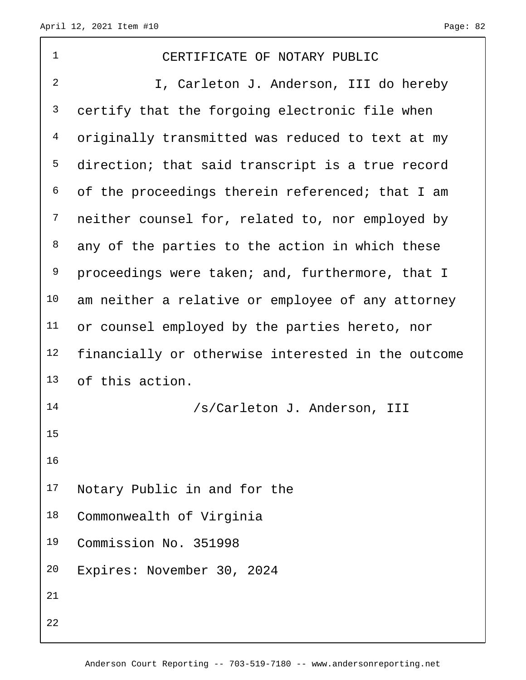| $\mathbf 1$    | CERTIFICATE OF NOTARY PUBLIC                       |
|----------------|----------------------------------------------------|
| $\overline{2}$ | I, Carleton J. Anderson, III do hereby             |
| 3              | certify that the forgoing electronic file when     |
| $\overline{4}$ | originally transmitted was reduced to text at my   |
| 5              | direction; that said transcript is a true record   |
| 6              | of the proceedings therein referenced; that I am   |
| 7              | neither counsel for, related to, nor employed by   |
| 8              | any of the parties to the action in which these    |
| 9              | proceedings were taken; and, furthermore, that I   |
| 10             | am neither a relative or employee of any attorney  |
| 11             | or counsel employed by the parties hereto, nor     |
| 12             | financially or otherwise interested in the outcome |
| 13             | of this action.                                    |
| 14             | /s/Carleton J. Anderson, III                       |
| 15             |                                                    |
|                |                                                    |
| 16             |                                                    |
| 17             | Notary Public in and for the                       |
| 18             | Commonwealth of Virginia                           |
| 19             | Commission No. 351998                              |
| 20             | Expires: November 30, 2024                         |
| 21             |                                                    |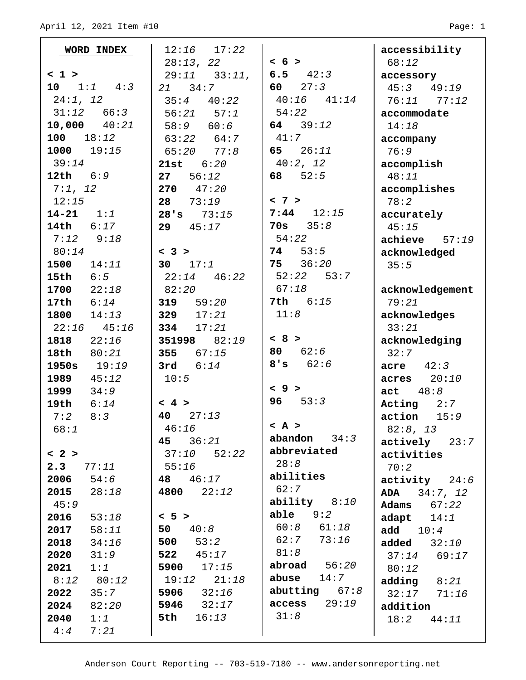| WORD INDEX       | $12:16$ $17:22$   |                 | accessibility            |
|------------------|-------------------|-----------------|--------------------------|
|                  | 28:13, 22         | < 6 >           | 68:12                    |
| < 1              | $29:11$ $33:11$ , | 6.5 $42:3$      | accessory                |
| 10 $1:1$ $4:3$   | 21 34:7           | 60 $27:3$       | $45:3$ $49:19$           |
| 24:1, 12         | $35:4$ $40:22$    | $40:16$ $41:14$ | $76:11$ $77:12$          |
| $31:12$ 66:3     | $56:21$ $57:1$    | 54:22           | accommodate              |
| $10,000$ $40:21$ | 58:9 60:6         | 64 $39:12$      | 14:18                    |
| 100<br>18:12     | $63:22$ $64:7$    | 41:7            | accompany                |
| $1000$ $19:15$   | 77:8<br>65:20     | 65 $26:11$      | 76:9                     |
| 39:14            | 6:20<br>21st      | 40:2, 12        | accomplish               |
| 12th $6:9$       | 27<br>56:12       | 52:5<br>68      | 48:11                    |
| 7:1, 12          | 270<br>47:20      |                 | accomplishes             |
| 12:15            | 28<br>73:19       | < 7 >           | 78:2                     |
| $14 - 21$ $1:1$  | 73:15<br>28's     | $7:44$ 12:15    | accurately               |
| 14th 6:17        | 45:17<br>29       | 70s $35:8$      | 45:15                    |
| 7:12<br>9:18     |                   | 54:22           | $achieve$ 57:19          |
| 80:14            | < 3 >             | 74 53:5         | acknowledged             |
| $1500$ $14:11$   | 30 $17:1$         | $75 \t36:20$    | 35:5                     |
| 15th<br>6:5      | 46:22<br>22:14    | $52:22$ $53:7$  |                          |
| 1700<br>22:18    | 82:20             | 67:18           | acknowledgement          |
| 6:14<br>17th     | 319 $59:20$       | 7th 6:15        | 79:21                    |
| $1800$ $14:13$   | 329 $17:21$       | 11:8            | acknowledges             |
| $22:16$ $45:16$  | 334 $17:21$       |                 | 33:21                    |
| 1818<br>22:16    | 351998 82:19      | < 8 >           | acknowledging            |
| 18th<br>80:21    | 355 $67:15$       | 80 $62:6$       | 32:7                     |
| 1950s<br>19:19   | 3rd $6:14$        | 8's<br>62:6     | $\texttt{acre}$ $42:3$   |
| 1989<br>45:12    | 10:5              |                 | $acres$ $20:10$          |
| 1999<br>34:9     |                   | < 9 >           | act $48:8$               |
| 19th<br>6:14     | < 4 >             | 53:3<br>96      | Acting $2:7$             |
| 8:3<br>7:2       | 40<br>27:13       |                 | action<br>15:9           |
| 68:1             | 46:16             | $><$ A $>$      | 82:8, 13                 |
|                  | 45 36:21          | 34:3<br>abandon | actively<br>23:7         |
| < 2 >            | 52:22<br>37:10    | abbreviated     | activities               |
| 2.3<br>77:11     | 55:16             | 28:8            | 70:2                     |
| 2006<br>54:6     | 48 46:17          | abilities       | $\texttt{activity}$ 24:6 |
| 2015<br>28:18    | 4800<br>22:12     | 62:7            | ADA $34:7, 12$           |
| 45:9             |                   | ability $8:10$  | Adams<br>67:22           |
| 2016<br>53:18    | < 5 >             | able $9:2$      | adapt $14:1$             |
| 2017<br>58:11    | 50 $40:8$         | $60:8$ $61:18$  | add $10:4$               |
| 2018<br>34:16    | 500<br>53:2       | 62:7<br>73:16   | added $32:10$            |
| 2020<br>31:9     | 522<br>45:17      | 81:8            | 37:14<br>69:17           |
| 2021<br>1:1      | 5900<br>17:15     | abroad $56:20$  | 80:12                    |
| 80:12<br>8:12    | 19:12<br>21:18    | abuse<br>14:7   | adding<br>8:21           |
| 2022<br>35:7     | 32:16<br>5906     | abutting $67:8$ | $32:17$ $71:16$          |
| 2024<br>82:20    | 5946<br>32:17     | 29:19<br>access | addition                 |
| 2040<br>1:1      | 16:13<br>5th      | 31:8            | 18:2 44:11               |
| 4:4<br>7:21      |                   |                 |                          |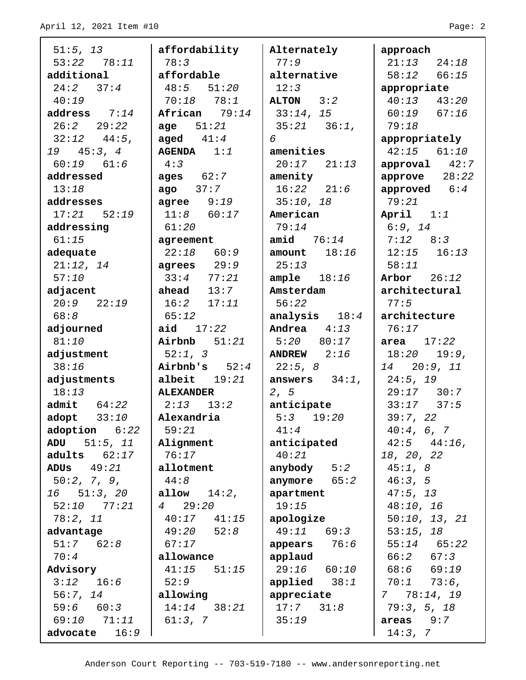| 51:5, 13                   | affordability      | Alternately      | approach          |
|----------------------------|--------------------|------------------|-------------------|
| $53:22$ $78:11$            | 78:3               | 77:9             | $21:13$ $24:18$   |
| additional                 | affordable         | alternative      | $58:12$ $66:15$   |
| 24:2 37:4                  | $48:5$ $51:20$     | 12:3             | appropriate       |
| 40:19                      | $70:18$ $78:1$     | ALTON 3:2        | $40:13$ $43:20$   |
| address $7:14$             | African 79:14      | 33:14, 15        | $60:19$ $67:16$   |
| $26:2$ $29:22$             | <b>age</b> $51:21$ | $35:21$ $36:1$ , | 79:18             |
| $32:12$ $44:5$ ,           | aged $41:4$        | 6                | appropriately     |
| 19 45:3, 4                 | $AGENDA$ 1:1       | amenities        | $42:15$ $61:10$   |
| $60:19$ $61:6$             | 4:3                | $20:17$ $21:13$  | $approual$ $42:7$ |
| addressed                  | ages $62:7$        | amenity          | approve $28:22$   |
| 13:18                      | ago $37:7$         | $16:22$ $21:6$   | approved $6:4$    |
| addresses                  | $agree$ $9:19$     | 35:10, 18        | 79:21             |
| 17:21 52:19                | $11:8$ 60:17       | American         | April $1:1$       |
| addressing                 | 61:20              | 79:14            | 6:9, 14           |
| 61:15                      | agreement          | amid $76:14$     | $7:12$ $8:3$      |
| adequate                   | $22:18$ 60:9       | amount $18:16$   | $12:15$ $16:13$   |
| 21:12, 14                  | agrees $29:9$      | 25:13            | 58:11             |
| 57:10                      | $33:4$ $77:21$     | ample $18:16$    | Arbor $26:12$     |
| adjacent                   | ahead $13:7$       | Amsterdam        | architectural     |
| $20:9$ $22:19$             | $16:2$ $17:11$     | 56:22            | 77:5              |
| 68:8                       | 65:12              | analysis $18:4$  | architecture      |
| adjourned                  | aid $17:22$        | Andrea $4:13$    | 76:17             |
| 81:10                      | Airbnb $51:21$     | 5:20 80:17       | area $17:22$      |
| adjustment                 | 52:1, 3            | ANDREW $2:16$    | $18:20$ $19:9$ ,  |
| 38:16                      | Airbnb's $52:4$    | 22:5, 8          | 14 20:9, 11       |
| adjustments                | albeit $19:21$     | answers $34:1$ , | 24:5, 19          |
| 18:13                      | <b>ALEXANDER</b>   | 2, 5             | $29:17$ 30:7      |
| admit $64:22$              | $2:13$ $13:2$      | anticipate       | $33:17$ $37:5$    |
| $adopt$ 33:10              | Alexandria         | 5:3<br>19:20     | 39:7, 22          |
| $\texttt{adoption}$ $6:22$ | 59:21              | 41:4             | 40:4, 6, 7        |
| ADU 51:5, 11               | Alignment          | anticipated      | $42:5$ $44:16$ ,  |
| adults $62:17$             | 76:17              | 40:21            | 18, 20, 22        |
| ADUS<br>49:21              | allotment          | anybody $5:2$    | 45:1,8            |
| 50:2, 7, 9,                | 44:8               | anymore $65:2$   | 46:3, 5           |
| $16$ $51:3$ , $20$         | allow<br>$14:2$ ,  | apartment        | 47:5, 13          |
| 52:10 77:21                | 4 29:20            | 19:15            | 48:10, 16         |
| 78:2, 11                   | $40:17$ $41:15$    | apologize        | 50:10, 13, 21     |
| advantage                  | $49:20$ $52:8$     | $49:11$ 69:3     | 53:15, 18         |
| $51:7$ $62:8$              | 67:17              | appears $76:6$   | 55:14<br>65:22    |
| 70:4                       | allowance          | applaud          | 66:2 67:3         |
| Advisory                   | 41:15<br>51:15     | $29:16$ 60:10    | $68:6$ $69:19$    |
| 16:6<br>3:12               | 52:9               | applied $38:1$   | 70:1<br>73:6,     |
| 56:7, 14                   | allowing           | appreciate       | 778:14,19         |
| 59:6 60:3                  | $14:14$ $38:21$    | 17:7<br>31:8     | 79:3, 5, 18       |
| 69:10<br>71:11             | 61:3, 7            | 35:19            | $areas$ 9:7       |
| advocate<br>16:9           |                    |                  | 14:3, 7           |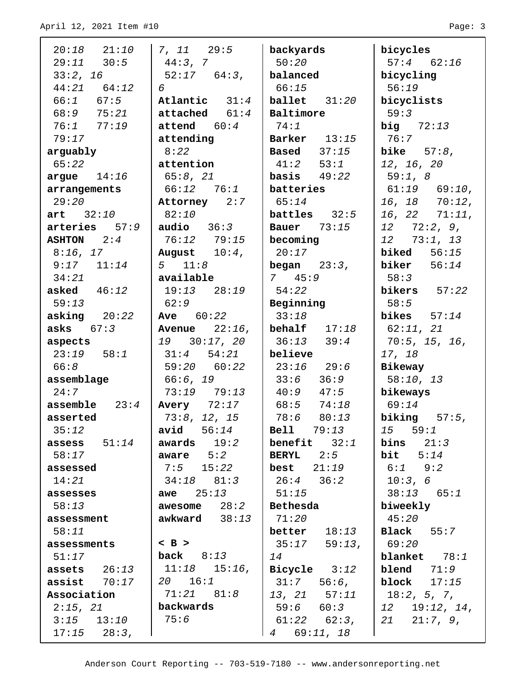| $20:18$ $21:10$        | 7, 11 29:5               | backyards                   | bicycles                |
|------------------------|--------------------------|-----------------------------|-------------------------|
| $29:11$ $30:5$         | 44:3, 7                  | 50:20                       | $57:4$ 62:16            |
| 33:2, 16               | $52:17$ $64:3$ ,         | balanced                    | bicycling               |
| $44:21$ $64:12$        | 6                        | 66:15                       | 56:19                   |
| $66:1$ $67:5$          | Atlantic $31:4$          | $ballet$ $31:20$            | bicyclists              |
| $68:9$ 75:21           | ${\tt attached}$ $61:4$  | Baltimore                   | 59:3                    |
| 76:177:19              | $\texttt{attend}$ $60:4$ | 74:1                        | big $72:13$             |
| 79:17                  | attending                | $\vert$ Barker $13:15$      | 176:7                   |
| arguably               | 8:22                     | $\textbf{Based}$ $37:15$    | bike $57:8$ ,           |
| 65:22                  | attention                | $41:2$ 53:1                 | 12, 16, 20              |
| argue $14:16$          | 65:8, 21                 | $basis$ 49:22               | 59:1, 8                 |
| arrangements           | 66:12 76:1               | batteries                   | $61:19$ $69:10$ ,       |
| 29:20                  | Attorney 2:7             | 65:14                       | $16, 18$ $70:12,$       |
| art 32:10              | 82:10                    | <b>battles</b> $32:5$       | $16, 22$ $71:11,$       |
| $arteries$ $57:9$      | $audio$ $36:3$           | <b>Bauer</b> 73:15          | $12 \quad 72:2,9,$      |
| $\texttt{ASHTON}$ 2:4  | 76:12 79:15              | becoming                    | $12$ 73:1, 13           |
| $8:16$ , 17            | August $10:4$ ,          | 20:17                       | <b>biked</b> $56:15$    |
| $9:17$ $11:14$         | $5 \t11:8$               | begin 23:3,                 | biker $56:14$           |
| 34:21                  | available                | 7 45:9                      | 58:3                    |
| asked $46:12$          | 19:13 28:19              | 54:22                       | bikers $57:22$          |
| 59:13                  | 62:9                     | Beginning                   | 58:5                    |
| asking $20:22$         | <b>Ave</b> $60:22$       | 33:18                       | bikes $57:14$           |
| asks $67:3$            | Avenue $22:16$ ,         | behalf $17:18$              | 62:11, 21               |
| aspects                | 19 30:17, 20             | $36:13$ $39:4$              | 70:5, 15, 16,           |
| $23:19$ $58:1$<br>66:8 | $31:4$ $54:21$           | $ $ believe<br>$23:16$ 29:6 | 17, 18                  |
|                        | 59:20 60:22<br>66:6, 19  | $33:6$ $36:9$               | Bikeway                 |
| assemblage<br>24:7     | $73:19$ $79:13$          | $40:9$ $47:5$               | 58:10, 13<br>  bikeways |
| assemble $23:4$        | <b>Avery</b> 72:17       | 68:5 74:18                  | 69:14                   |
| asserted               | 73:8, 12, 15             | $78:6$ 80:13                | biking $57:5$ ,         |
| 35:12                  | 56:14<br>avid            | <b>Bell</b> 79:13           | 15 59:1                 |
| assess $51:14$         | awards $19:2$            | <b>benefit</b> $32:1$       | bins<br>21:3            |
| 58:17                  | aware $5:2$              | <b>BERYL</b> $2:5$          | bit $5:14$              |
| assessed               | $7:5$ 15:22              | best $21:19$                | $6:1$ $9:2$             |
| 14:21                  | $34:18$ $81:3$           | $26:4$ $36:2$               | 10:3, 6                 |
| assesses               | <b>awe</b> $25:13$       | 51:15                       | $38:13$ 65:1            |
| 58:13                  | awesome $28:2$           | Bethesda                    | biweekly                |
| assessment             | awkward $38:13$          | 71:20                       | 45:20                   |
| 58:11                  |                          | better $18:13$              | $Black$ 55:7            |
| assessments            | $<$ B $>$                | $35:17$ 59:13,              | 69:20                   |
| 51:17                  | back $8:13$              | 14                          | blanket $78:1$          |
| assets $26:13$         | $11:18$ $15:16$ ,        | Bicycle $3:12$              | <b>blend</b> $71:9$     |
| assist $70:17$         | $20 \t 16:1$             | 31:7<br>$56:6$ ,            | block $17:15$           |
| Association            | 71:21 81:8               | 13, 21 57:11                | 18:2, 5, 7,             |
| 2:15, 21               | backwards                | $59:6$ $60:3$               | $12$ $19:12$ , $14$ ,   |
| $3:15$ $13:10$         | 75:6                     | $61:22$ $62:3$ ,            | 21:7, 9,<br>21          |
| $17:15$ $28:3$ ,       |                          | 69:11, 18<br>$\overline{4}$ |                         |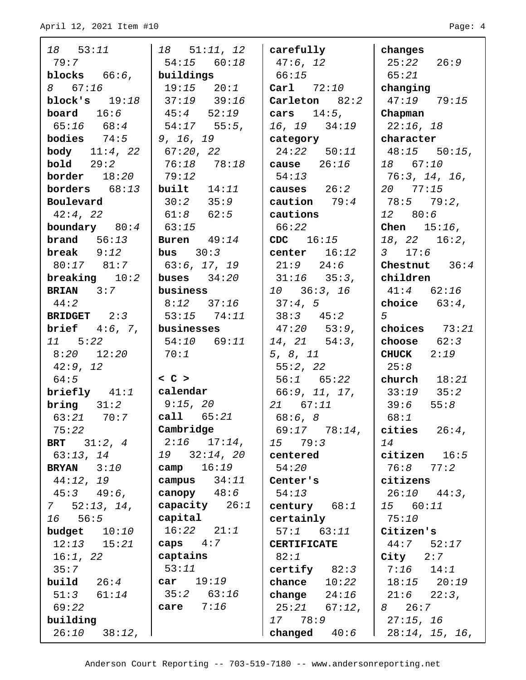| 18 53:11                         | $18$ 51:11, 12                               | $ $ carefully              | changes                                     |
|----------------------------------|----------------------------------------------|----------------------------|---------------------------------------------|
| 79:7                             | $54:15$ 60:18                                | 47:6, 12                   | $25:22$ $26:9$                              |
| blocks $66:6$ , buildings        |                                              | 66:15                      | 65:21                                       |
| 8 67:16                          | $19:15$ $20:1$                               | $\vert$ Carl $\vert$ 72:10 | changing                                    |
| block's $19:18$                  | $ 37:19$ 39:16                               | Carleton $82:2$            | $47:19$ $79:15$                             |
| <b>board</b> $16:6$              | 145:452:19                                   | cars $14:5$ ,              | Chapman                                     |
| $65:16$ $68:4$                   | $\begin{bmatrix} 54:17 & 55:5 \end{bmatrix}$ | $16, 19$ $34:19$           | $22:16$ , 18                                |
| <b>bodies</b> $74:5$   9, 16, 19 |                                              | category                   | $\mid$ character                            |
| <b>body</b> $11:4, 22$           | 67:20, 22                                    | $24:22$ 50:11              | $48:15$ 50:15,                              |
| <b>bold</b> 29:2                 | 76:18 78:18                                  | cause $26:16$              | 18 67:10                                    |
| border 18:20                     | 79:12                                        | 54:13                      | 76:3, 14, 16,                               |
| borders $68:13$ built $14:11$    |                                              | causes $26:2$              | $20$ 77:15                                  |
| Boulevard                        | $30:2$ $35:9$                                | caution $79:4$             | 78:5 79:2,                                  |
| 42:4, 22                         | 61:8 62:5                                    | cautions                   | 12 80:6                                     |
| boundary $80:4$                  | 63:15                                        | 66:22                      | <b>Chen</b> $15:16$ ,                       |
| <b>brand</b> $56:13$             | Buren $49:14$                                | $CDC \t16:15$              | $18, 22$ $16:2,$                            |
| $break$ $9:12$                   | $\vert$ bus $30:3$                           | center $16:12$             | 3 $17:6$                                    |
| 80:17 81:7                       | 63:6, 17, 19                                 | $21:9$ $24:6$              | Chestnut $36:4$                             |
| breaking $10:2$                  | buses $34:20$                                | $31:16$ $35:3$ ,           | children                                    |
| <b>BRIAN</b> $3:7$               | business                                     | 10 36:3, 16                | $41:4$ $62:16$                              |
| 44:2                             | $8:12$ $37:16$                               | 37:4,5                     | choice $63:4$ ,                             |
| BRIDGET 2:3                      | 53:15 74:11                                  | $38:3$ $45:2$              | 5 <sup>5</sup>                              |
| <b>brief</b> $4:6, 7,$           | businesses                                   | 47:20 53:9,                | choices $73:21$                             |
| $11 \quad 5:22$                  | 54:10 69:11                                  | $14, 21$ 54:3,             | choose $62:3$                               |
| 8:20 12:20                       | 70:1                                         | 5, 8, 11                   | $CHUCK$ 2:19                                |
| 42:9, 12                         |                                              | 55:2, 22                   | 25:8                                        |
| 64:5                             | $ 0$ $>$                                     | $56:1$ $65:22$             | church $18:21$                              |
| briefly $41:1$   calendar        |                                              | 66:9, 11, 17,              | $33:19$ $35:2$                              |
| bring 31:2                       | 9:15, 20                                     | 21 67:11                   | 55:8<br>39:6                                |
| 63:21 70:7                       | $\vert$ call $65:21$                         | 68:6, 8                    | 68:1                                        |
| 75:22                            | Cambridge                                    | 69:17 78:14,               | cities $26:4$ ,                             |
| <b>BRT</b> $31:2, 4$             | $2:16$ $17:14$ ,                             | 15 79:3                    | 14                                          |
| 63:13, 14                        | $19$ $32:14$ , $20$                          | centered                   | citizen $16:5$                              |
| <b>BRYAN</b> $3:10$              | camp $16:19$                                 | 54:20                      | 76:8 77:2                                   |
| 44:12, 19                        | campus $34:11$                               | Center's                   | citizens                                    |
| $45:3$ $49:6$ ,                  | canopy $48:6$                                | 54:13                      | $26:10$ $44:3$ ,                            |
| $7 \quad 52:13, 14,$             | $\vert$ capacity $26:1$                      | century $68:1$             | 15 60:11                                    |
| $16$ 56:5                        | $\vert$ capital                              | certainly                  | 75:10                                       |
| budget $10:10$                   | $16:22$ $21:1$                               | $57:1$ $63:11$             | Citizen's                                   |
| $12:13$ $15:21$                  | caps $4:7$                                   | <b>CERTIFICATE</b>         | $44:7$ 52:17                                |
| 16:1, 22                         | captains                                     | 82:1                       | $City$ $2:7$                                |
| 35:7                             | 53:11                                        | certify $82:3$             | $7:16$ $14:1$                               |
| <b>build</b> $26:4$              | $\vert \texttt{car} \quad 19:19$             | chance $10:22$             | $18:15$ $20:19$                             |
| $51:3$ $61:14$                   | $35:2$ 63:16                                 | change $24:16$             | $\begin{bmatrix} 21:6 & 22:3 \end{bmatrix}$ |
| 69:22                            | care $7:16$                                  | 25:21 67:12,               | 8 26:7                                      |
| building                         |                                              | 17 78:9                    | 27:15, 16                                   |
| $26:10$ $38:12$ ,                |                                              | changed $40:6$             | $1 \quad 28:14, 15, 16,$                    |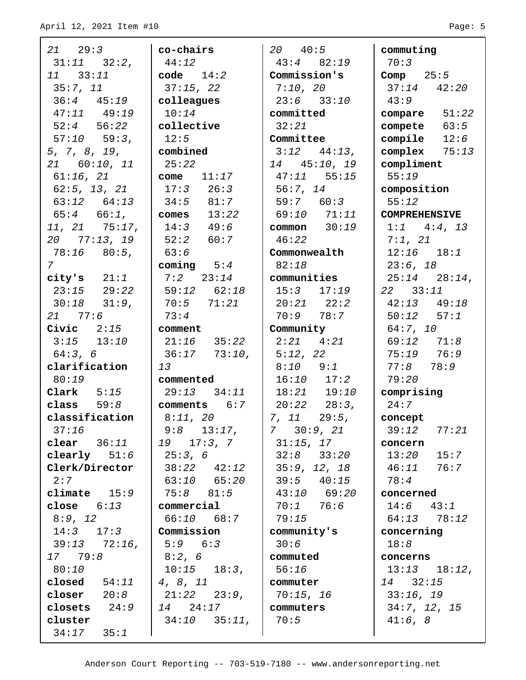| $21 \t 29:3$                        | co-chairs              | 20 40:5                          | commuting                             |
|-------------------------------------|------------------------|----------------------------------|---------------------------------------|
| $31:11$ $32:2$ ,                    | 44:12                  | $43:4$ $82:19$                   | 70:3                                  |
| 11 33:11                            | code $14:2$            | Commission's                     | Comp $25:5$                           |
| 35:7, 11                            | 37:15, 22              | 7:10, 20                         | $37:14$ $42:20$                       |
| $36:4$ $45:19$                      | colleagues             | $23:6$ $33:10$                   | 43:9                                  |
| $47:11$ $49:19$                     | 10:14                  | committed                        | compare $51:22$                       |
| $52:4$ $56:22$                      | collective             | 32:21                            | compete $63:5$                        |
| $57:10$ $59:3$ ,                    | 12:5                   | Committee                        | compile $12:6$                        |
| 5, 7, 8, 19,                        | combined               | $3:12$ $44:13$ ,                 | complex $75:13$                       |
| 21 60:10, 11                        | 25:22                  | 14 45:10, 19                     | compliment                            |
| $61:16$ , $21$                      | $\vert$ come $11:17$   | $47:11$ 55:15                    | 55:19                                 |
| $62:5$ , 13, 21                     | $17:3$ $26:3$          | 56:7, 14                         | composition                           |
| $63:12$ $64:13$                     | 134:581:7              | 59:7 60:3                        | 55:12                                 |
| $65:4$ $66:1$ ,                     | $\vert$ comes $13:22$  | 69:10 71:11                      | <b>COMPREHENSIVE</b>                  |
| $11, 21$ 75:17,                     | $14:3$ $49:6$          | common $30:19$                   | $1:1$ $4:4$ , 13                      |
| 20 77:13, 19                        | $52:2$ 60:7            | 46:22                            | $7:1$ , $21$                          |
| 78:16 80:5,                         | 63:6                   | Commonwealth                     | $12:16$ $18:1$                        |
| $7\overline{ }$                     | coming $5:4$           | 82:18                            | 23:6, 18                              |
| city's $21:1$<br>$23:15$ $29:22$    | $7:2$ 23:14            | communities                      | $25:14$ $28:14$ ,<br>$22 \quad 33:11$ |
|                                     | $59:12$ $62:18$        | $15:3$ $17:19$<br>$20:21$ $22:2$ | $42:13$ $49:18$                       |
| $30:18$ $31:9$ ,<br>$21 \quad 77:6$ | $70:5$ $71:21$<br>73:4 | $70:9$ $78:7$                    | $50:12$ $57:1$                        |
| $\textbf{Civic}$ $2:15$             | comment                | Community                        | 64:7, 10                              |
| $3:15$ $13:10$                      | $21:16$ $35:22$        | $2:21$ $4:21$                    | $69:12$ $71:8$                        |
| 64:3, 6                             | $36:17$ $73:10$ ,      | 5:12, 22                         | $75:19$ $76:9$                        |
| clarification                       | 13                     | $8:10$ $9:1$                     | $77:8$ $78:9$                         |
| 80:19                               | commented              | $16:10$ $17:2$                   | 79:20                                 |
| Clark $5:15$                        | $29:13$ $34:11$        | $18:21$ $19:10$                  | comprising                            |
| class $59:8$                        | comments $6:7$         | $20:22$ $28:3$ ,                 | 24:7                                  |
| classification                      | 8:11, 20               | $7, 11$ $29:5,$                  | concept                               |
| 37:16                               | $9:8$ 13:17,           | 730:9,21                         | 39:12<br>77:21                        |
| clear $36:11$                       | 19 17:3, 7             | 31:15, 17                        | concern                               |
| clearly $51:6$                      | 25:3, 6                | $32:8$ $33:20$                   | 15:7<br>13:20                         |
| Clerk/Director                      | 38:22 42:12            | 35:9, 12, 18                     | 46:11 76:7                            |
| 2:7                                 | 63:10 65:20            | $39:5$ $40:15$                   | 78:4                                  |
| climate $15:9$                      | $75:8$ $81:5$          | $43:10$ 69:20                    | concerned                             |
| close $6:13$                        | commercial             | 70:1 76:6                        | $14:6$ $43:1$                         |
| 8:9, 12                             | 66:10 68:7             | 79:15                            | $64:13$ $78:12$                       |
| $14:3$ $17:3$                       | Commission             | community's                      | concerning                            |
| $39:13$ $72:16$ ,                   | $5:9$ $6:3$            | 30:6                             | 18:8                                  |
| 17 79:8                             | 8:2, 6                 | commuted                         | concerns                              |
| 80:10                               | $10:15$ $18:3$ ,       | 56:16                            | $13:13$ $18:12$ ,                     |
| closed $54:11$                      | 4, 8, 11               | commuter                         | 14 32:15                              |
| closer $20:8$                       | $21:22$ $23:9$ ,       | 70:15, 16                        | 33:16, 19                             |
| closets $24:9$                      | 14 24:17               | commuters                        | 34:7, 12, 15                          |
| cluster                             | $34:10$ $35:11$ ,      | 70:5                             | 41:6, 8                               |
| $34:17$ $35:1$                      |                        |                                  |                                       |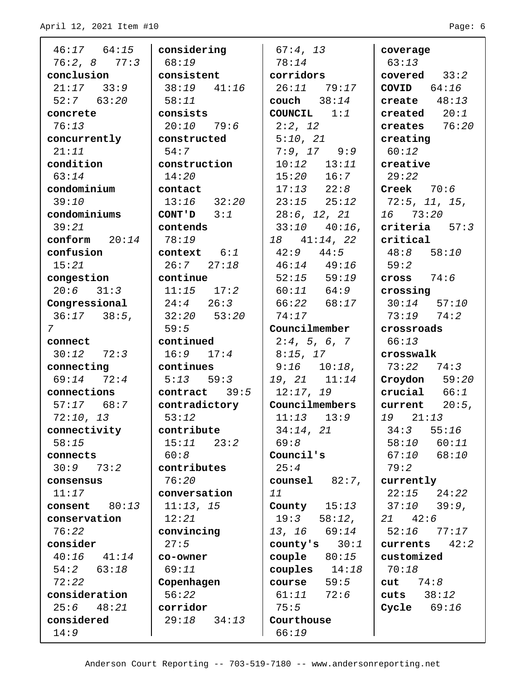| $46:17$ $64:15$  | considering     | 67:4, 13            | coverage             |
|------------------|-----------------|---------------------|----------------------|
| $76:2, 8$ 77:3   | 68:19           | 78:14               | 63:13                |
| conclusion       | consistent      | corridors           | covered $33:2$       |
| $21:17$ $33:9$   | $38:19$ $41:16$ | $26:11$ 79:17       | COVID $64:16$        |
| $52:7$ $63:20$   | 58:11           | couch $38:14$       | create $48:13$       |
| concrete         | consists        | COUNCIL $1:1$       | created $20:1$       |
| 76:13            | $20:10$ 79:6    | 2:2, 12             | creates $76:20$      |
| concurrently     | constructed     | 5:10, 21            | creating             |
| 21:11            | 54:7            | $7:9, 17$ 9:9       | 60:12                |
| condition        | construction    | $10:12$ $13:11$     | creative             |
| 63:14            | 14:20           | $15:20$ $16:7$      | 29:22                |
| condominium      | contact         | $17:13$ $22:8$      | $\text{Create}$ 70:6 |
| 39:10            | $13:16$ $32:20$ | $23:15$ $25:12$     | 72:5, 11, 15,        |
| condominiums     | CONT'D $3:1$    | 28:6, 12, 21        | 16 73:20             |
| 39:21            | contends        | $33:10$ $40:16$ ,   | criteria $57:3$      |
| conform $20:14$  | 78:19           | $18$ $41:14$ , $22$ | critical             |
| confusion        | $context$ $6:1$ | $42:9$ $44:5$       | $48:8$ 58:10         |
| 15:21            | $26:7$ $27:18$  | $46:14$ $49:16$     | 59:2                 |
| congestion       | continue        | $52:15$ $59:19$     | cross $74:6$         |
| $20:6$ $31:3$    | $11:15$ $17:2$  | $60:11$ $64:9$      | crossing             |
| Congressional    | $24:4$ $26:3$   | $66:22$ $68:17$     | 130:1457:10          |
| $36:17$ $38:5$ , | $32:20$ $53:20$ | 74:17               | $73:19$ $74:2$       |
| 7                | 59:5            | Councilmember       | crossroads           |
| connect          | continued       | 2:4, 5, 6, 7        | 66:13                |
| $30:12$ $72:3$   | $16:9$ $17:4$   | 8:15, 17            | crosswalk            |
| connecting       | continues       | $9:16$ $10:18$ ,    | $73:22$ $74:3$       |
| $69:14$ $72:4$   | $5:13$ $59:3$   | 19, 21 11:14        | Croydon $59:20$      |
| connections      | contract $39:5$ | 12:17, 19           | crucial $66:1$       |
| $57:17$ 68:7     | contradictory   | Councilmembers      | current $20:5$ ,     |
| 72:10, 13        | 53:12           | $11:13$ $13:9$      | 19 21:13             |
| connectivity     | contribute      | 34:14, 21           | 34:3<br>55:16        |
| 58:15            | 15:11<br>23:2   | 69:8                | 58:10<br>60:11       |
| connects         | 60:8            | Council's           | 67:10<br>68:10       |
| 30:973:2         | contributes     | 25:4                | 79:2                 |
| consensus        | 76:20           | counsel $82:7$ ,    | currently            |
| 11:17            | conversation    | 11                  | $22:15$ $24:22$      |
| consent $80:13$  | 11:13, 15       | County $15:13$      | 37:10<br>39:9,       |
| conservation     | 12:21           | $19:3$ $58:12$ ,    | $21 \t 42:6$         |
| 76:22            | convincing      | 13, 16<br>69:14     | 52:16<br>77:17       |
| consider         | 27:5            | county's<br>30:1    | 42:2<br>currents     |
| 40:16<br>41:14   | co-owner        | couple $80:15$      | customized           |
| $54:2$ $63:18$   | 69:11           | couples $14:18$     | 70:18                |
| 72:22            | Copenhagen      | 59:5<br>course      | cut 74:8             |
| consideration    | 56:22           | 61:11<br>72:6       | cuts $38:12$         |
| $25:6$ $48:21$   | corridor        | 75:5                | Cycle $69:16$        |
| considered       | $29:18$ $34:13$ | Courthouse          |                      |
| 14:9             |                 | 66:19               |                      |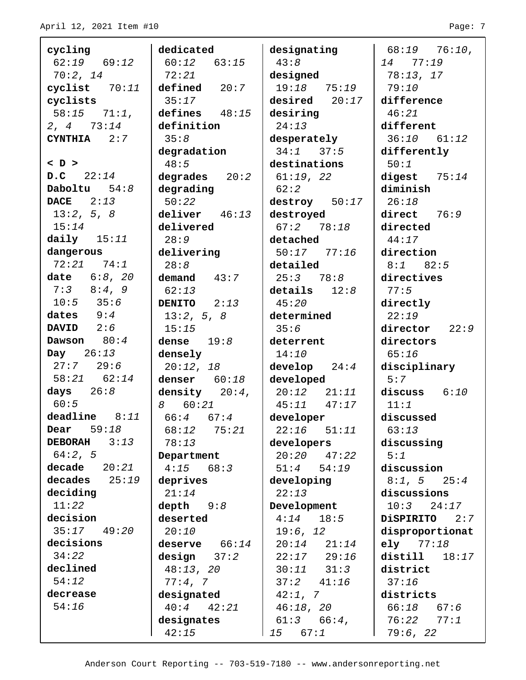| cycling                | dedicated               | designating     | $68:19$ $76:10$ , |
|------------------------|-------------------------|-----------------|-------------------|
| $62:19$ $69:12$        | $60:12$ $63:15$         | 43:8            | 77:19<br>14       |
| 70:2, 14               | 72:21                   | designed        | 78:13, 17         |
| cyclist $70:11$        | delined 20:7            | $19:18$ $75:19$ | 79:10             |
| cyclists               | 35:17                   | desired 20:17   | difference        |
| $58:15$ $71:1$ ,       | defines $48:15$         | desiring        | 46:21             |
| $2, 4$ $73:14$         | definition              | 24:13           | different         |
| $CYNTHIA$ 2:7          | 35:8                    | desperately     | $36:10$ $61:12$   |
|                        | degradation             | $34:1$ $37:5$   | differently       |
| $\langle D \rangle$    | 48:5                    | destinations    | 50:1              |
| $D.C$ 22:14            | degrades $20:2$         | 61:19, 22       | digest $75:14$    |
| Daboltu $54:8$         | degrading               | 62:2            | diminish          |
| <b>DACE</b><br>2:13    | 50:22                   | destroy 50:17   | 26:18             |
| 13:2, 5, 8             | $deliver$ $46:13$       | destroyed       | direct $76:9$     |
| 15:14                  | delivered               | 67:278:18       | directed          |
| daily $15:11$          | 28:9                    | detached        | 44:17             |
| dangerous              | delivering              | $50:17$ $77:16$ | direction         |
| 72:21 74:1             | 28:8                    | detailed        | $8:1$ $82:5$      |
| date 6:8, 20           | demand $43:7$           | 25:378:8        | directives        |
| $7:3$ $8:4,9$          | 62:13                   | details $12:8$  | 77:5              |
| $10:5$ 35:6            | DENITO $2:13$           | 45:20           | directly          |
| dates $9:4$            | 13:2, 5, 8              | determined      | 22:19             |
| DAVID $2:6$            | 15:15                   | 35:6            | director<br>22:9  |
| Dawson $80:4$          | dense $19:8$            | deterrent       | directors         |
| Day $26:13$            | densely                 | 14:10           | 65:16             |
| $27:7$ 29:6            | 20:12, 18               | develop 24:4    | disciplinary      |
| $58:21$ $62:14$        | denser $60:18$          | developed       | 5:7               |
| days $26:8$            | density $20:4$ ,        | $20:12$ $21:11$ | discuss $6:10$    |
| 60:5                   | 60:21<br>8              | 45:11<br>47:17  | 11:1              |
| deadline 8:11          | $1\quad 66:4\quad 67:4$ | developer       | discussed         |
| 59:18<br>Dear          | $68:12$ 75:21           | $22:16$ $51:11$ | 63:13             |
| <b>DEBORAH</b><br>3:13 | 78:13                   | developers      | discussing        |
| 64:2, 5                | Department              | $20:20$ $47:22$ | 5:1               |
| decade $20:21$         | 4:15<br>68:3            | 51:4<br>54:19   | discussion        |
| decades $25:19$        | deprives                | developing      | $8:1, 5$ 25:4     |
| deciding               | 21:14                   | 22:13           | discussions       |
| 11:22                  | depth $9:8$             | Development     | $10:3$ $24:17$    |
| decision               | deserted                | 4:14<br>18:5    | DiSPIRITO 2:7     |
| 35:17<br>49:20         | 20:10                   | 19:6, 12        | disproportionat   |
| decisions              | deserve $66:14$         | $20:14$ $21:14$ | ely $77:18$       |
| 34:22                  | design $37:2$           | $22:17$ $29:16$ | distill<br>18:17  |
| declined               | 48:13, 20               | $30:11$ $31:3$  | district          |
| 54:12                  | 77:4,7                  | $37:2$ $41:16$  | 37:16             |
| decrease               | designated              | 42:1, 7         | districts         |
| 54:16                  | 40:4<br>42:21           | 46:18, 20       | 66:18<br>67:6     |
|                        | designates              | $61:3$ $66:4$ , | $76:22$ $77:1$    |
|                        | 42:15                   | 67:1<br>15      | 79:6, 22          |
|                        |                         |                 |                   |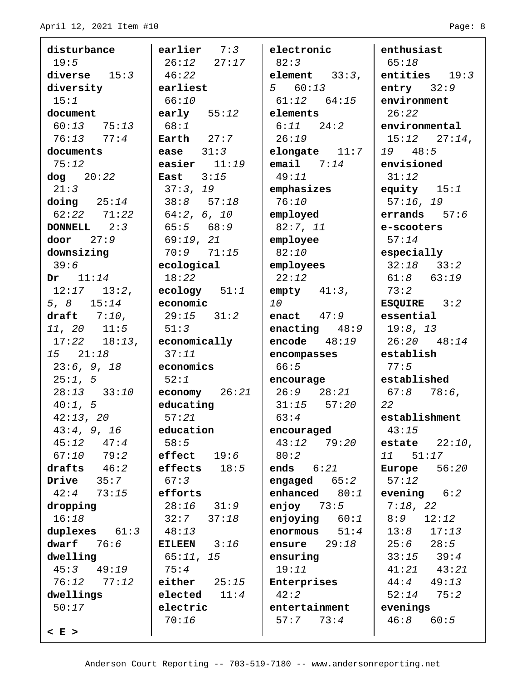| disturbance            | earlier $7:3$   | electronic       | enthusiast             |
|------------------------|-----------------|------------------|------------------------|
| 19:5                   | $26:12$ $27:17$ | 82:3             | 65:18                  |
| diverse $15:3$         | 46:22           | element $33:3,$  | entities $19:3$        |
| diversity              | earliest        | 560:13           | entry $32:9$           |
| 15:1                   | 66:10           | $61:12$ $64:15$  | environment            |
| document               | early $55:12$   | elements         | 26:22                  |
| $60:13$ 75:13          | 68:1            | $6:11$ $24:2$    | environmental          |
| $76:13$ $77:4$         | Earth $27:7$    | 26:19            | $15:12$ $27:14$ ,      |
| documents              | ease $31:3$     | elongate $11:7$  | 19 48:5                |
| 75:12                  | easier $11:19$  | email $7:14$     | envisioned             |
| $\text{dog}$ $20:22$   | East $3:15$     | 49:11            | 31:12                  |
| 21:3                   | 37:3, 19        | emphasizes       | equity $15:1$          |
| $\text{doing}$ $25:14$ | $38:8$ $57:18$  | 76:10            | 57:16, 19              |
| $62:22$ $71:22$        | 64:2, 6, 10     | employed         | errands $57:6$         |
| DONNELL $2:3$          | $65:5$ $68:9$   | 82:7, 11         | e-scooters             |
| door $27:9$            | 69:19, 21       | employee         | 57:14                  |
| downsizing             | $70:9$ $71:15$  | 82:10            | especially             |
| 39:6                   | ecological      | employees        | $32:18$ $33:2$         |
| Dr $11:14$             | 18:22           | 22:12            | $61:8$ $63:19$         |
| $12:17$ $13:2$ ,       | ecology $51:1$  | $empty$ 41:3,    | 73:2                   |
| 5, 8 $15:14$           | economic        | 10               | ESQUIRE $3:2$          |
| draft $7:10$ ,         | $29:15$ $31:2$  | enact $47:9$     | essential              |
| $11, 20$ $11:5$        | 51:3            | enacting $48:9$  | 19:8, 13               |
| $17:22$ $18:13$ ,      | economically    | encode $48:19$   | $26:20$ $48:14$        |
| 15 21:18               | 37:11           | encompasses      | establish              |
| 23:6, 9, 18            | economics       | 66:5             | 77:5                   |
| 25:1, 5                | 52:1            | encourage        | established            |
| $28:13$ $33:10$        | economy $26:21$ | $26:9$ $28:21$   | $67:8$ $78:6$ ,        |
| 40:1, 5                | educating       | $31:15$ $57:20$  | 22                     |
| 42:13, 20              | 57:21           | 63:4             | establishment          |
| 43:4, 9, 16            | education       | encouraged       | 43:15                  |
| $45:12$ $47:4$         | 58:5            | $43:12$ $79:20$  | estate $22:10$ ,       |
| $67:10$ $79:2$         | $effect$ $19:6$ | 80:2             | 11 51:17               |
| 46:2<br>drafts         | effects $18:5$  | ends $6:21$      | 56:20<br><b>Europe</b> |
| $Dirive$ $35:7$        | 67:3            | engaged $65:2$   | 57:12                  |
| $42:4$ 73:15           | efforts         | enhanced $80:1$  | evening $6:2$          |
| dropping               | $28:16$ $31:9$  | enjoy $73:5$     | 7:18, 22               |
| 16:18                  | 32:7<br>37:18   | enjoying $60:1$  | 8:9<br>12:12           |
| duplexes $61:3$        | 48:13           | 51:4<br>enormous | 13:8<br>17:13          |
| dwarf $76:6$           | EILEEN $3:16$   | ensure $29:18$   | 25:6 28:5              |
| dwelling               | 65:11, 15       | ensuring         | $33:15$ $39:4$         |
| $45:3$ $49:19$         | 75:4            | 19:11            | $41:21$ $43:21$        |
| $76:12$ $77:12$        | either $25:15$  | Enterprises      | $44:4$ $49:13$         |
| dwellings              | elected $11:4$  | 42:2             | 52:14<br>75:2          |
| 50:17                  | electric        | entertainment    | evenings               |
|                        | 70:16           | 57:7773:4        | $46:8$ 60:5            |
| $< E$ >                |                 |                  |                        |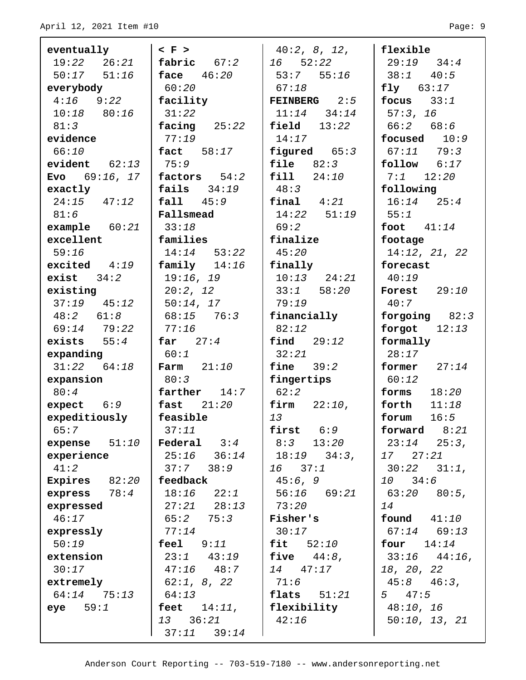| eventually                    | $\langle$ F $\rangle$           | 40:2, 8, 12,              | flexible                     |
|-------------------------------|---------------------------------|---------------------------|------------------------------|
| $19:22$ $26:21$               | fabric $67:2$                   | $16$ $52:22$              | $29:19$ $34:4$               |
| $50:17$ $51:16$               | face $46:20$                    | $53:7$ $55:16$            | $38:1$ 40:5                  |
| everybody                     | 60:20                           | 67:18                     | $fly$ $63:17$                |
| $4:16$ $9:22$                 | facility                        | <b>FEINBERG</b> $2:5$     | focus $33:1$                 |
| $10:18$ 80:16                 | 31:22                           | $11:14$ $34:14$           | 57:3, 16                     |
| 81:3                          | facing $25:22$                  | field $13:22$             | 66:2 68:6                    |
| evidence                      | 77:19                           | 14:17                     | focused $10:9$               |
| 66:10                         | $\texttt{fact}$ 58:17           | figured $65:3$            | $67:11$ $79:3$               |
| $evident$ $62:13$             | 75:9                            | $file \qquad 82:3$        | follow 6:17                  |
| Evo $69:16, 17$               | factors $54:2$                  | fill<br>24:10             | $7:1$ 12:20                  |
| exactly                       | fails $34:19$                   | 48:3                      | following                    |
| $24:15$ $47:12$               | fall 45:9                       | $final$ $4:21$            | $16:14$ $25:4$               |
| 81:6                          | Fallsmead                       | $14:22$ $51:19$           | 55:1                         |
| example $60:21$               | 33:18                           | 69:2                      | foot $41:14$                 |
| excellent                     | families                        | finalize                  | footage                      |
| 59:16                         | $14:14$ 53:22                   | 45:20                     | 14:12, 21, 22                |
| $excited$ 4:19                | family 14:16                    | finally                   | forecast                     |
| $exist$ $34:2$                | 19:16, 19                       | $10:13$ $24:21$           | 40:19                        |
| existing                      | 20:2, 12                        | $33:1$ $58:20$            | Forest $29:10$               |
| $37:19$ $45:12$               | 50:14, 17                       | 79:19                     | 40:7                         |
| 48:2 61:8                     | $68:15$ 76:3                    | financially               | forgoing $82:3$              |
| $69:14$ $79:22$               | 77:16                           | 82:12                     | forgot $12:13$               |
| exists $55:4$                 | far $27:4$                      | $\text{find}$ 29:12       | formally                     |
| expanding                     | 60:1                            | 32:21                     | 28:17                        |
| $31:22$ $64:18$               | Farm $21:10$                    | fine $39:2$               | former $27:14$               |
| expansion                     | 80:3                            | fingertips                | 60:12                        |
| 80:4                          | farther $14:7$                  | 62:2                      | forms<br>18:20               |
| expect $6:9$                  | fast $21:20$                    | firm $22:10$ ,            | forth<br>11:18               |
| expeditiously<br>65:7         | feasible<br>37:11               | 13<br>6:9                 | 16:5<br>forum                |
|                               |                                 | first                     | 8:21<br>forward              |
| expense $51:10$<br>experience | Federal<br>3:4                  | 8:3<br>13:20              | 23:14<br>25:3,               |
| 41:2                          | $25:16$ $36:14$<br>37:7<br>38:9 | 18:19<br>34:3,<br>16 37:1 | 17 27:21<br>$30:22$ $31:1$ , |
| Expires $82:20$               | feedback                        | 45:6, 9                   | 34:6<br>10                   |
| express $78:4$                | $18:16$ $22:1$                  | $56:16$ $69:21$           | $63:20$ $80:5$ ,             |
| expressed                     | $27:21$ $28:13$                 | 73:20                     | 14                           |
| 46:17                         | 65:2<br>75:3                    | Fisher's                  | found 41:10                  |
| expressly                     | 77:14                           | 30:17                     | $67:14$ $69:13$              |
| 50:19                         | feel $9:11$                     | fit<br>52:10              | four<br>14:14                |
| extension                     | 23:1<br>43:19                   | five<br>$44:8$ ,          | $33:16$ $44:16$ ,            |
| 30:17                         | $47:16$ $48:7$                  | 14 47:17                  | 18, 20, 22                   |
| extremely                     | 62:1, 8, 22                     | 71:6                      | 45:8<br>46:3,                |
| 64:14<br>75:13                | 64:13                           | flats<br>51:21            | $5 \t 47:5$                  |
| eye $59:1$                    | feet $14:11$ ,                  | flexibility               | 48:10, 16                    |
|                               | 13 36:21                        | 42:16                     | 50:10, 13, 21                |
|                               | $37:11$ $39:14$                 |                           |                              |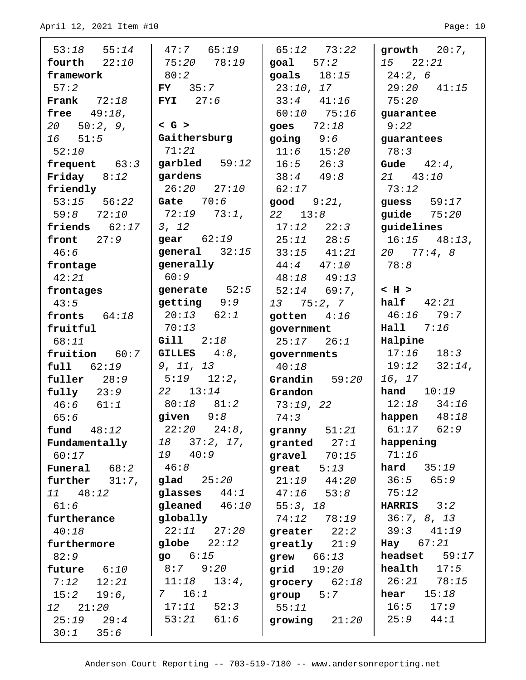| $53:18$ $55:14$<br>$47:7$ $65:19$<br>$65:12$ $73:22$<br>growth $20:7$ ,<br>fourth $22:10$<br>$75:20$ $78:19$<br>goal 57:2<br>$15 \t 22:21$<br>80:2<br>goals $18:15$<br>framework<br>24:2,6<br>57:2<br>23:10, 17<br>$29:20$ $41:15$<br>$FY$ 35:7<br>Frank $72:18$<br>$33:4$ $41:16$<br>$FYI$ 27:6<br>75:20<br><b>free</b> $49:18$ ,<br>$60:10$ 75:16<br>guarantee<br>$<$ G $>$<br>$20 \quad 50:2, 9,$<br>goes $72:18$<br>9:22<br>Gaithersburg<br>16 51:5<br>$going \t9:6$<br>guarantees<br>71:21<br>$11:6$ $15:20$<br>78:3<br>52:10<br>garbled $59:12$<br>frequent $63:3$<br>$16:5$ $26:3$<br>Gude $42:4$ ,<br>gardens<br>Friday $8:12$<br>$38:4$ $49:8$<br>21 43:10<br>$26:20$ $27:10$<br>friendly<br>62:17<br>73:12<br>Gate $70:6$<br>$53:15$ $56:22$<br>guess $59:17$<br>$\mathsf{good}$ $9:21$ , |
|-----------------------------------------------------------------------------------------------------------------------------------------------------------------------------------------------------------------------------------------------------------------------------------------------------------------------------------------------------------------------------------------------------------------------------------------------------------------------------------------------------------------------------------------------------------------------------------------------------------------------------------------------------------------------------------------------------------------------------------------------------------------------------------------------------|
|                                                                                                                                                                                                                                                                                                                                                                                                                                                                                                                                                                                                                                                                                                                                                                                                     |
|                                                                                                                                                                                                                                                                                                                                                                                                                                                                                                                                                                                                                                                                                                                                                                                                     |
|                                                                                                                                                                                                                                                                                                                                                                                                                                                                                                                                                                                                                                                                                                                                                                                                     |
|                                                                                                                                                                                                                                                                                                                                                                                                                                                                                                                                                                                                                                                                                                                                                                                                     |
|                                                                                                                                                                                                                                                                                                                                                                                                                                                                                                                                                                                                                                                                                                                                                                                                     |
|                                                                                                                                                                                                                                                                                                                                                                                                                                                                                                                                                                                                                                                                                                                                                                                                     |
|                                                                                                                                                                                                                                                                                                                                                                                                                                                                                                                                                                                                                                                                                                                                                                                                     |
|                                                                                                                                                                                                                                                                                                                                                                                                                                                                                                                                                                                                                                                                                                                                                                                                     |
|                                                                                                                                                                                                                                                                                                                                                                                                                                                                                                                                                                                                                                                                                                                                                                                                     |
|                                                                                                                                                                                                                                                                                                                                                                                                                                                                                                                                                                                                                                                                                                                                                                                                     |
|                                                                                                                                                                                                                                                                                                                                                                                                                                                                                                                                                                                                                                                                                                                                                                                                     |
|                                                                                                                                                                                                                                                                                                                                                                                                                                                                                                                                                                                                                                                                                                                                                                                                     |
| $72:19$ $73:1$ ,<br>quide $75:20$<br>$59:8$ $72:10$<br>$22 \quad 13:8$                                                                                                                                                                                                                                                                                                                                                                                                                                                                                                                                                                                                                                                                                                                              |
| friends $62:17$<br>3, 12<br>guidelines<br>$17:12$ $22:3$                                                                                                                                                                                                                                                                                                                                                                                                                                                                                                                                                                                                                                                                                                                                            |
| gear $62:19$<br>front $27:9$<br>$25:11$ $28:5$<br>$16:15$ $48:13$ ,                                                                                                                                                                                                                                                                                                                                                                                                                                                                                                                                                                                                                                                                                                                                 |
| general $32:15$<br>46:6<br>$33:15$ $41:21$<br>20 77:4,8                                                                                                                                                                                                                                                                                                                                                                                                                                                                                                                                                                                                                                                                                                                                             |
| generally<br>$44:4$ $47:10$<br>78:8<br>frontage                                                                                                                                                                                                                                                                                                                                                                                                                                                                                                                                                                                                                                                                                                                                                     |
| 60:9<br>42:21<br>$48:18$ $49:13$                                                                                                                                                                                                                                                                                                                                                                                                                                                                                                                                                                                                                                                                                                                                                                    |
| generate $52:5$<br>$$\rmK}$$<br>$52:14$ 69:7,<br>frontages                                                                                                                                                                                                                                                                                                                                                                                                                                                                                                                                                                                                                                                                                                                                          |
| getting 9:9<br>half $42:21$<br>43:5<br>$13 \quad 75:2,7$                                                                                                                                                                                                                                                                                                                                                                                                                                                                                                                                                                                                                                                                                                                                            |
| $20:13$ $62:1$<br>$46:16$ 79:7<br>fronts $64:18$<br>gotten $4:16$                                                                                                                                                                                                                                                                                                                                                                                                                                                                                                                                                                                                                                                                                                                                   |
| 70:13<br>Hall 7:16<br>fruitful<br>government                                                                                                                                                                                                                                                                                                                                                                                                                                                                                                                                                                                                                                                                                                                                                        |
| Gill 2:18<br>Halpine<br>68:11<br>$25:17$ $26:1$                                                                                                                                                                                                                                                                                                                                                                                                                                                                                                                                                                                                                                                                                                                                                     |
| $17:16$ $18:3$<br>fruition $60:7$<br>GILLES $4:8$ ,<br>governments                                                                                                                                                                                                                                                                                                                                                                                                                                                                                                                                                                                                                                                                                                                                  |
| $19:12$ $32:14$ ,<br>9, 11, 13<br>$full$ $62:19$<br>40:18                                                                                                                                                                                                                                                                                                                                                                                                                                                                                                                                                                                                                                                                                                                                           |
| $5:19$ $12:2$ ,<br>16, 17<br>fuller $28:9$<br>Grandin $59:20$                                                                                                                                                                                                                                                                                                                                                                                                                                                                                                                                                                                                                                                                                                                                       |
| hand $10:19$<br>$22 \quad 13:14$<br>$fully$ $23:9$<br>Grandon                                                                                                                                                                                                                                                                                                                                                                                                                                                                                                                                                                                                                                                                                                                                       |
| $80:18$ $81:2$<br>$12:18$ $34:16$<br>46:6 61:1<br>73:19, 22                                                                                                                                                                                                                                                                                                                                                                                                                                                                                                                                                                                                                                                                                                                                         |
| given $9:8$<br>happen $48:18$<br>65:6<br>74:3                                                                                                                                                                                                                                                                                                                                                                                                                                                                                                                                                                                                                                                                                                                                                       |
| $61:17$ $62:9$<br>$22:20$ $24:8$ ,<br><b>fund</b> 48:12<br>granny $51:21$                                                                                                                                                                                                                                                                                                                                                                                                                                                                                                                                                                                                                                                                                                                           |
| $18$ $37:2$ , $17$ ,<br>happening<br>Fundamentally<br>granted $27:1$                                                                                                                                                                                                                                                                                                                                                                                                                                                                                                                                                                                                                                                                                                                                |
| 19 40:9<br>71:16<br>60:17<br>$gravel$ $70:15$<br>46:8                                                                                                                                                                                                                                                                                                                                                                                                                                                                                                                                                                                                                                                                                                                                               |
| hard $35:19$<br><b>Funeral</b> $68:2$<br>great $5:13$<br>36:5<br>65:9                                                                                                                                                                                                                                                                                                                                                                                                                                                                                                                                                                                                                                                                                                                               |
| glad 25:20<br>$21:19$ $44:20$<br>further $31:7$ ,<br>glasses $44:1$<br>75:12                                                                                                                                                                                                                                                                                                                                                                                                                                                                                                                                                                                                                                                                                                                        |
| 11 48:12<br>$47:16$ $53:8$<br>gleaned $46:10$<br><b>HARRIS</b> $3:2$<br>61:6                                                                                                                                                                                                                                                                                                                                                                                                                                                                                                                                                                                                                                                                                                                        |
| 55:3, 18<br>36:7, 8, 13<br>globally<br>74:12 78:19<br>furtherance                                                                                                                                                                                                                                                                                                                                                                                                                                                                                                                                                                                                                                                                                                                                   |
| $22:11$ $27:20$<br>$39:3$ $41:19$<br>40:18<br>greater $22:2$                                                                                                                                                                                                                                                                                                                                                                                                                                                                                                                                                                                                                                                                                                                                        |
| $g$ lobe $22:12$<br>$\textbf{Hay}$ 67:21<br>furthermore<br>greatly $21:9$                                                                                                                                                                                                                                                                                                                                                                                                                                                                                                                                                                                                                                                                                                                           |
| 906:15<br>headset<br>59:17<br>82:9<br>$grew$ $66:13$                                                                                                                                                                                                                                                                                                                                                                                                                                                                                                                                                                                                                                                                                                                                                |
| $8:7$ $9:20$<br>health<br>17:5<br>future 6:10<br>grid 19:20                                                                                                                                                                                                                                                                                                                                                                                                                                                                                                                                                                                                                                                                                                                                         |
| $26:21$ 78:15<br>11:18<br>$13:4$ ,<br>$7:12$ $12:21$<br>grocery $62:18$                                                                                                                                                                                                                                                                                                                                                                                                                                                                                                                                                                                                                                                                                                                             |
| 16:1<br>15:18<br>hear<br>7<br>$15:2$ 19:6,<br>group 5:7                                                                                                                                                                                                                                                                                                                                                                                                                                                                                                                                                                                                                                                                                                                                             |
| 16:5<br>17:11<br>52:3<br>17:9<br>12 21:20<br>55:11                                                                                                                                                                                                                                                                                                                                                                                                                                                                                                                                                                                                                                                                                                                                                  |
| $53:21$ $61:6$<br>$25:9$ $44:1$<br>$25:19$ $29:4$<br>growing $21:20$                                                                                                                                                                                                                                                                                                                                                                                                                                                                                                                                                                                                                                                                                                                                |
| 30:1<br>35:6                                                                                                                                                                                                                                                                                                                                                                                                                                                                                                                                                                                                                                                                                                                                                                                        |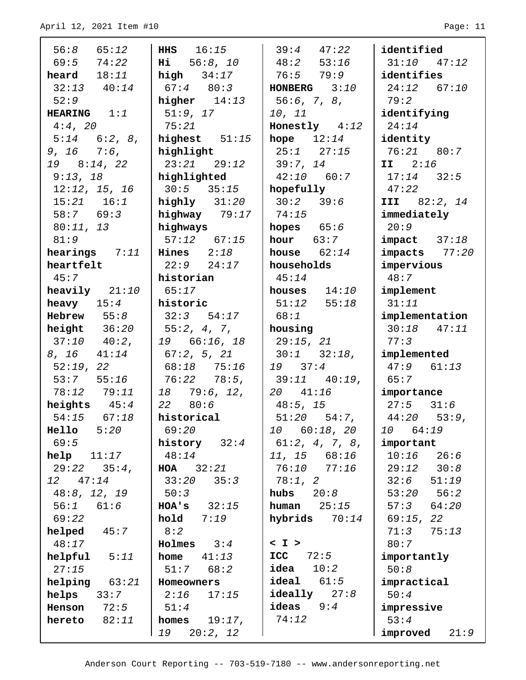| $56:8$ $65:12$                 | <b>HHS</b> 16:15                            | $39:4$ $47:22$                    | identified        |
|--------------------------------|---------------------------------------------|-----------------------------------|-------------------|
| $69:5$ $74:22$                 | Hi 56:8, 10                                 | $48:2$ 53:16                      | $31:10$ $47:12$   |
| <b>heard</b> $18:11$           | $high$ 34:17                                | 76:5 79:9                         | identifies        |
| $32:13$ $40:14$                | $\begin{vmatrix} 67:4 & 80:3 \end{vmatrix}$ | <b>HONBERG</b> $3:10$             | $24:12$ 67:10     |
| 52:9                           | higher $14:13$                              | 56:6, 7, 8,                       | 79:2              |
| HEARING $1:1$                  | 51:9, 17                                    | 10, 11                            | identifying       |
| 4:4, 20                        | 75:21                                       | Honestly $4:12$                   | 24:14             |
| $5:14$ $6:2, 8$ ,              | highest $51:15$                             | hope $12:14$                      | identity          |
| $9, 16$ $7:6,$                 | highlight                                   | $25:1$ $27:15$                    | 76:21 80:7        |
| $19 \quad 8:14, 22$            | $23:21$ $29:12$                             | 39:7, 14                          | $II$ 2:16         |
| 9:13, 18                       | highlighted                                 | $42:10$ 60:7                      | $17:14$ 32:5      |
| 12:12, 15, 16                  | $30:5$ $35:15$                              | hopefully                         | 47:22             |
| $15:21$ $16:1$                 | highly 31:20                                | 30:2 39:6                         | III 82:2, 14      |
| 58:7 69:3                      | highway 79:17                               | 74:15                             | immediately       |
| 80:11, 13                      | highways                                    | hopes $65:6$                      | 20:9              |
| 81:9                           | $57:12$ $67:15$                             | hour $63:7$                       | $impect$ $37:18$  |
| hearings $7:11$   Hines $2:18$ |                                             | house $62:14$                     | $impacts$ $77:20$ |
| heartfelt                      | $22:9$ $24:17$                              | households                        | impervious        |
| 45:7                           | historian                                   | 45:14                             | 48:7              |
| heavily $21:10$                | 65:17                                       | houses $14:10$                    | implement         |
| heavy $15:4$                   | historic                                    | $51:12$ $55:18$                   | 31:11             |
| $Hebrew$ 55:8                  | $32:3$ $54:17$                              | 68:1                              | implementation    |
| height $36:20$                 | 55:2, 4, 7,                                 | housing                           | $30:18$ $47:11$   |
| $37:10$ $40:2$ ,               | 19 66:16, 18                                | 29:15, 21                         | 77:3              |
| $8, 16$ $41:14$                | $\begin{bmatrix} 67:2, 5, 21 \end{bmatrix}$ | $30:1$ $32:18$ ,                  | implemented       |
| 52:19,22                       | 68:18 75:16                                 | 19 37:4                           | $47:9$ $61:13$    |
| $53:7$ $55:16$                 | 76:22 78:5,                                 | $39:11$ $40:19$ ,                 | 65:7              |
| 78:12 79:11                    | $18$ 79:6, 12,                              | $20 \t 41:16$                     | importance        |
| heights $45:4$                 | 22 80:6                                     | 48:5, 15                          | $27:5$ $31:6$     |
| $54:15$ $67:18$                | historical                                  | $51:20$ $54:7$ , $44:20$ $53:9$ , |                   |
| 5:20<br>Hello                  | 69:20                                       | 10 60:18, 20                      | 64:19<br>10 —     |
| 69:5                           | history $32:4$                              | 61:2, 4, 7, 8,                    | important         |
| $help$ $11:17$                 | 48:14                                       | $11, 15$ 68:16                    | 10:16<br>26:6     |
| $29:22$ $35:4$ ,               | <b>HOA</b> $32:21$                          | $76:10$ $77:16$                   | 29:12 30:8        |
| 12 47:14                       | 33:20<br>35:3                               | 78:1, 2                           | 32:6<br>51:19     |
| 48:8, 12, 19                   | 50:3                                        | hubs<br>20:8                      | 56:2<br>53:20     |
| 56:1 61:6                      | <b>HOA's</b> $32:15$                        | <b>human</b> $25:15$              | 64:20<br>57:3     |
| 69:22                          | hold<br>7:19                                | hybrids<br>70:14                  | 69:15, 22         |
| helped<br>45:7                 | 8:2                                         |                                   | 75:13<br>71:3     |
| 48:17                          | Holmes 3:4                                  | < I >                             | 80:7              |
| $helpful$ $5:11$               | home $41:13$                                | ICC<br>72:5                       | importantly       |
| 27:15                          | $51:7$ $68:2$                               | idea<br>10:2                      | 50:8              |
| helping $63:21$                | Homeowners                                  | $ideal$ $61:5$                    | impractical       |
| $helps$ 33:7                   | 2:16<br>17:15                               | $i$ deally $27:8$                 | 50:4              |
| <b>Henson</b> $72:5$           | 51:4                                        | ideas $9:4$                       | impressive        |
| hereto<br>82:11                | homes $19:17$ ,                             | 74:12                             | 53:4              |
|                                | 19<br>20:2, 12                              |                                   | improved<br>21:9  |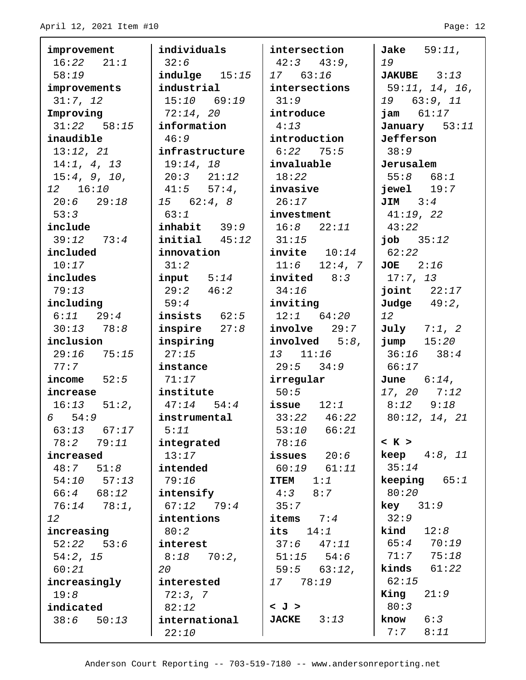| improvement      | individuals             | intersection         | Jake $59:11$ ,        |
|------------------|-------------------------|----------------------|-----------------------|
| $16:22$ $21:1$   | 32:6                    | $42:3$ $43:9$ ,      | 19                    |
| 58:19            | $indulge$ $15:15$       | 17 63:16             | <b>JAKUBE</b> $3:13$  |
| improvements     | industrial              | intersections        | 59:11, 14, 16,        |
| 31:7, 12         | $15:10$ 69:19           | 31:9                 | 19 63:9, 11           |
| Improving        | 72:14, 20               | introduce            | <b>jam</b> $61:17$    |
| $31:22$ $58:15$  | information             | 4:13                 | January 53:11         |
| inaudible        | 46:9                    | introduction         | Jefferson             |
| 13:12, 21        | infrastructure          | $6:22$ 75:5          | 38:9                  |
| 14:1, 4, 13      | 19:14, 18               | invaluable           | Jerusalem             |
| 15:4, 9, 10,     | $20:3$ $21:12$          | 18:22                | $55:8$ $68:1$         |
| 12 16:10         | $41:5$ $57:4$ ,         | invasive             | $jewel$ $19:7$        |
| $20:6$ 29:18     | 15 62:4,8               | 26:17                | $JIM$ $3:4$           |
| 53:3             | 63:1                    | investment           | 41:19,22              |
| include          | $\mathbf{inhabit}$ 39:9 | $16:8$ $22:11$       | 43:22                 |
| $39:12$ $73:4$   | $initial$ $45:12$       | 31:15                | <b>job</b> $35:12$    |
| included         | innovation              | invite $10:14$       | 62:22                 |
| 10:17            | 31:2                    | $11:6$ $12:4$ , 7    | $JOE$ $2:16$          |
| includes         | $input$ $5:14$          | $invited$ 8:3        | 17:7, 13              |
| 79:13            | 29:2 46:2               | 34:16                | joint $22:17$         |
| including        | 59:4                    | inviting             | Judge $49:2$ ,        |
| $6:11$ $29:4$    | insists $62:5$          | $12:1$ 64:20         | 12                    |
| $30:13$ $78:8$   | inspire $27:8$          | involve 29:7         | July $7:1, 2$         |
| inclusion        | inspiring               | involved $5:8$ ,     | $jump$ $15:20$        |
| $29:16$ 75:15    | 27:15                   | 13 11:16             | $36:16$ $38:4$        |
| 77:7             | instance                | 29:5 34:9            | 66:17                 |
| income $52:5$    | 71:17                   | irregular            | <b>June</b> $6:14$ ,  |
| increase         | institute               | 50:5                 | 17, 20 7:12           |
| $16:13$ $51:2$ , | $47:14$ 54:4            | issue $12:1$         | $8:12$ $9:18$         |
| 6 54:9           | instrumental            | $133:22$ 46:22       | 80:12, 14, 21         |
| 63:13<br>67:17   | 5:11                    | 53:10<br>66:21       |                       |
| 78:2<br>79:11    | integrated              | 78:16                | < K >                 |
| increased        | 13:17                   | issues $20:6$        | <b>keep</b> $4:8, 11$ |
| 48:7<br>51:8     | intended                | $60:19$ $61:11$      | 35:14                 |
| $54:10$ $57:13$  | 79:16                   | 1:1<br><b>ITEM</b>   | <b>keeping</b> $65:1$ |
| $66:4$ $68:12$   | intensify               | 4:3<br>8:7           | 80:20                 |
| $76:14$ $78:1$ , | $67:12$ $79:4$          | 35:7                 | $key$ 31:9            |
| 12               | intentions              | items<br>7:4         | 32:9                  |
| increasing       | 80:2                    | its<br>14:1          | 12:8<br>kind          |
| $52:22$ $53:6$   | interest                | 37:6<br>47:11        | 65:470:19             |
| 54:2, 15         | 8:18<br>70:2,           | $51:15$ $54:6$       | 71:7<br>75:18         |
| 60:21            | 20                      | $59:5$ 63:12,        | kinds<br>61:22        |
| increasingly     | interested              | 78:19<br>17          | 62:15                 |
| 19:8             | 72:3, 7                 |                      | King<br>21:9          |
| indicated        | 82:12                   | < J >                | 80:3                  |
| 38:6<br>50:13    | international           | 3:13<br><b>JACKE</b> | 6:3<br>know           |
|                  | 22:10                   |                      | 7:7<br>8:11           |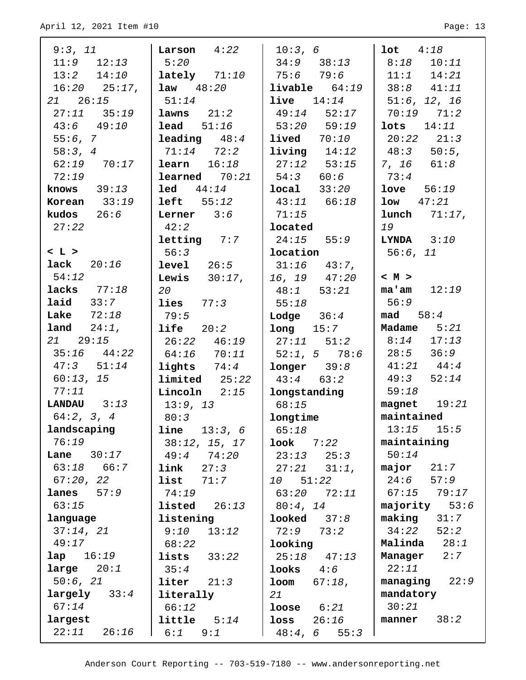| 9:3, 11              | $\mathtt{Larson}$ 4:22               | 10:3, 6                                                              | $1$ ot $4:18$           |
|----------------------|--------------------------------------|----------------------------------------------------------------------|-------------------------|
| $11:9$ $12:13$       | 5:20                                 | $34:9$ $38:13$                                                       | $8:18$ 10:11            |
| $13:2$ $14:10$       | $\texttt{lately}$ 71:10              | 75:6  79:6                                                           | $11:1$ $14:21$          |
| $16:20$ $25:17$ ,    | <b>law</b> $48:20$                   | $livable$ $64:19$                                                    | $38:8$ $41:11$          |
| $21 \quad 26:15$     | 51:14                                | $live$ $14:14$                                                       | 51:6, 12, 16            |
| $27:11$ $35:19$      | ${\tt lawns}$ $21:2$                 | $49:14$ $52:17$                                                      | $70:19$ $71:2$          |
| $43:6$ $49:10$       | $\texttt{lead}$ 51:16                | 53:20 59:19                                                          | $\texttt{lots}$ $14:11$ |
| 55:6, 7              | <b>leading</b> $48:4$                | $1$ ived $70:10$                                                     | $20:22$ $21:3$          |
| 58:3, 4              | $71:14$ $72:2$                       | $1$ iving $14:12$                                                    | $48:3$ 50:5,            |
| $62:19$ $70:17$      | $\verb learn 16:18 $                 | $\begin{array}{ c c c c c } \hline 27:12 & 53:15 \hline \end{array}$ | $ 7, 16$ 61:8           |
| 72:19                | <b>learned</b> $70:21$   $54:3$ 60:6 |                                                                      | 73:4                    |
| <b>knows</b> $39:13$ | $\text{\texttt{led}}$ $44:14$        | local 33:20                                                          | $1$ ove $56:19$         |
| Korean $33:19$       | left  55:12                          | $43:11$ $66:18$                                                      | $1ow$ $47:21$           |
| kudos $26:6$         | <b>Lerner</b> $3:6$                  | 71:15                                                                | $lunch$ $71:17$ ,       |
| 27:22                | 42:2                                 | located                                                              | 19                      |
|                      | $letting$ 7:7                        | $24:15$ 55:9                                                         | $LYNDA$ $3:10$          |
| L >                  | 56:3                                 | location                                                             | 56:6, 11                |
| lack $20:16$         | level 26:5                           | $31:16$ $43:7$ ,                                                     |                         |
| 54:12                | <b>Lewis</b> $30:17$ ,               | $16, 19$ $47:20$                                                     | < M >                   |
| lacks $77:18$        | 20                                   | $48:1$ 53:21                                                         | $ma'am$ 12:19           |
| laid $33:7$          | lies $77:3$                          | 55:18                                                                | 56:9                    |
| Lake $72:18$         | 79:5                                 | <b>Lodge</b> $36:4$                                                  | $\texttt{mad}$ 58:4     |
| land 24:1,           | $left$ 20:2                          | $long$ $15:7$                                                        | Madame $5:21$           |
| 21 29:15             | 26:22 46:19                          | $\begin{vmatrix} 27:11 & 51:2 \end{vmatrix}$                         | $8:14$ 17:13            |
| $35:16$ $44:22$      | 64:16 70:11                          | $52:1, 5$ 78:6                                                       | $28:5$ $36:9$           |
| $47:3$ $51:14$       | lights $74:4$                        | $longer$ 39:8                                                        | $41:21$ $44:4$          |
| 60:13, 15            | $1$ imited $25:22$                   | $43:4$ 63:2                                                          | $49:3$ $52:14$          |
| 77:11                | $Lincoln$ $2:15$                     | longstanding                                                         | 59:18                   |
| LANDAU $3:13$        | 13:9, 13                             | 68:15                                                                | magnet $19:21$          |
| 64:2, 3, 4           | 80:3                                 | longtime                                                             | maintained              |
| landscaping          | <b>line</b> $13:3, 6$                | 65:18                                                                | $13:15$ $15:5$          |
| 76:19                | 38:12, 15, 17                        | <b>look</b> 7:22                                                     | maintaining             |
| <b>Lane</b> $30:17$  | 49:474:20                            | $23:13$ $25:3$                                                       | 50:14                   |
| $63:18$ $66:7$       | $link$ $27:3$                        | $27:21$ $31:1$ ,                                                     | $\texttt{major}$ 21:7   |
| 67:20, 22            | list 71:7                            | 10 51:22                                                             | $24:6$ 57:9             |
| $lanes$ $57:9$       | 74:19                                | 63:20 72:11                                                          | 67:15 79:17             |
| 63:15                | <b>listed</b> $26:13$                | 80:4, 14                                                             | majority $53:6$         |
| language             | listening                            | $\textbf{looked}$ $37:8$                                             | $\texttt{making}$ 31:7  |
| 37:14, 21            | $9:10$ $13:12$                       | 72:9 73:2                                                            | $34:22$ $52:2$          |
| 49:17                | 68:22                                | looking                                                              | Malinda $28:1$          |
| lap 16:19            | lists $33:22$                        | $25:18$ $47:13$                                                      | Manager 2:7             |
| large $20:1$         | 35:4                                 | $\texttt{looks}$ $4:6$                                               | 22:11                   |
| 50:6, 21             | $liter$ $21:3$                       | <b>loom</b> $67:18$ ,                                                | managing $22:9$         |
| $large1y$ 33:4       | literally                            | 21                                                                   | mandatory               |
| 67:14                | 66:12                                | $\textbf{loose}$ $6:21$                                              | 30:21                   |
| largest              | $\text{little}$ $5:14$               | $loss$ $26:16$                                                       | manner $38:2$           |
| $22:11$ $26:16$      | $6:1$ $9:1$                          | $48:4, 6$ 55:3                                                       |                         |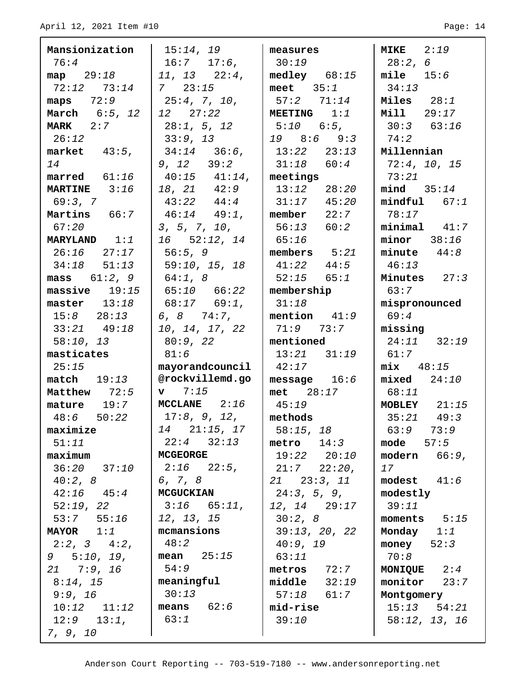$\blacksquare$ 

| Mansionization             | 15:14, 19                              | measures               | MIKE $2:19$          |
|----------------------------|----------------------------------------|------------------------|----------------------|
| 76:4                       | $16:7$ $17:6$ ,                        | 30:19                  | 28:2,6               |
| map $29:18$                | $11, 13$ $22:4,$                       | medley $68:15$         | mile $15:6$          |
| $72:12$ $73:14$            | $7 \quad 23:15$                        | meet $35:1$            | 34:13                |
| maps $72:9$                | 25:4, 7, 10,                           | $57:2$ $71:14$         | Miles $28:1$         |
| March 6:5, 12              | 12 27:22                               | MEETING $1:1$          | <b>Mill</b> 29:17    |
| $MARK$ 2:7                 | 28:1, 5, 12                            | $1\,5:10\,6:5$ ,       | $30:3$ 63:16         |
| 26:12                      | 33:9, 13                               | $19$ $8:6$ $9:3$       | 74:2                 |
| market $43:5$ ,            | 34:14 36:6,                            | $13:22$ $23:13$        | Millennian           |
| 14                         | 9, 12 39:2                             | $31:18$ 60:4           | 72:4, 10, 15         |
| marred $61:16$             | $40:15$ $41:14$ ,                      | meetings               | 73:21                |
| <b>MARTINE</b> 3:16        | 18, 21 42:9                            | $13:12$ $28:20$        | mind 35:14           |
| 69:3, 7                    | $43:22$ $44:4$   $31:17$ $45:20$       |                        | $mindful$ 67:1       |
| Martins 66:7               | $46:14$ $49:1$ ,                       | $\sqrt{m}$ member 22:7 | 78:17                |
| 67:20                      | 3, 5, 7, 10,                           | $1\,56:13\,60:2$       | $minimal$ 41:7       |
| <b>MARYLAND</b> $1:1$      | 16 52:12, 14                           | 65:16                  | $minor$ 38:16        |
| 26:16 27:17                | $1\,56:5,9$                            | $\sim$ members $5:21$  | minute $44:8$        |
| $34:18$ $51:13$            | 59:10, 15, 18                          | $41:22$ $44:5$         | 46:13                |
| mass $61:2, 9$   $64:1, 8$ |                                        | $52:15$ $65:1$         | Minutes $27:3$       |
| $massive$ 19:15            | $65:10$ $66:22$                        | membership             | 63:7                 |
| master $13:18$             | $68:17$ $69:1$ ,                       | 31:18                  | mispronounced        |
| $15:8$ $28:13$             | 6, 8 74:7,                             | mention $41:9$         | 69:4                 |
| $33:21$ $49:18$            | 10, 14, 17, 22                         | 71:9 73:7              | missing              |
| 58:10, 13                  | 80:9, 22                               | mentioned              | $24:11$ $32:19$      |
| masticates                 | 81:6                                   | $13:21$ $31:19$        | 61:7                 |
| 25:15                      | mayorandcouncil                        | 42:17                  | $mix$ 48:15          |
| $match$ 19:13              | @rockvillemd.go                        | message $16:6$         | $mixed$ $24:10$      |
| Matthew 72:5               | $\mathbf{v}$ 7:15                      | $met \t 28:17$         | 68:11                |
| $\texttt{mature}$ 19:7     | MCCLANE $2:16$                         | 45:19                  | MOBLEY $21:15$       |
| $48:6$ $50:22$             | $17:8$ , 9, 12, $\blacksquare$ methods |                        | $35:21$ 49:3         |
| maximize                   | $14$ $21:15$ , $17$                    | 58:15, 18              | 63:973:9             |
| 51:11                      | $22:4$ $32:13$                         | metric 14:3            | $mode$ $57:5$        |
| maximum                    | <b>MCGEORGE</b>                        | 19:22 20:10            | modern $66:9$ ,      |
| $36:20$ $37:10$            | $2:16$ $22:5$ ,                        | $21:7$ $22:20$ ,       | 17                   |
| 40:2, 8                    | 6, 7, 8                                | 21 23:3, 11            | modest $41:6$        |
| $42:16$ $45:4$             | <b>MCGUCKIAN</b>                       | 24:3, 5, 9,            | modestly             |
| 52:19, 22                  | $3:16$ 65:11, $12, 14$ 29:17           |                        | 39:11                |
| 53:7 55:16                 | 12, 13, 15                             | 30:2,8                 | moments $5:15$       |
| $\texttt{MAYOR}$ 1:1       | mcmansions                             | 39:13, 20, 22          | Monday $1:1$         |
| $2:2, 3$ 4:2,              | 48:2                                   | 40:9, 19               | money $52:3$         |
| $9 \quad 5:10, 19,$        | mean $25:15$                           | 63:11                  | 70:8                 |
| $21$ 7:9, 16               | 54:9                                   | $metros$ 72:7          | <b>MONIQUE</b> $2:4$ |
| 8:14, 15                   | meaningful<br>30:13                    | $middle$ 32:19         | monitor $23:7$       |
| 9:9, 16                    | $\sqrt{means}$ 62:6                    | 57:18 61:7             | Montgomery           |
| $10:12$ $11:12$            | 63:1                                   | mid-rise               | $15:13$ $54:21$      |
| $12:9$ $13:1$ ,            |                                        | 39:10                  | 58:12, 13, 16        |
| 7, 9, 10                   |                                        |                        |                      |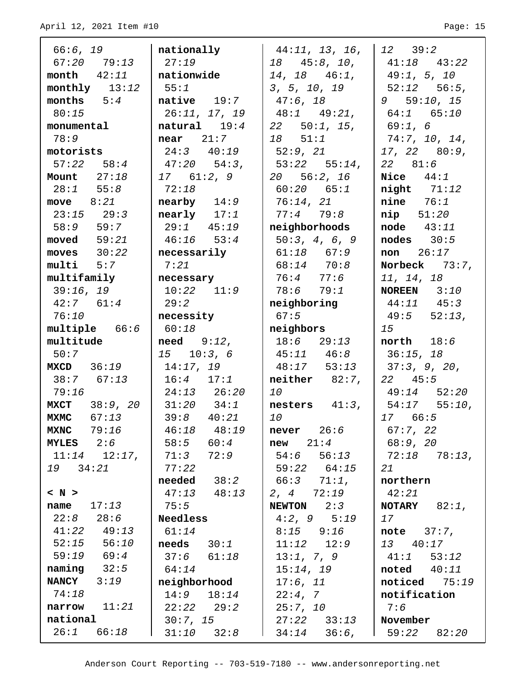| 66:6, 19            | nationally                                                                       | 44:11, 13, 16,                                | $12 \quad 39:2$                                                     |
|---------------------|----------------------------------------------------------------------------------|-----------------------------------------------|---------------------------------------------------------------------|
| 67:20 79:13         | 27:19                                                                            | 18 45:8, 10,                                  | $41:18$ $43:22$                                                     |
| month $42:11$       | nationwide                                                                       | $14, 18$ $46:1,$                              | 149:1, 5, 10                                                        |
| monthly $13:12$     | 55:1                                                                             | 3, 5, 10, 19                                  | $\begin{vmatrix} 52:12 & 56:5 \end{vmatrix}$                        |
| months $5:4$        | $\texttt{native}$ 19:7                                                           | $47:6$ , 18                                   | 9 59:10, 15                                                         |
| 80:15               | 26:11, 17, 19                                                                    | 148:149:21                                    | $\begin{array}{ c c c c c } \hline 64:1 & 65:10 \hline \end{array}$ |
| monumental          | natural $19:4$                                                                   | $22$ 50:1, 15,                                | 69:1, 6                                                             |
| 78:9                | $near$ 21:7                                                                      | $18$ $51:1$                                   | 74:7, 10, 14,                                                       |
| motorists           | $24:3$ $40:19$                                                                   | 52:9, 21                                      | $17, 22$ 80:9,                                                      |
| $57:22$ $58:4$      | 147:2054:3,                                                                      | $\begin{vmatrix} 53:22 & 55:14 \end{vmatrix}$ | 22 81:6                                                             |
| Mount $27:18$       | 17 61:2, 9                                                                       | 20 56:2, 16                                   | Nice $44:1$                                                         |
| $28:1$ 55:8         | 72:18                                                                            | $60:20$ $65:1$                                | $night$ $71:12$                                                     |
| move $8:21$         | $nearby$ 14:9                                                                    | 76:14, 21                                     | $nine$ $76:1$                                                       |
| $23:15$ $29:3$      | $nearly$ $17:1$                                                                  | 77:479:8                                      | $\texttt{nip}$ 51:20                                                |
| 58:9 59:7           | 129:145:19                                                                       | neighborhoods                                 | $node$ $43:11$                                                      |
| moved $59:21$       | $46:16$ 53:4                                                                     | 50:3, 4, 6, 9                                 | $nodes$ $30:5$                                                      |
| moves $30:22$       | necessarily                                                                      | $61:18$ $67:9$                                | <b>non</b> $26:17$                                                  |
| $multi$ $5:7$       | 7:21                                                                             | $68:14$ $70:8$                                | Norbeck $73:7$ ,                                                    |
| multifamily         | necessary                                                                        | 76:4 77:6                                     | 11, 14, 18                                                          |
| 39:16, 19           | $10:22$ $11:9$                                                                   | 78:6 79:1                                     | <b>NOREEN</b> $3:10$                                                |
| $42:7$ $61:4$       | 29:2                                                                             | neighboring                                   | $44:11$ $45:3$                                                      |
| 76:10               | necessity                                                                        | 67:5                                          | $49:5$ $52:13$ ,                                                    |
| multiple 66:6       | 60:18                                                                            | neighbors                                     | 15                                                                  |
| multitude           | $need \qquad 9:12,$                                                              | $18:6$ 29:13                                  | $north$ $18:6$                                                      |
| 50:7                | $15 \t 10:3,6$                                                                   | $45:11$ $46:8$                                | 36:15, 18                                                           |
| $MXCD$ 36:19        | 14:17,19                                                                         | $48:17$ 53:13                                 | 37:3, 9, 20,                                                        |
| $38:7$ 67:13        | $16:4$ $17:1$                                                                    | $neither$ $82:7$ ,                            | $22 \quad 45:5$                                                     |
| 79:16               | $24:13$ $26:20$                                                                  | 10                                            | $49:14$ $52:20$                                                     |
| MXCT 38:9, 20       | $31:20$ $34:1$                                                                   | nesters $41:3$ ,                              | $54:17$ 55:10,                                                      |
| $MXMC$ 67:13        | $39:8$ $40:21$                                                                   | 10                                            | 1766:5                                                              |
| <b>MXNC</b> 79:16   | 46:18 48:19                                                                      | $never$ $26:6$                                | 67:7, 22                                                            |
| MYLES $2:6$         | $\begin{array}{ c c c c c } \hline \text{58:5} & \text{60:4} \hline \end{array}$ | $new$ $21:4$                                  | 68:9, 20                                                            |
| $11:14$ $12:17$ ,   | 71:3 72:9                                                                        | 54:6 56:13                                    | 72:18 78:13,                                                        |
| 19 34:21            | 77:22                                                                            | 59:22 64:15                                   | 21                                                                  |
|                     | $\bm{{\small \textsf{needed}}}$ 38:2                                             | 66:3 71:1,                                    | northern                                                            |
| $\langle N \rangle$ | $47:13$ $48:13$                                                                  | 2, 4 72:19                                    | 42:21                                                               |
| name $17:13$        | 75:5                                                                             | $NEWTON$ 2:3                                  | <b>NOTARY</b> $82:1$ ,                                              |
| $22:8$ $28:6$       | Needless                                                                         | $4:2, 9$ $5:19$                               | 17                                                                  |
| $41:22$ $49:13$     | 61:14                                                                            | $8:15$ $9:16$                                 | note $37:7$ ,                                                       |
| $52:15$ $56:10$     | $\bf{needs}$ $30:1$                                                              | $11:12$ $12:9$                                | 13 40:17                                                            |
| 59:19 69:4          | $37:6$ $61:18$                                                                   | 13:1, 7, 9                                    | $41:1$ 53:12                                                        |
| $naming$ $32:5$     | 64:14                                                                            | 15:14, 19                                     | $\textbf{noted}$ $40:11$                                            |
| $NANCY$ 3:19        | neighborhood                                                                     | $17:6$ , $11$                                 | noticed $75:19$                                                     |
| 74:18               | $14:9$ $18:14$                                                                   | 22:4,7                                        | notification                                                        |
| $narrow$ $11:21$    | $22:22$ $29:2$                                                                   | 25:7, 10                                      | 7:6                                                                 |
| national            | 30:7, 15                                                                         | $27:22$ $33:13$                               | November                                                            |
| $26:1$ $66:18$      | $31:10$ $32:8$                                                                   | $34:14$ $36:6$ ,                              | $1\quad 59:22\quad 82:20$                                           |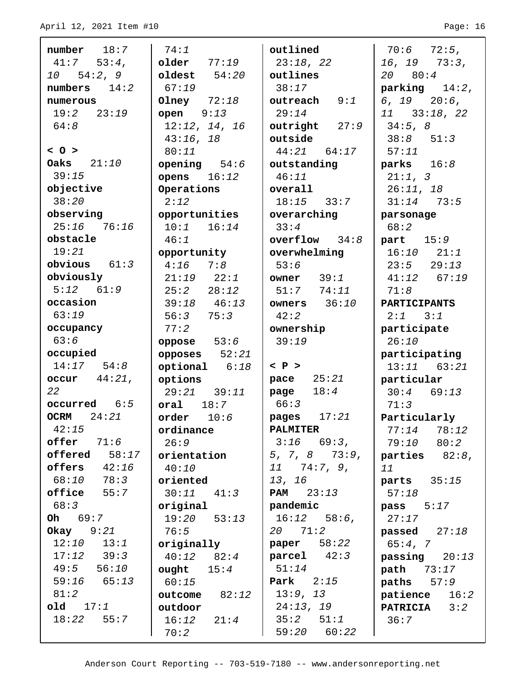| $number$ 18:7    | 74:1              | outlined                             | $70:6$ $72:5$ ,        |
|------------------|-------------------|--------------------------------------|------------------------|
| $41:7$ 53:4,     | $older$ $77:19$   | 23:18, 22                            | $16, 19$ $73:3,$       |
| 10 54:2, 9       | oldest $54:20$    | outlines                             | 20 80:4                |
| numbers $14:2$   | 67:19             | 38:17                                | $parking$ 14:2,        |
| numerous         | Olney $72:18$     | $outreach$ $9:1$                     | $6, 19$ $20:6,$        |
| 19:2 23:19       | open $9:13$       | 29:14                                | $11$ $33:18$ , $22$    |
| 64:8             | 12:12, 14, 16     | outright $27:9$                      | 34:5, 8                |
|                  | 43:16, 18         | outside                              | $38:8$ $51:3$          |
| $<$ 0 >          | 80:11             | $44:21$ $64:17$                      | 57:11                  |
| Oaks $21:10$     | opening $54:6$    | outstanding                          | parks $16:8$           |
| 39:15            | opens $16:12$     | 46:11                                | 21:1, 3                |
| objective        | Operations        | overall                              | 26:11, 18              |
| 38:20            | 2:12              | $18:15$ $33:7$                       | $31:14$ 73:5           |
| observing        | opportunities     | overarching                          | parsonage              |
| $25:16$ 76:16    | $10:1$ $16:14$    | 33:4                                 | 68:2                   |
| obstacle         | 46:1              | $overflow$ $34:8$                    | part $15:9$            |
| 19:21            | opportunity       | overwhelming                         | $16:10$ $21:1$         |
| obvious $61:3$   | $4:16$ $7:8$      | 53:6                                 | $23:5$ $29:13$         |
| obviously        | $21:19$ $22:1$    | owner $39:1$                         | $41:12$ 67:19          |
| $5:12$ $61:9$    | 25:2 28:12        | $51:7$ $74:11$                       | 71:8                   |
| occasion         | $39:18$ $46:13$   | owners $36:10$                       | <b>PARTICIPANTS</b>    |
| 63:19            | 56:375:3          | 42:2                                 | $2:1$ $3:1$            |
| occupancy        | 77:2              | ownership                            | participate            |
| 63:6             | oppose $53:6$     | 39:19                                | 26:10                  |
| occupied         | opposes $52:21$   |                                      | participating          |
| $14:17$ $54:8$   | $optional$ $6:18$ | $\langle$ P $\rangle$                | $13:11$ 63:21          |
| occur $44:21$ ,  | options           | 25:21<br>pace                        | particular             |
| 22               | $29:21$ $39:11$   | 18:4<br>page                         | $30:4$ 69:13           |
| occurred 6:5     | oral $18:7$       | 66:3                                 | 71:3                   |
| OCRM $24:21$     | order $10:6$      | pages $17:21$                        | Particularly           |
| 42:15            | ordinance         | <b>PALMITER</b>                      | 78:12<br>77:14         |
| $offer$ $71:6$   | 26:9              | $3:16$ 69:3,                         |                        |
| $offered 58:17$  | orientation       | $5, 7, 8$ $73:9,$                    | 79:10 80:2             |
| offers $42:16$   |                   | $11$ 74:7, 9,                        | parties $82:8$ ,       |
| 68:10 78:3       | 40:10             | 13, 16                               | 11                     |
| office<br>55:7   | oriented          | <b>PAM</b> $23:13$                   | parts $35:15$          |
|                  | $30:11$ $41:3$    |                                      | 57:18                  |
| 68:3             | original          | pandemic                             | pass 5:17              |
| <b>Oh</b> $69:7$ | $19:20$ $53:13$   | $16:12$ 58:6,                        | 27:17                  |
| Okay $9:21$      | 76:5              | 20 71:2                              | passed $27:18$         |
| $12:10$ $13:1$   | originally        | paper 58:22                          | 65:4, 7                |
| $17:12$ $39:3$   | 40:12 82:4        | $\boldsymbol{\texttt{parcell}}$ 42:3 | passing $20:13$        |
| $49:5$ 56:10     | ought $15:4$      | 51:14                                | <b>path</b> 73:17      |
| $59:16$ $65:13$  | 60:15             | <b>Park</b> $2:15$                   | $paths$ $57:9$         |
| 81:2             | outcome 82:12     | 13:9, 13                             | patience<br>16:2       |
| old 17:1         | outdoor           | 24:13, 19                            | <b>PATRICIA</b><br>3:2 |
| $18:22$ 55:7     | $16:12$ $21:4$    | $35:2$ $51:1$                        | 36:7                   |
|                  | 70:2              | 59:20<br>60:22                       |                        |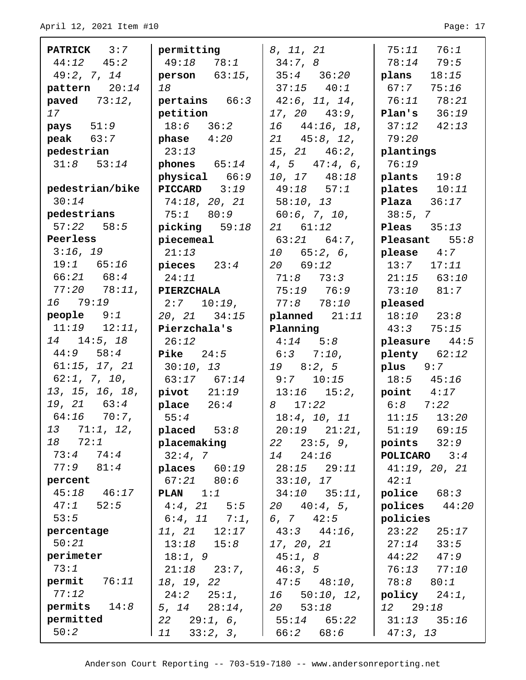$\Gamma$ 

| <b>PATRICK</b> 3:7   | permitting              | 8, 11, 21                                    | 75:11 76:1             |
|----------------------|-------------------------|----------------------------------------------|------------------------|
| $44:12$ $45:2$       | $49:18$ $78:1$          | 34:7, 8                                      | $78:14$ 79:5           |
| 49:2, 7, 14          | <b>person</b> $63:15$ , | 135:436:20                                   | plans<br>18:15         |
| pattern 20:14        | 18                      | $37:15$ $40:1$                               | 67:7<br>75:16          |
| paved $73:12$ ,      | pertains 66:3           | 142:6, 11, 14,                               | 76:11 78:21            |
| 17                   | petition                | $17, 20$ $43:9,$                             | Plan's $36:19$         |
| $\texttt{pays}$ 51:9 | $18:6$ $36:2$           | $16 \quad 44:16, 18,$                        | $37:12$ $42:13$        |
| peak $63:7$          | phase 4:20              | $21 \quad 45:8, 12,$                         | 79:20                  |
| pedestrian           | 23:13                   | $15, 21$ $46:2,$                             | plantings              |
| $31:8$ $53:14$       | phones $65:14$          | $4, 5$ $47:4, 6$ ,                           | 76:19                  |
|                      | physical 66:9           | $10, 17$ $48:18$                             | plants $19:8$          |
| pedestrian/bike      | PICCARD 3:19            | $49:18$ 57:1                                 | plates $10:11$         |
| 30:14                | 74:18, 20, 21           | $\vert$ 58:10, 13                            | <b>Plaza</b> $36:17$   |
| pedestrians          | 75:1 80:9               | $\begin{bmatrix} 60:6, 7, 10, \end{bmatrix}$ | 38:5, 7                |
| $57:22$ $58:5$       | picking $59:18$         | 21 61:12                                     | <b>Pleas</b> $35:13$   |
| Peerless             | piecemeal               | 63:21 64:7,                                  | Pleasant $55:8$        |
| 3:16, 19             | 21:13                   | $10 \t 65:2, 6,$                             | $\n  please\n  4:7\n$  |
| $19:1$ 65:16         | pieces $23:4$           | 20 69:12                                     | $13:7$ $17:11$         |
| $66:21$ $68:4$       | 24:11                   | $71:8$ $73:3$                                | $21:15$ 63:10          |
| 77:20 78:11,         | <b>PIERZCHALA</b>       | 75:19 76:9                                   | $73:10$ $81:7$         |
| 16 79:19             | $2:7$ $10:19$ ,         | $77:8$ $78:10$                               | pleased                |
| $people$ $9:1$       | $20, 21$ $34:15$        | $plane$ d $21:11$                            | $18:10$ $23:8$         |
| $11:19$ $12:11$ ,    | Pierzchala's            | Planning                                     | $43:3$ $75:15$         |
| $14$ 14:5, 18        | 26:12                   | $4:14$ $5:8$                                 | pleasure $44:5$        |
| $44:9$ 58:4          | <b>Pike</b> $24:5$      | $6:3$ $7:10$ ,                               | $\n  plenty\n 62:12\n$ |
| 61:15, 17, 21        | 30:10, 13               | $19 \t 8:2,5$                                | $plus$ 9:7             |
| $62:1$ , 7, 10,      | $63:17$ $67:14$         | $9:7$ 10:15                                  | $18:5$ $45:16$         |
| 13, 15, 16, 18,      | pivot 21:19             | $13:16$ $15:2,$                              | point $4:17$           |
| 19, 21 63:4          | place 26:4              | 8 17:22                                      | $6:8$ $7:22$           |
| 64:16 70:7,          | 55:4                    | $18:4$ , $10$ , $11$                         | $11:15$ $13:20$        |
| 13 71:1, 12,         | placed 53:8             | $20:19$ $21:21$ ,                            | $51:19$ $69:15$        |
| 18 72:1              | placemaking             | $22 \quad 23:5, 9,$                          | points $32:9$          |
| $73:4$ $74:4$        | 32:4,7                  | 14 24:16                                     | <b>POLICARO</b> $3:4$  |
| $77:9$ $81:4$        | places $60:19$          | $28:15$ $29:11$                              | 41:19, 20, 21          |
| percent              | $67:21$ $80:6$          | 33:10, 17                                    | 42:1                   |
| $45:18$ $46:17$      | <b>PLAN</b> $1:1$       | $34:10$ $35:11$ ,                            | $p$ olice $68:3$       |
| $47:1$ 52:5          | $4:4$ , 21 5:5          | $20 \t 40:4,5,$                              | polices $44:20$        |
| 53:5                 | $6:4$ , 11 $7:1$ ,      | 6, 7 $42:5$                                  | policies               |
| percentage           | $11, 21$ $12:17$        | $43:3$ $44:16$ ,                             | 23:22<br>25:17         |
| 50:21                | $13:18$ $15:8$          | 17, 20, 21                                   | 27:14<br>33:5          |
| perimeter            | 18:1, 9                 | 45:1, 8                                      | 44:22 47:9             |
| 73:1                 | $21:18$ $23:7$ ,        | 46:3, 5                                      | 76:13 77:10            |
| permit 76:11         |                         |                                              |                        |
|                      | 18, 19, 22              | $47:5$ $48:10$ ,                             | 78: <i>8</i> 80:1      |
| 77:12                | $24:2$ $25:1$ ,         | $16$ 50:10, 12,                              | policy 24:1,           |
| permits $14:8$       | 5, 14 $28:14$ ,         | 20 53:18                                     | 12 29:18               |
| permitted            | $22$ $29:1, 6,$         | 55:14 65:22                                  | $31:13$ $35:16$        |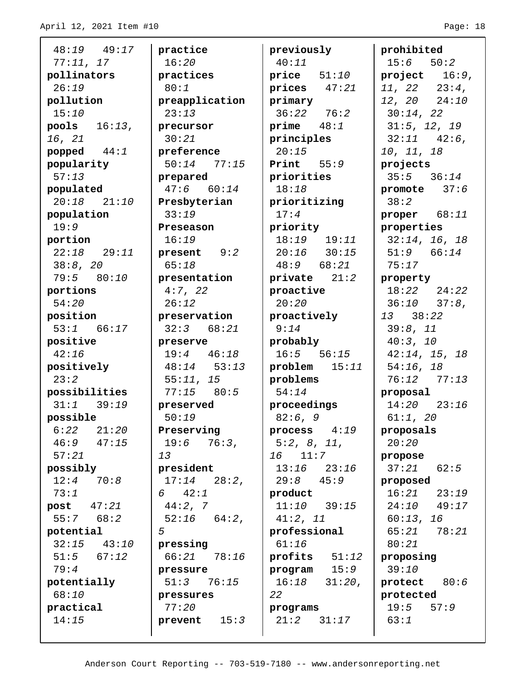48:19 49:17 77:11, 17 **pollinators** 26:19 **pollution** 15:10 **pools** 16:13, 16, 21 **popped** 44:1 **popularity** 57:13 **populated** 20:18 21:10 **population** 19:9 **portion** 22:18 29:11 38:8, 20 79:5 80:10 **portions** 54:20 **position** 53:1 66:17 **positive** 42:16 **positively** 23:2 **possibilities** 31:1 39:19 **possible** 6:22 21:20 46:9 47:15 57:21 **possibly** 12:4 70:8 73:1 **post** 47:21 55:7 68:2 **potential** 32:15 43:10 51:5 67:12 79:4 **potentially** 68:10 **practical** 14:15 **practice** 16:20 **practices** 80:1 **preapplication**  $23:13$ **precursor** 30:21 **preference** 50:14 77:15 **prepared** 47:6 60:14 **Presbyterian** 33:19 **Preseason** 16:19 **present** 9:2 65:18 **presentation** 4:7, 22 26:12 **preservation** 32:3 68:21 **preserve** 19:4 46:18 48:14 53:13 55:11, 15 77:15 80:5 **preserved** 50:19 **Preserving** 19:6 76:3, 13 **president** 17:14 28:2, 6 42:1 44:2, 7 52:16 64:2, 5 **pressing** 66:21 78:16 **pressure** 51:3 76:15 **pressures** 77:20 **prevent** 15:3 **previously** 40:11 **price** 51:10 **prices** 47:21 **primary** 36:22 76:2 **prime** 48:1 **principles**  $20:15$ **Print** 55:9 **priorities** 18:18 **prioritizing** 17:4 **priority** 18:19 19:11 20:16 30:15 48:9 68:21 **private** 21:2 **proactive** 20:20 **proactively** 9:14 **probably** 16:5 56:15 **problem** 15:11 **problems** 54:14 **proceedings** 82:6, 9 **process** 4:19 5:2, 8, 11, 16 11:7 13:16 23:16 29:8 45:9 **product** 11:10 39:15 41:2, 11 **professional** 61:16 **profits** 51:12 **program** 15:9 16:18 31:20, 22 **programs** 21:2 31:17 **prohibited**  $15:6$   $50:2$ **project** 16:9, 11, 22 23:4, 12, 20 24:10 30:14, 22 31:5, 12, 19  $32:11$   $42:6$ , 10, 11, 18 **projects** 35:5 36:14 **promote** 37:6 38:2 **proper** 68:11 **properties** 32:14, 16, 18 51:9 66:14 75:17 **property** 18:22 24:22 36:10 37:8, 13 38:22 39:8, 11 40:3, 10 42:14, 15, 18 54:16, 18 76:12 77:13 **proposal** 14:20 23:16 61:1, 20 **proposals** 20:20 **propose** 37:21 62:5 **proposed** 16:21 23:19 24:10 49:17 60:13, 16 65:21 78:21 80:21 **proposing** 39:10 **protect** 80:6 **protected** 19:5 57:9 63:1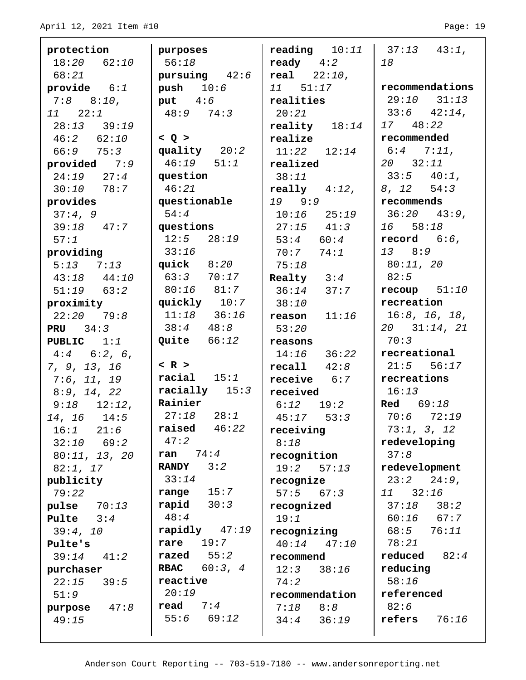| protection                   | purposes                      | <b>reading</b> $10:11$   $37:13$ $43:1$ , |                            |
|------------------------------|-------------------------------|-------------------------------------------|----------------------------|
| $18:20$ $62:10$              | 56:18                         | $\bf {ready}$ $4:2$                       | 18                         |
| 68:21                        | pursuing $42:6$               | real 22:10,                               |                            |
| provide $6:1$                | push $10:6$                   | 11 51:17                                  | recommendations            |
| $7:8$ $8:10$ ,               | put $4:6$                     | realities                                 | $29:10$ $31:13$            |
| $11 \quad 22:1$              | $48:9$ 74:3                   | 20:21                                     | $33:6$ $42:14$ ,           |
| $28:13$ $39:19$              |                               | reality $18:14$                           | 17 48:22                   |
| $46:2$ $62:10$               | < Q >                         | realize                                   | recommended                |
| $66:9$ $75:3$                | quality $20:2$                | $11:22$ $12:14$                           | $6:4$ $7:11$ ,             |
| provided $7:9$               | $46:19$ $51:1$                | realized                                  | $20 \quad 32:11$           |
| $24:19$ $27:4$               | question                      | 38:11                                     | $33:5$ $40:1$ ,            |
| $30:10$ 78:7                 | 46:21                         | $\texttt{really}$ 4:12,                   | $8, 12$ $54:3$             |
| provides                     | questionable                  | 19 9:9                                    | recommends                 |
| 37:4,9                       | 54:4                          | $10:16$ $25:19$                           | $36:20$ $43:9$ ,           |
| $39:18$ 47:7                 | guestions                     | $27:15$ $41:3$                            | 16 58:18                   |
| 57:1                         | $12:5$ $28:19$                | $53:4$ 60:4                               | record $6:6$ ,             |
| providing                    | 33:16                         | 70:77:74:1                                | 13 8:9                     |
| $5:13$ $7:13$                | $quick$ $8:20$                | 75:18                                     | 80:11, 20                  |
| $43:18$ $44:10$              | $63:3$ $70:17$                | Realty $3:4$                              | 82:5                       |
| $51:19$ $63:2$               | 80:16 81:7                    | $36:14$ $37:7$                            | $recoup$ $51:10$           |
| proximity                    | quickly $10:7$                | 38:10                                     | recreation                 |
| $22:20$ 79:8                 | $11:18$ $36:16$               | reason $11:16$                            | 16:8, 16, 18,              |
| <b>PRU</b> $34:3$            | $38:4$ $48:8$                 | 53:20                                     | $20$ $31:14$ , $21$        |
| <b>PUBLIC</b> $1:1$          | Quite $66:12$                 | reasons                                   | 70:3                       |
| $4:4$ 6:2, 6,                |                               | $14:16$ $36:22$                           | recreational               |
| 7, 9, 13, 16                 | $<$ R $>$                     | recall 42:8                               | $21:5$ 56:17               |
| 7:6, 11, 19                  | $racial$ $15:1$               | $\texttt{receive}$ $6:7$                  | recreations                |
| 8:9, 14, 22                  | racially $15:3$<br>Rainier    | received                                  | 16:13                      |
| $9:18$ $12:12$ ,             |                               | $6:12$ $19:2$                             | <b>Red</b> 69:18           |
| $14, 16$ $14:5$              | 27:18 28:1<br>raised<br>46:22 | $45:17$ $53:3$                            | $70:6$ $72:19$             |
| 21:6<br>16:1                 | 47:2                          | receiving                                 | 73:1, 3, 12                |
| $32:10$ 69:2                 | 74:4                          | 8:18                                      | redeveloping               |
| 80:11, 13, 20                | ran<br><b>RANDY</b><br>3:2    | recognition                               | 37:8                       |
| 82:1, 17                     | 33:14                         | 19:2<br>57:13                             | redevelopment              |
| publicity                    | 15:7<br>range                 | recognize                                 | $24:9$ ,<br>23:2           |
| 79:22                        | rapid $30:3$                  | 57:5<br>67:3                              | 11 32:16<br>$37:18$ $38:2$ |
| pulse $70:13$<br>Pulte $3:4$ | 48:4                          | recognized<br>19:1                        | $60:16$ $67:7$             |
|                              | rapidly $47:19$               |                                           | 68:5<br>76:11              |
| 39:4, 10                     | 19:7<br>rare                  | recognizing<br>$40:14$ $47:10$            | 78:21                      |
| Pulte's<br>39:14<br>41:2     | razed $55:2$                  |                                           | reduced<br>82:4            |
|                              | 60:3, 4<br><b>RBAC</b>        | recommend<br>12:3<br>38:16                | reducing                   |
| purchaser<br>22:15<br>39:5   | reactive                      | 74:2                                      | 58:16                      |
| 51:9                         | 20:19                         | recommendation                            | referenced                 |
| 47:8<br>purpose              | read $7:4$                    | 8:8<br>7:18                               | 82:6                       |
| 49:15                        | $55:6$ $69:12$                | $34:4$ $36:19$                            | refers<br>76:16            |
|                              |                               |                                           |                            |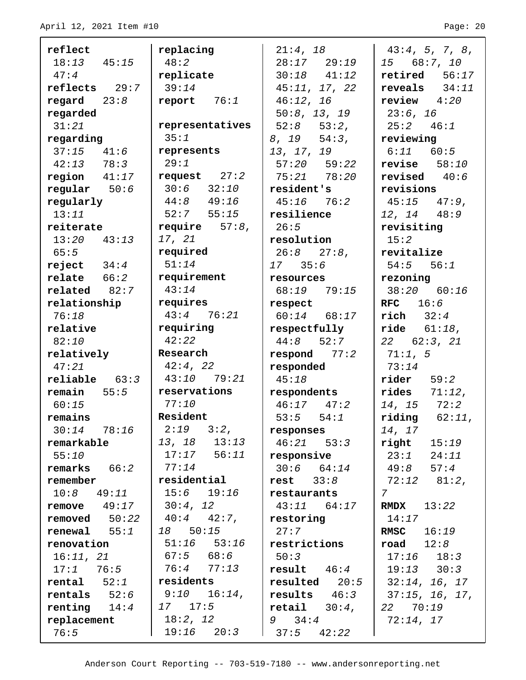| reflect                           | replacing                        | 21:4, 18                          | 43:4, 5, 7, 8,                  |
|-----------------------------------|----------------------------------|-----------------------------------|---------------------------------|
| $18:13$ $45:15$                   | 48:2                             | $28:17$ $29:19$                   | 15 68:7, 10                     |
| 47:4                              | replicate                        | $30:18$ $41:12$                   | $retired$ $56:17$               |
| $reflects$ 29:7                   | 39:14                            | 45:11, 17, 22                     | reveals $34:11$                 |
| regard $23:8$                     | report $76:1$                    | 46:12, 16                         | review $4:20$                   |
| regarded                          |                                  | 50:8, 13, 19                      | 23:6, 16                        |
| 31:21                             | representatives                  | $52:8$ $53:2$ ,                   | 25:2 46:1                       |
| regarding                         | 35:1                             | $8, 19$ $54:3,$                   | reviewing                       |
| $37:15$ $41:6$                    | represents                       | 13, 17, 19                        | $6:11$ $60:5$                   |
| $42:13$ 78:3                      | 29:1                             | $57:20$ $59:22$                   | revise $58:10$                  |
| region $41:17$                    | request $27:2$                   | 75:21 78:20                       | revised $40:6$                  |
| regular $50:6$                    | $30:6$ $32:10$                   | resident's                        | revisions                       |
| regularly                         | $44:8$ $49:16$                   | $45:16$ $76:2$                    | $45:15$ $47:9$ ,                |
| 13:11                             | $52:7$ $55:15$                   | resilience                        | $12, 14$ $48:9$                 |
| reiterate                         | require $57:8$ ,                 | 26:5                              | revisiting                      |
| $13:20$ $43:13$                   | 17, 21                           | resolution                        | 15:2                            |
| 65:5                              | required                         | $26:8$ $27:8$ ,                   | revitalize                      |
| reject $34:4$                     | 51:14                            | 1735:6                            | $54:5$ $56:1$                   |
| $relate$ $66:2$                   | requirement                      | resources                         | rezoning                        |
| related 82:7                      | 43:14                            | 68:19 79:15                       | 38:20 60:16                     |
| relationship                      | requires                         | respect                           | $RFC$ 16:6                      |
| 76:18                             | $43:4$ 76:21                     | $60:14$ $68:17$                   | $rich$ $32:4$                   |
| relative                          | requiring                        | respectfully                      | $\texttt{ride}$ $61:18$ ,       |
| 82:10                             | 42:22                            | $44:8$ 52:7                       | $22$ 62:3, 21                   |
| relatively                        | Research                         | respond 77:2                      | 71:1, 5                         |
| 47:21                             | 42:4, 22                         | responded                         | 73:14                           |
| $reliable$ $63:3$                 | $43:10$ $79:21$                  | 45:18                             | $\texttt{rider}$ 59:2           |
| $remain = 55:5$                   | reservations                     | respondents                       | rides<br>$71:12$ ,              |
| 60:15                             | 77:10                            | $46:17$ $47:2$                    | $14, 15$ $72:2$                 |
| remains                           | Resident                         | $53:5$ $54:1$                     | $\texttt{riding}$ $62:11,$      |
| $30:14$ $78:16$                   | $2:19$ $3:2$ ,                   | responses                         | 14, 17                          |
| remarkable                        | 13, 18 13:13                     | $46:21$ $53:3$                    | right<br>15:19                  |
| 55:10                             | $17:17$ 56:11                    | responsive                        | 23:1<br>24:11                   |
| $remarks$ $66:2$                  | 77:14                            | $30:6$ $64:14$                    | 49:8<br>57:4                    |
| remember                          | residential                      | rest $33:8$                       | $72:12$ $81:2$ ,                |
| $10:8$ 49:11                      | $15:6$ $19:16$                   | restaurants                       | $7\degree$                      |
| $remove 49:17$                    | 30:4, 12                         | $43:11$ $64:17$                   | RMDX<br>13:22                   |
| re moved 50:22                    | $40:4$ $42:7$ ,                  | restoring                         | 14:17                           |
| $renewal$ 55:1                    | $18$ 50:15                       | 27:7                              | 16:19<br><b>RMSC</b>            |
| renovation                        | $51:16$ $53:16$<br>$67:5$ $68:6$ | restrictions                      | $\texttt{road}$ $12:8$          |
| 16:11, 21                         | 76:4 77:13                       | 50:3                              | $17:16$ $18:3$                  |
| 17:1 76:5                         | residents                        | result $46:4$                     | $19:13$ $30:3$                  |
| $rental$ $52:1$<br>$rentals$ 52:6 | $9:10$ $16:14$ ,                 | $resulted$ 20:5<br>results $46:3$ | 32:14, 16, 17<br>37:15, 16, 17, |
| $renting$ $14:4$                  | $17 \quad 17:5$                  | $\text{retail}$ $30:4,$           | 22 70:19                        |
| replacement                       | 18:2, 12                         | $9 \quad 34:4$                    | 72:14, 17                       |
| 76:5                              | $19:16$ $20:3$                   | $37:5$ $42:22$                    |                                 |
|                                   |                                  |                                   |                                 |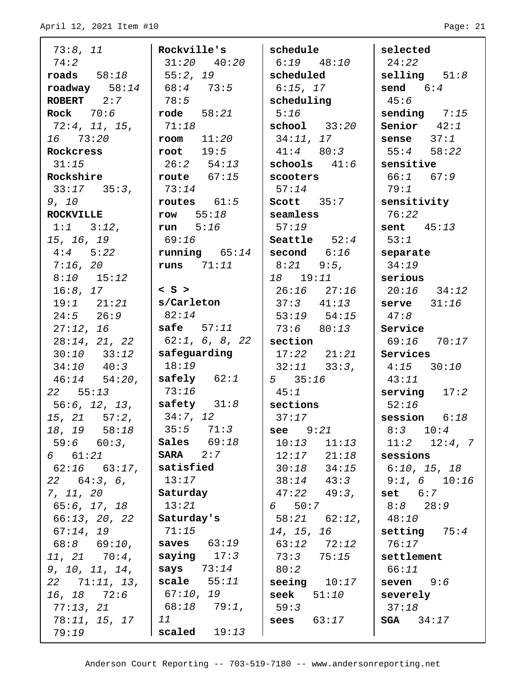| 73:8, 11                 | Rockville's                   | schedule                                | selected                     |
|--------------------------|-------------------------------|-----------------------------------------|------------------------------|
| 74:2                     | $31:20$ $40:20$               | $6:19$ $48:10$                          | 24:22                        |
| $\texttt{roads}$ 58:18   | 55:2, 19                      | scheduled                               | $\texttt{selling}$ $51:8$    |
| $\texttt{roadway}$ 58:14 | 168:473:5                     | $6:15$ , 17                             | send 6:4                     |
| ROBERT 2:7               | 78:5                          | scheduling                              | 45:6                         |
| Rock $70:6$              | $\texttt{rode}$ 58:21         | 5:16                                    | sending $7:15$               |
| 72:4, 11, 15,            | 71:18                         | $\texttt{school}$ 33:20                 | Senior $42:1$                |
| 16 73:20                 | $room$ $11:20$                | 34:11, 17                               | sense $37:1$                 |
| Rockcress                | root $19:5$                   | $41:4$ 80:3                             | $55:4$ $58:22$               |
| 31:15                    | $26:2$ $54:13$                | schools $41:6$                          | sensitive                    |
| Rockshire                | route $67:15$                 | scooters                                | 66:1 67:9                    |
| $33:17$ $35:3$ ,         | 73:14                         | 57:14                                   | 79:1                         |
| 9, 10                    | routes $61:5$                 | Scott 35:7                              | sensitivity                  |
| <b>ROCKVILLE</b>         | row $55:18$                   | $\mid$ seamless                         | 76:22                        |
| $1:1$ $3:12$ ,           | run $5:16$                    | 57:19                                   | $\vert$ sent $45:13$         |
| 15, 16, 19               | 69:16                         | Seattle $52:4$                          | 53:1                         |
| $4:4$ 5:22               | running 65:14                 | $ $ second $6:16$                       | separate                     |
| $7:16$ , 20              | runs $71:11$                  | $8:21$ $9:5$ ,                          | 34:19                        |
| $8:10$ 15:12             |                               | 18    19:11                             | serious                      |
| 16:8, 17                 | $<$ S $>$                     | 26:16 27:16                             | $20:16$ $34:12$              |
| 19:1 21:21               | s/Carleton                    | $37:3$ $41:13$                          | $\vert$ serve $31:16$        |
| $24:5$ $26:9$            | 82:14                         | $53:19$ $54:15$                         | 47:8                         |
| 27:12, 16                | safe $57:11$                  | 73:6 80:13                              | Service                      |
| 28:14, 21, 22            | 62:1, 6, 8, 22                | section                                 | 69:16 70:17                  |
| $30:10$ $33:12$          | safeguarding                  | $17:22$ $21:21$                         | Services                     |
| $34:10$ $40:3$           | 18:19                         | $32:11$ $33:3$ ,                        | $4:15$ $30:10$               |
| $46:14$ $54:20$ ,        | $\texttt{safely}$ $62:1$      | 535:16                                  | 43:11                        |
| 22 55:13                 | 73:16                         | 45:1                                    | $\vert$ serving $\vert$ 17:2 |
| 56:6, 12, 13,            | $ $ safety $31:8$             | $ $ sections                            | 52:16                        |
| $15, 21$ $57:2,$         | 34:7, 12                      | 37:17                                   | session $6:18$               |
| 18, 19 58:18             | $35:5$ $71:3$                 | <b>see</b> $9:21$                       | $8:3$ 10:4                   |
| 59:6 60:3,               | Sales $69:18$                 | $10:13$ $11:13$                         | $11:2$ $12:4, 7$             |
| 6 61:21                  | $SARA$ 2:7                    | $12:17$ $21:18$                         | sessions                     |
| $62:16$ $63:17$ ,        | satisfied                     | $30:18$ $34:15$                         | 6:10, 15, 18                 |
| $22$ 64:3, 6,            | 13:17                         | $38:14$ $43:3$                          | $9:1, 6$ 10:16               |
| 7, 11, 20                | Saturday                      | 47:22 49:3,                             | set 6:7                      |
| 65:6, 17, 18             | 13:21                         | 650:7                                   | $8:8$ 28:9                   |
| 66:13, 20, 22            | Saturday's                    | $58:21$ $62:12$ ,                       | 48:10                        |
| 67:14, 19                | 71:15                         | 14, 15, 16                              | setting $75:4$               |
| 68:8 69:10,              | saves $63:19$                 | 63:12 72:12                             | 76:17                        |
| $11, 21$ $70:4,$         | saying $17:3$                 | 73:3 75:15                              | settlement                   |
| 9, 10, 11, 14,           | says $73:14$<br>scale $55:11$ | 80:2                                    | 66:11                        |
| $22$ $71:11, 13,$        | 67:10, 19                     | seeing $10:17$<br>$\texttt{seek}$ 51:10 | $s$ even $9:6$<br>severely   |
| 16, 18 72:6<br>77:13, 21 | 68:18 79:1,                   | 59:3                                    | 37:18                        |
| 78:11, 15, 17            | 11                            | sees $63:17$                            | <b>SGA</b> $34:17$           |
| 79:19                    | scaled $19:13$                |                                         |                              |
|                          |                               |                                         |                              |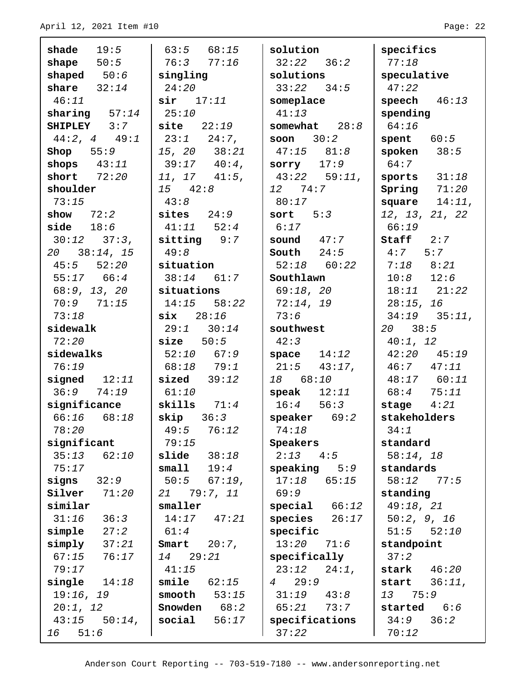$\blacksquare$ 

L

| shade $19:5$            | $63:5$ $68:15$           | solution               | specifics         |
|-------------------------|--------------------------|------------------------|-------------------|
| shape $50:5$            | 76:377:16                | $32:22$ $36:2$         | 77:18             |
| shaped $50:6$           | singling                 | solutions              | speculative       |
| share $32:14$           | 24:20                    | $33:22$ $34:5$         | 47:22             |
| 46:11                   | $\sin$ 17:11             | someplace              | speech $46:13$    |
| sharing $57:14$         | 25:10                    | 41:13                  | spending          |
| SHIPLEY 3:7             | $\texttt{site}$ 22:19    | somewhat $28:8$        | 64:16             |
| $44:2, 4$ $49:1$        | $23:1$ $24:7$ ,          | soon $30:2$            | spent $60:5$      |
| Shop $55:9$             | 15, 20 38:21             | $47:15$ $81:8$         | spoken $38:5$     |
| shops $43:11$           | $39:17$ $40:4$ ,         | sorry $17:9$           | 64:7              |
| short $72:20$           | $11, 17$ $41:5,$         | $43:22$ 59:11,         | sports $31:18$    |
| shoulder                | $15 \t 42:8$             | 12 74:7                | Spring $71:20$    |
| 73:15                   | 43:8                     | 80:17                  | square $14:11$ ,  |
| show $72:2$             | sites $24:9$             | sort $5:3$             | 12, 13, 21, 22    |
| side $18:6$             | $41:11$ $52:4$           | 6:17                   | 66:19             |
| $30:12$ $37:3$ ,        | $sitting$ $9:7$          | sound $47:7$           | Staff 2:7         |
| $20 \quad 38:14, 15$    | 49:8                     | South $24:5$           | $4:7$ 5:7         |
| $45:5$ $52:20$          | situation                | $52:18$ $60:22$        | $7:18$ $8:21$     |
| $55:17$ 66:4            | $38:14$ 61:7             | Southlawn              | $10:8$ $12:6$     |
| 68:9, 13, 20            | situations               | 69:18, 20              | $18:11$ $21:22$   |
| $70:9$ $71:15$          | $14:15$ $58:22$          | 72:14, 19              | 28:15, 16         |
| 73:18                   | $\textbf{six}$ 28:16     | 73:6                   | $34:19$ $35:11$ , |
| sidewalk                | $29:1$ $30:14$           | southwest              | $20 \quad 38:5$   |
| 72:20                   | size 50:5                | 42:3                   | 40:1, 12          |
| sidewalks               | $52:10$ 67:9             | space $14:12$          | $42:20$ $45:19$   |
| 76:19                   | 68:18 79:1               | $21:5$ 43:17,          | $46:7$ $47:11$    |
| signed $12:11$          | $sized$ 39:12            | 18 68:10               | 48:17 60:11       |
| 36:974:19               | 61:10                    | speak $12:11$          | 68:4 75:11        |
| significance            | skills $71:4$            | $16:4$ 56:3            | stage $4:21$      |
| $66:16$ $68:18$         | skip 361)                | $\vert$ speaker 69:2   | stakeholders      |
| 78:20                   | 49:5<br>76:12            | 74:18                  | 34:1              |
| significant             | 79:15                    | Speakers               | standard          |
| 62:10<br>35:13          | $\texttt{slide}$ $38:18$ | $2:13$ $4:5$           | 58:14, 18         |
| 75:17                   | $s$ mall<br>19:4         | $speaking 5:9$         | standards         |
| signs<br>32:9           | 50:5<br>$67:19$ ,        | 17:18<br>65:15         | 58:12<br>77:5     |
| $\texttt{silver}$ 71:20 | 21 79:7, 11              | 69:9                   | standing          |
| similar                 | smaller                  | special 66:12          | 49:18, 21         |
| 31:16<br>36:3           | $14:17$ $47:21$          | species<br>26:17       | 50:2, 9, 16       |
| simple<br>27:2          | 61:4                     | specific               | 51:5<br>52:10     |
| simply<br>37:21         | $20:7$ ,<br>Smart        | 13:20<br>71:6          | standpoint        |
| 67:15<br>76:17          | 14 29:21                 | specifically           | 37:2              |
| 79:17                   | 41:15                    | $23:12$ $24:1$ ,       | stark $46:20$     |
| single $14:18$          | smile<br>62:15           | 29:9<br>$\overline{4}$ | start $36:11$ ,   |
| 19:16, 19               | smooth<br>53:15          | $31:19$ $43:8$         | 75:9<br>13        |
| 20:1, 12                | Snowden $68:2$           | $65:21$ 73:7           | started $6:6$     |
| $43:15$ $50:14$ ,       | social<br>56:17          | specifications         | 34:9<br>36:2      |
| 16 51:6                 |                          | 37:22                  | 70:12             |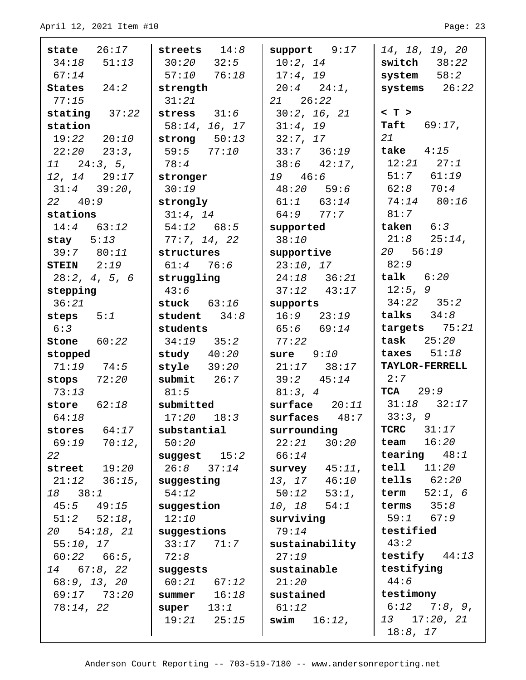| $state$ $26:17$     | streets $14:8$  | support 9:17     | 14, 18, 19, 20        |
|---------------------|-----------------|------------------|-----------------------|
| $34:18$ $51:13$     | $30:20$ $32:5$  | 10:2, 14         | switch $38:22$        |
| 67:14               | $57:10$ $76:18$ | 17:4, 19         | $system$ $58:2$       |
| States $24:2$       | strength        | $20:4$ $24:1$ ,  | systems $26:22$       |
| 77:15               | 31:21           | $21 \quad 26:22$ |                       |
| stating $37:22$     | stress $31:6$   | 30:2, 16, 21     | $< T$ >               |
| station             | 58:14, 16, 17   | 31:4, 19         | <b>Taft</b> $69:17$ , |
| 19:22 20:10         | strong $50:13$  | 32:7, 17         | 21                    |
| $22:20$ $23:3$ ,    | 59:5 77:10      | $33:7$ $36:19$   | take $4:15$           |
| $11 \quad 24:3, 5,$ | 78:4            | $38:6$ 42:17,    | $12:21$ $27:1$        |
| $12, 14$ $29:17$    | stronger        | 19 46:6          | $51:7$ $61:19$        |
| $31:4$ $39:20$ ,    | 30:19           | $48:20$ 59:6     | $62:8$ $70:4$         |
| $22 \t 40:9$        | strongly        | $61:1$ $63:14$   | 74:14 80:16           |
| stations            | 31:4, 14        | $64:9$ $77:7$    | 81:7                  |
| $14:4$ 63:12        | $54:12$ 68:5    | supported        | taken 6:3             |
| stay $5:13$         | 77:7, 14, 22    | 38:10            | $21:8$ $25:14$ ,      |
| 39:7 80:11          | structures      | supportive       | 20 56:19              |
| STEIN $2:19$        | $61:4$ 76:6     | 23:10, 17        | 82:9                  |
| 28:2, 4, 5, 6       | struggling      | $24:18$ $36:21$  | $\texttt{talk}$ 6:20  |
| stepping            | 43:6            | $37:12$ $43:17$  | 12:5, 9               |
| 36:21               | stuck $63:16$   | supports         | $34:22$ $35:2$        |
| steps $5:1$         | student $34:8$  | $16:9$ $23:19$   | talks $34:8$          |
| 6:3                 | students        | $65:6$ $69:14$   | targets $75:21$       |
| Stone $60:22$       | $34:19$ $35:2$  | 77:22            | task $25:20$          |
| stopped             | study $40:20$   | sure 9:10        | taxes $51:18$         |
| $71:19$ $74:5$      | style $39:20$   | $21:17$ $38:17$  | TAYLOR-FERRELL        |
| stops $72:20$       | submit $26:7$   | $39:2$ $45:14$   | 2:7                   |
| 73:13               | 81:5            | 81:3, 4          | $TCA$ 29:9            |
| store $62:18$       | submitted       | surface 20:11    | $31:18$ $32:17$       |
| 64:18               | $17:20$ $18:3$  | $surfaces$ 48:7  | 33:3, 9               |
| stores $64:17$      | substantial     | surrounding      | $TCRC$ 31:17          |
| 69:19 70:12,        | 50:20           | 22:21<br>30:20   | 16:20<br>team         |
| 22                  | suggest $15:2$  | 66:14            | tearing $48:1$        |
| street $19:20$      | $26:8$ $37:14$  | survey $45:11$ , | $tell1$ $11:20$       |
| $21:12$ $36:15$ ,   | suggesting      | 13, 17 46:10     | $tells$ $62:20$       |
| 18 38:1             | 54:12           | 53:1,<br>50:12   | 52:1, 6<br>term       |
| $45:5$ $49:15$      | suggestion      | $10, 18$ $54:1$  | terms $35:8$          |
| $51:2$ $52:18$ ,    | 12:10           | surviving        | 59:1 67:9             |
| 20 54:18, 21        | suggestions     | 79:14            | testified             |
| 55:10, 17           | $33:17$ $71:7$  | sustainability   | 43:2                  |
| $60:22$ $66:5$ ,    | 72:8            | 27:19            | testify $44:13$       |
| $14$ 67:8, 22       | suggests        | sustainable      | testifying            |
| 68:9, 13, 20        | $60:21$ $67:12$ | 21:20            | 44:6                  |
| 69:17 73:20         | summer $16:18$  | sustained        | testimony             |
| 78:14, 22           | super $13:1$    | 61:12            | $6:12$ 7:8, 9,        |
|                     | $19:21$ $25:15$ | swim $16:12$ ,   | 13 17:20, 21          |
|                     |                 |                  | $18:8$ , $17$         |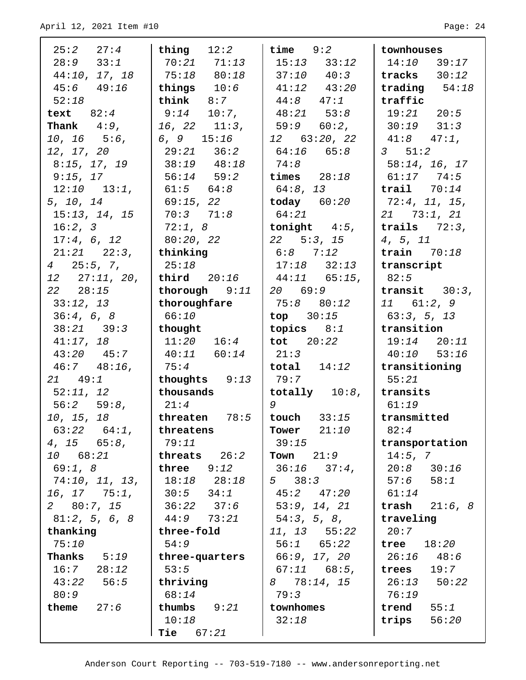| 25:2 27:4                              | thing $12:2$             | time $9:2$                                    | townhouses                 |
|----------------------------------------|--------------------------|-----------------------------------------------|----------------------------|
| $28:9$ $33:1$                          | 70:21 71:13              | $15:13$ $33:12$                               | $14:10$ 39:17              |
| 44:10, 17, 18                          | 75:18 80:18              | $37:10$ $40:3$                                | tracks $30:12$             |
| $45:6$ $49:16$                         | things $10:6$            | $41:12$ $43:20$                               | trading $54:18$            |
| 52:18                                  | $\texttt{think}$ 8:7     | $44:8$ $47:1$                                 | traffic                    |
| text $82:4$                            | $9:14$ 10:7,             | $48:21$ $53:8$                                | $19:21$ $20:5$             |
| <b>Thank</b> $4:9$ ,                   | $16, 22$ $11:3,$         | $59:9$ $60:2$ ,                               | $30:19$ $31:3$             |
| $10, 16$ $5:6,$                        | 6, 9 $15:16$             | $12$ 63:20, 22                                | $41:8$ $47:1$ ,            |
| 12, 17, 20                             | $29:21$ $36:2$           | $64:16$ $65:8$                                | $3 \quad 51:2$             |
| 8:15, 17, 19                           | $38:19$ $48:18$          | 74:8                                          | 58:14, 16, 17              |
| 9:15, 17                               | $56:14$ $59:2$           | times $28:18$                                 | $61:17$ $74:5$             |
| $12:10$ $13:1$ ,                       | $61:5$ $64:8$            | 64:8, 13                                      | $\texttt{trail}$ 70:14     |
| 5, 10, 14                              | 69:15, 22                | $\sim$ today $60:20$                          | 72:4, 11, 15,              |
| 15:13, 14, 15                          | 70:371:8                 | 64:21                                         | $21$ 73:1, 21              |
| 16:2, 3                                | 72:1, 8                  | tonight $4:5$ ,                               | trails $72:3$ ,            |
| 17:4, 6, 12                            | 80:20, 22                | $22$ 5:3, 15                                  | 4, 5, 11                   |
| $21:21$ $22:3$ ,                       | thinking                 | $6:8$ 7:12                                    | train $70:18$              |
| $4\quad 25:5, 7,$                      | 25:18                    | $17:18$ $32:13$                               | transcript                 |
| $12$ $27:11, 20,$                      | third $20:16$            | $44:11$ 65:15,                                | 82:5                       |
| $22 \t 28:15$                          | thorough 9:11            | 20 69:9                                       | transit $30:3$ ,           |
| 33:12, 13                              | thoroughfare             | 75:8 80:12                                    | 11 61:2,9                  |
| 36:4, 6, 8                             | 66:10                    | $top$ 30:15                                   | 63:3, 5, 13                |
| $38:21$ $39:3$                         | thought                  | topics $8:1$                                  | transition                 |
| 41:17, 18                              | $11:20$ $16:4$           | tot $20:22$                                   | $19:14$ $20:11$            |
| $43:20$ $45:7$                         | $40:11$ $60:14$          | 21:3                                          | $40:10$ $53:16$            |
| $46:7$ $48:16$ ,                       | 75:4                     | $\mathtt{total}$ $14:12$                      | transitioning              |
| 21 49:1                                | thoughts 9:13            | 79:7                                          | 55:21                      |
| 52:11, 12                              | thousands                | totally $10:8$ ,                              | transits                   |
| 56:2 59:8                              | 21:4                     | 9                                             | 61:19                      |
| 10, 15, 18                             |                          | threaten $78:5$   touch $33:15$   transmitted |                            |
| $63:22$ $64:1$ ,                       | threatens                | Tower $21:10$                                 | 82:4                       |
| $4, 15$ 65:8,                          | 79:11                    | 39:15                                         | transportation             |
| 10 68:21                               | threats $26:2$           | <b>Town</b> $21:9$                            | 14:5, 7                    |
| 69:1, 8                                | three 9:12               | $36:16$ $37:4$ ,                              | $20:8$ $30:16$             |
| 74:10, 11, 13,                         | $18:18$ $28:18$          | $5 \quad 38:3$                                | $57:6$ $58:1$              |
| $16, 17$ $75:1,$                       | 30:5<br>34:1             | $45:2$ $47:20$                                | 61:14                      |
| 2 80:7, 15                             | $36:22$ $37:6$           | 53:9, 14, 21                                  | <b>trash</b> $21:6, 8$     |
| 81:2, 5, 6, 8                          | 44:9 73:21<br>three-fold | 54:3, 5, 8,                                   | traveling                  |
| thanking                               |                          | $11, 13$ 55:22                                | 20:7                       |
| 75:10                                  | 54:9                     | $56:1$ $65:22$                                | tree<br>18:20              |
| <b>Thanks</b> $5:19$<br>$16:7$ $28:12$ | three-quarters<br>53:5   | 66:9, 17, 20                                  | 26:16 48:6<br>trees $19:7$ |
| $43:22$ 56:5                           | thriving                 | $67:11$ $68:5$ ,<br>8 78:14, 15               | $26:13$ 50:22              |
| 80:9                                   | 68:14                    | 79:3                                          | 76:19                      |
| theme $27:6$                           | thumbs $9:21$            | townhomes                                     | trend<br>55:1              |
|                                        | 10:18                    | 32:18                                         | trips<br>56:20             |
|                                        | <b>Tie</b> $67:21$       |                                               |                            |
|                                        |                          |                                               |                            |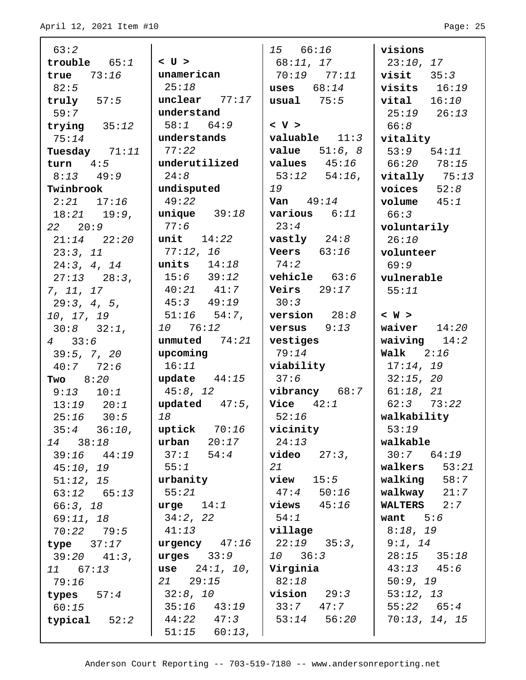| 63:2                      |                                     | 15 66:16               | visions              |
|---------------------------|-------------------------------------|------------------------|----------------------|
| $\texttt{trouble}$ $65:1$ | $<$ U $>$                           | 68:11, 17              | 23:10, 17            |
| true $73:16$              | unamerican                          | 70:19 77:11            | $visit 35:3$         |
| 82:5                      | 25:18                               | uses $68:14$           | visits $16:19$       |
| truly $57:5$              | unclear $77:17$                     | $\text{usual}$ 75:5    | $vital$ $16:10$      |
| 59:7                      | understand                          |                        | $25:19$ $26:13$      |
| trying $35:12$            | $58:1$ $64:9$                       | < V >                  | 66:8                 |
| 75:14                     | understands                         | $value$ $11:3$         | vitality             |
| Tuesday 71:11             | 77:22                               | <b>value</b> $51:6, 8$ | $53:9$ $54:11$       |
| turn $4:5$                | underutilized                       | values $45:16$         | 66:20 78:15          |
| $8:13$ $49:9$             | 24:8                                | $53:12$ $54:16$ ,      | $vitally$ $75:13$    |
| Twinbrook                 | undisputed                          | 19                     | voices $52:8$        |
| $2:21$ $17:16$            | 49:22                               | Van $49:14$            | volume $45:1$        |
| $18:21$ $19:9$ ,          | $unique$ 39:18                      | various $6:11$         | 66:3                 |
| $22 \quad 20:9$           | 77:6                                | 23:4                   | voluntarily          |
| $21:14$ $22:20$           | unit $14:22$                        | vastly $24:8$          | 26:10                |
| 23:3, 11                  | 77:12, 16                           | Veers $63:16$          | volunteer            |
| 24:3, 4, 14               | units $14:18$                       | 74:2                   | 69:9                 |
| $27:13$ $28:3$ ,          | $15:6$ $39:12$                      | vehicle $63:6$         | vulnerable           |
| 7, 11, 17                 | $40:21$ $41:7$                      | Veirs $29:17$          | 55:11                |
| 29:3, 4, 5,               | $45:3$ $49:19$                      | 30:3                   |                      |
| 10, 17, 19                | $51:16$ $54:7$ ,                    | version $28:8$         | < W >                |
| $30:8$ $32:1$ ,           | 10 76:12                            | $versus$ 9:13          | waiver $14:20$       |
|                           |                                     |                        |                      |
| $4\quad 33:6$             | unmuted $74:21$                     | vestiges               | waiving $14:2$       |
| 39:5, 7, 20               | upcoming                            | 79:14                  | Walk $2:16$          |
| 40:777:72:6               | 16:11                               | viability              | 17:14, 19            |
| Two $8:20$                | update $44:15$                      | 37:6                   | 32:15, 20            |
| $9:13$ $10:1$             | 45:8, 12                            | $vibrancy$ 68:7        | 61:18, 21            |
| $13:19$ $20:1$            | updated $47:5$ ,                    | $\sqrt{vice}$ 42:1     | $62:3$ $73:22$       |
| $25:16$ 30:5              | 18                                  | 52:16                  | walkability          |
| $35:4$ $36:10$ ,          | uptick $70:16$                      | vicinity               | 53:19                |
| 14 38:18                  | $urban 20:17$                       | 24:13                  | walkable             |
| $39:16$ $44:19$           | $37:1$ $54:4$                       | $video$ $27:3,$        | $30:7$ $64:19$       |
| 45:10, 19                 | 55:1                                | 21                     | walkers $53:21$      |
| 51:12, 15                 | urbanity                            | view<br>15:5           | $wallling$ 58:7      |
| $63:12$ $65:13$           | 55:21                               | $47:4$ 50:16           | walkway $21:7$       |
| 66:3, 18                  | $urge 14:1$                         | $\vert$ views $45:16$  | <b>WALTERS</b> $2:7$ |
| 69:11, 18                 | $34:2$ , 22                         | 54:1                   | want $5:6$           |
| $70:22$ $79:5$            | 41:13                               | village                | 8:18, 19             |
| $type$ $37:17$            | $urgency$ 47:16                     | $22:19$ $35:3$ ,       | 9:1, 14              |
| $39:20$ $41:3$ ,          | urges $33:9$                        | $10 \t 36:3$           | $28:15$ $35:18$      |
| 11 67:13                  | use $24:1, 10,$                     | Virginia               | $43:13$ $45:6$       |
| 79:16                     | $21 \quad 29:15$                    | 82:18                  | 50:9, 19             |
| types $57:4$              | 32:8, 10                            | $vision 29:3$          | 53:12, 13            |
| 60:15                     | $35:16$ $43:19$                     | $33:7$ $47:7$          | $55:22$ $65:4$       |
| typical $52:2$            | $44:22$ $47:3$<br>$51:15$ $60:13$ , | $53:14$ $56:20$        | 70:13, 14, 15        |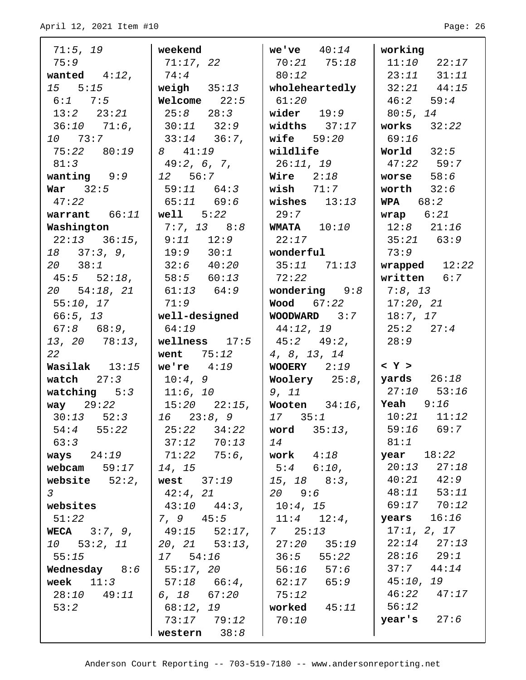| 71:5, 19                      | weekend                                               | we've $40:14$                                     | working                  |
|-------------------------------|-------------------------------------------------------|---------------------------------------------------|--------------------------|
| 75:9                          | 71:17, 22                                             | $70:21$ $75:18$                                   | $11:10$ $22:17$          |
| wanted $4:12$ ,               | 74:4                                                  | 80:12                                             | $23:11$ $31:11$          |
| $15 \quad 5:15$               | weigh $35:13$                                         | $\mid$ wholeheartedly                             | $32:21$ $44:15$          |
| $6:1$ 7:5                     | Welcome $22:5$                                        | 61:20                                             | 46:2 59:4                |
| 13:2 23:21                    | $25:8$ $28:3$                                         | wider $19:9$                                      | 80:5, 14                 |
| $36:10$ $71:6$ ,              | $30:11$ $32:9$                                        | widths $37:17$                                    | works $32:22$            |
| 10 73:7                       | $33:14$ $36:7$ ,                                      | wife $59:20$                                      | 69:16                    |
| 75:22 80:19                   | 8 41:19                                               | wildlife                                          | World $32:5$             |
| 81:3                          | 49:2, 6, 7,                                           | 26:11, 19                                         | $47:22$ 59:7             |
| wanting $9:9$                 | 12 56:7                                               | Wire $2:18$                                       | worse $58:6$             |
| War $32:5$                    | $59:11$ $64:3$                                        | wish $71:7$                                       | worth $32:6$             |
| 47:22                         | $65:11$ $69:6$                                        | wishes $13:13$                                    | WPA $68:2$               |
| warrant $66:11$               | $\sqrt{$ well $5:22$                                  | 29:7                                              | $wrap$ 6:21              |
| Washington                    | $7:7, 13$ 8:8                                         | <b>WMATA</b> $10:10$                              | $12:8$ $21:16$           |
| $22:13$ $36:15$ ,             | $9:11$ 12:9                                           | 22:17                                             | $35:21$ 63:9             |
| $18$ $37:3, 9,$               | 19:9 30:1                                             | wonderful                                         | 73:9                     |
| $20 \quad 38:1$               | $32:6$ $40:20$                                        | $35:11$ $71:13$                                   | wrapped $12:22$          |
| $45:5$ $52:18$ ,              | $\begin{array}{cccc} \n & 58:5 & 60:13\n \end{array}$ | 72:22                                             | written $6:7$            |
| 20 54:18, 21                  | 61:13 64:9                                            | wondering $9:8$                                   | 7:8, 13                  |
| 55:10, 17                     | 71:9                                                  | Wood 67:22                                        | 17:20, 21                |
| 66:5, 13                      | well-designed                                         | $WOODWARD$ 3:7                                    | 18:7, 17                 |
| $67:8$ $68:9$ ,               | 64:19                                                 | 44:12, 19                                         | 25:2 27:4                |
| $13, 20$ $78:13,$             | wellness $17:5$                                       | 45:2 49:2,                                        | 28:9                     |
| 22                            | went $75:12$                                          | 4, 8, 13, 14                                      | $ <\Upsilon>$            |
| Wasilak 13:15<br>watch $27:3$ | we're $4:19$<br>10:4, 9                               | $WOOERY$ 2:19                                     | $\sqrt{q}$ yards $26:18$ |
| watching $5:3$                | 11:6, 10                                              | Woolery $25:8$ ,<br>9, 11                         | $27:10$ 53:16            |
| way $29:22$                   | $15:20$ $22:15$ ,                                     | Wooten $34:16$ ,   Yeah $9:16$                    |                          |
| $30:13$ $52:3$                | $16$ $23:8,9$                                         | 17335:1                                           | $10:21$ $11:12$          |
| $54:4$ $55:22$                | 25:22<br>34:22                                        | word $35:13$ ,                                    | $59:16$ 69:7             |
| 63:3                          | $37:12$ $70:13$                                       | 14                                                | 81:1                     |
| ways $24:19$                  | 71:22 75:6,                                           | work $4:18$                                       | <b>year</b> 18:22        |
| webcam $59:17$                | 14, 15                                                | $5:4$ 6:10,                                       | $20:13$ $27:18$          |
| website $52:2$ ,              | west $37:19$                                          | $15, 18$ $8:3,$                                   | $40:21$ $42:9$           |
| $\mathcal{S}$                 | 42:4, 21                                              | $20 \t 9:6$                                       | $48:11$ 53:11            |
| websites                      | $43:10$ $44:3$ ,                                      | 10:4, 15                                          | 69:17 70:12              |
| 51:22                         | 7, 9 45:5                                             | $11:4$ $12:4$ ,                                   | $years$ $16:16$          |
| <b>WECA</b> $3:7, 9,$         | 49:15 52:17,                                          | $\begin{array}{ccc} \mid & 7 & 25:13 \end{array}$ | 17:1, 2, 17              |
| 10 53:2, 11                   | 20, 21 53:13,                                         | $27:20$ $35:19$                                   | $22:14$ $27:13$          |
| 55:15                         | 17 54:16                                              | $36:5$ $55:22$                                    | $28:16$ $29:1$           |
| Wednesday $8:6$               | 55:17, 20                                             | $56:16$ $57:6$                                    | $37:7$ $44:14$           |
| week $11:3$                   | $57:18$ $66:4$ ,                                      | $62:17$ $65:9$                                    | 45:10, 19                |
| $28:10$ $49:11$               | 6, 18 67:20                                           | 75:12                                             | $46:22$ $47:17$          |
| 53:2                          | 68:12, 19                                             | worked $45:11$                                    | 56:12                    |
|                               | $73:17$ $79:12$                                       | 70:10                                             | $\texttt{year's}$ 27:6   |
|                               | western $38:8$                                        |                                                   |                          |